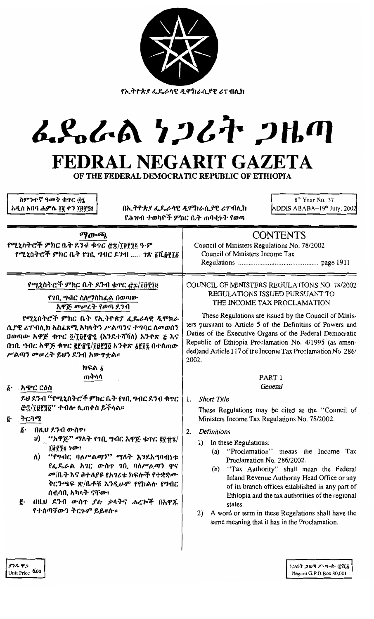|                                                                                                                                                                                                               | <u>የኢትዮጵያ ፌዴራላዊ ዲሞክራሲያዊ ሪፐብሊክ</u><br>んぺんめ クンムヤ ンルの                                                                                                                                                                                                                                               |
|---------------------------------------------------------------------------------------------------------------------------------------------------------------------------------------------------------------|--------------------------------------------------------------------------------------------------------------------------------------------------------------------------------------------------------------------------------------------------------------------------------------------------|
| ስምንተኛ ዓመት ቁጥር ፴፯<br>አዲስ አበባ ሐምሌ ፲፪ ቀን ፲፱፻፺፬                                                                                                                                                                   | FEDRAL NEGARIT GAZETA<br>OF THE FEDERAL DEMOCRATIC REPUBLIC OF ETHIOPIA<br>8 <sup>th</sup> Year No. 37<br>በኢትዮጵያ ፌዴራላዊ ዲሞክራሲያዊ ሪፐብሊክ<br>ADDIS ABABA-19 <sup>th</sup> July, 2002<br>የሕዝብ ተወካዮች ምክር ቤት ጠባቂነት የወጣ                                                                                   |
| ማውጫ<br>የሚኒስትሮች ምክር ቤት ደንብ ቁተር <u>ሮ</u> ኗ/፲፱፻፺፬ ዓ·ም<br>የሚኒስትሮች ምክር ቤት የኀቢ ግብር ደንብ  ገጽ ፩ሺ፱፻፲፩                                                                                                                   | <b>CONTENTS</b><br>Council of Ministers Regulations No. 78/2002<br>Council of Ministers Income Tax                                                                                                                                                                                               |
| የሚኒስትሮች ምክር ቤት ደንብ ቁተር <u>ሮ</u> ቌ/፲፱፻፺፬<br>የገቢ ግብር ስለማስከፈል በወጣው<br>አዋጅ መሥረት የወጣ ደንብ<br>የሚኒስትሮች ምክር ቤት የኢትዮጵያ ፌዴራላዊ ዲሞክራ<br>ሲያዊ ሪፐብሊክ አስፈጻሚ አካላትን ሥልጣንና ተግባር ለመወሰን<br>በወጣው አዋጅ ቁጥር ፬/፲፱፻፹፯ (እንደተሻሻለ) አንቀጽ ፭ እና | COUNCIL OF MINISTERS REGULATIONS NO. 78/2002<br>REGULATIONS ISSUED PURSUANT TO<br>THE INCOME TAX PROCLAMATION<br>These Regulations are issued by the Council of Minis-<br>ters pursuant to Article 5 of the Definitins of Powers and<br>Duties of the Executive Organs of the Federal Democratic |

|                 | $\left[ \frac{1}{111} \right]$ ግብር አዋጅ ቁጥር ያያ፹፮/፲፱፻፺፬ አንቀጽ <u>አያ</u> ፻፺ በተሰጠው   $\left[ \frac{1}{111} \right]$<br>ሥልጣን መሠረት ይህን ደንብ አውዋቷል። | 20 |
|-----------------|--------------------------------------------------------------------------------------------------------------------------------------------|----|
|                 | ከፍል δ                                                                                                                                      |    |
|                 | ጠቅሳሳ                                                                                                                                       |    |
| $\bm{\delta}$ . | . አ <i>ጭር ርዕ</i> ስ                                                                                                                         |    |
|                 | ይህ ደንብ ''የሚኒስትሮች ምክር ቤት የኀቢ ግብር ደንብ ቁጥር $\pm$ 1.                                                                                           |    |

# 

<sub>.</sub>ትርጓሜ g.

- በዚህ ደንብ ውስጥ፤  $\delta$ .
	- υ) "አዋጅ" ማለት የኀቢ ግብር አዋጅ ቁጥር ፪፻፹፮/ ፲፱፻፺፬ ነው፤
	- "የግብር ባለሥልጣን" ማለት እንደአግባብነቱ  $\Lambda$ የፌዴራል አገር ውስዋ ገቢ ባለሥልጣን ዋና መ/ቤት እና በተለያዩ የአገሪቱ ከፍሎች የተቋቋሙ ቅርንጫፍ ጽ/ቤቶቹ እንዲሁም የየክልሱ የግብር ሰብሳቢ አካላት ናቸው፤
- g. በዚሀ ደንብ ውስጥ ያሉ ቃላትና ሐረጕች በአዋጁ የተሰጣቸውን ትርጉም ይይዛሉ።

Minisrs and ocratic Republic of Ethiopia Proclamation No. 4/1995 (as amend) and Article 117 of the Income Tax Proclamation No. 286/ 02.

# PART 1 General

# **Short Title**

These Regulations may be cited as the "Council of Ministers Income Tax Regulations No. 78/2002.

## 2. Definitions

- 1) In these Regulations:
	- (a) "Proclamation" means the Income Tax Proclamation No. 286/2002.
	- $(b)$ "Tax Authority" shall mean the Federal Inland Revenue Authority Head Office or any of its branch offices established in any part of Ethiopia and the tax authorities of the regional states.
- 2) A word or term in these Regulations shall have the same meaning that it has in the Proclamation.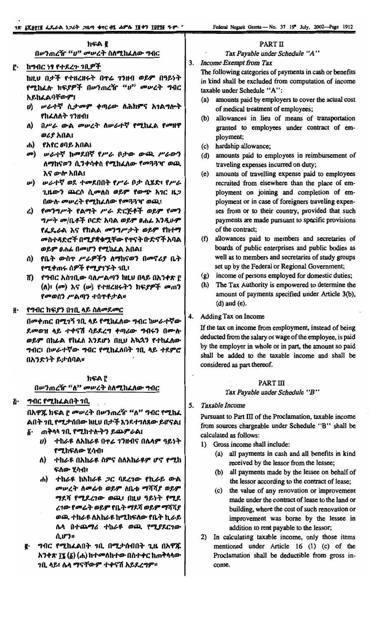ክፍል ፪ በሥንጠረዥ "ሀ" መሥረት ስለሚከፈለው ግብር

#### PART II

Tax Payable under Schedule "A"

#### **Income Exempt from Tax**  $3.$

ከግብር ነፃ የተደረጉ ገቢዎች ከዚህ በታች የተዘረዘሩት በዋሬ ገንዘብ ወይም በዓይነት የሚከፈሉ ክፍ*ያዎች* በሥንጠረዥ "ሆ<sup>ንን</sup> ምሥረት ግብር <u>አይከፈልባቸውም፤</u>

- ሀ) ሠራተኛ ሲታመም ቀጣሪው ለሕክምና አገልግሎት የከፈለለት 1ንዘብ፤
- በሥራ ውል መሠረት ለሠራተኛ የሚከፈል የመዘዋ ለ) ወሪያ አበል፤
- ሐ) የአየር ፀባይ አበል፤

Р.

- መ) ሠራተኛ ከመደበኛ የሥራ ቦታው ውጪ ሥራውን ለማከናወን ሲንቀሳቀስ የሚከፌለው የመጓጓዣ ወጪ እና ውሎ አበል፤
- **w) ሠራተኛ ወደ ተመደበበት የሥራ ቦታ ሲሄድ፣ የሥራ** ጊዜውን ጨርሶ ሲመለስ ወይም የውጭ አገር ዜጋ በውሱ መሠረት የሚከፈለው የመጓጓዣ ወጪ፣
- ረ) የመንግሥት የልማት ሥራ ድርጅቶች ወይም የመን *ግሥት መ*/ቤቶች ቦርድ አባል ወይም ፀሐፊ እንዲሁም የፌጼራል እና የክልል መንግሥታት ወይም የከተማ መስተዳድሮች በሚያቋቁሟቸው የጥናት ቡድኖች አባል ወይም ፀሐፊ በመሆን የሚከፌል አበል፤
- ሰ) የቤት ውስዋ ሥራዎችን ለማከናወን በመኖሪያ ቤት የሚቀጠሩ ሰዎች የሚያገኙት ገቢ፣
- ሽ) የግብር አስገቢው ባለሥልጣን ከዚህ በላይ በአንቀጽ ሮ  $($ ለ)፣  $($ ሙ) እና  $($  $)$  የተዘረዘሩትን ክፍያዎች ሙጠን የመወሰን ሥልጣን ተሰዋቶታል።

#### ፩· የግብር ክፍያን በንቢ ላይ ስለመደመር

በመቀጠር በሚገኝ ገቢ ላይ የሚከፈለው ግብር ከሥራተኛው ደመወዝ ላይ ተቀናሽ ሳይደረግ ቀጣሪው ግብሩን በሙሉ ወይም በከፊል የከፈለ እንደሆነ በዚሀ አኳኋን የተከፈለው ግብር፣ በሥራተኛው ግብር የሚከፈለበት ገቢ ላይ ተደምሮ በአንድነት ይታሰባል።

#### ክፍል ሮ በሥንጠረዥ "ለ" መሥረት ስለሚከፈለው ግብር

ጅ· ግብር የሚከፈልበት ገቢ

በአዋጁ ክፍል ፫ መሠረት በሥንጠረዥ "ለ" ግብር የሚከፈ ልበት ንቢ የሚታሰበው ከዚህ በታች እንደተንለጸው ይሆናል፤ δ· ጠቅላላ ገቢ የሚከተሉትን ይጨምራል፤

- - U) ተከራዩ ለአከራዩ በዋሬ 1ንዘብና በሌላም ዓይነት የሚከፍለው ሂሳብ፣
	- ለ) ተከራዩ በአከራዩ ስምና ስለአከራዩም ሆኖ የሚከ ፍለው ሃሳብ፣
	- ሐ) ተከራዩ ከአከራዩ ጋር ባደረገው የኪራይ ውል መሠረት ለመሬቱ ወይም ለቤቱ ማሻሻያ ወይም ማደሻ የሚደረገው ወጪ፣ በዚህ ዓይነት የሚደ ረገው የመሬት ወይም የቤት ማደሻ ወይም ማሻሻያ ወጫ ተከራዩ ለአከራዩ ከሚከፍለው የቤት ኪራይ ሌላ በተጨማሪ ተከራዩ ወጪ የሚያደርገው ሲሆን።
- ግብር የሚከፈልበት ገቢ በሚታሰብበት ጊዜ በአዋጁ ę. አንቀጽ ፲፮ (δ) (ሐ) ከተመለከተው በስተቀር ከጠቅላላው **ገቢ ላይ፣ ሴላ ማናቸውም ተቀናሽ አይደረግም**።

The following categories of payments in cash or benefits in kind shall be excluded from computation of income taxable under Schedule "A":

- (a) amounts paid by employers to cover the actual cost of medical treatment of employees;
- allowances in lieu of means of transportation (b) granted to employees under contract of employment;
- (c) hardship allowance;
- (d) amounts paid to employees in reimbursement of traveling expenses incurred on duty;
- (e) amounts of travelling expense paid to employees recruited from elsewhere than the place of employment on joining and completion of employment or in case of foreigners traveling expenses from or to their country, provided that such payments are made pursuant to specific provisions of the contract;
- (f) allowances paid to members and secretaries of boards of public enterprises and public bodies as well as to members and secretaries of study groups set up by the Federal or Regional Government;
- (g) income of persons employed for domestic duties;
- (h) The Tax Authority is empowered to determine the amount of payments specified under Article 3(b),  $(d)$  and  $(e)$ .

Adding Tax on Income 4.

> If the tax on income from employment, instead of being deducted from the salary or wage of the employee, is paid by the employer in whole or in part, the amount so paid shall be added to the taxable income and shall be considered as part thereof.

#### PART III.

#### Tax Payable under Schedule "B"

5. Taxable Income

> Pursuant to Part III of the Proclamation, taxable income from sources chargeable under Schedule "B" shall be calculated as follows:

- 1) Gross income shall include:
	- (a) all payments in cash and all benefits in kind received by the lessor from the lessee;
	- (b) all payments made by the lessee on behalf of the lessor according to the contract of lease;
	- (c) the value of any renovation or improvement made under the contract of lease to the land or building, where the cost of such renovation or improvement was borne by the lessee in addition to rent payable to the lessor;
- 2) In calculating taxable income, only those items mentioned under Article 16 (1) (c) of the Proclamation shall be deductible from gross income.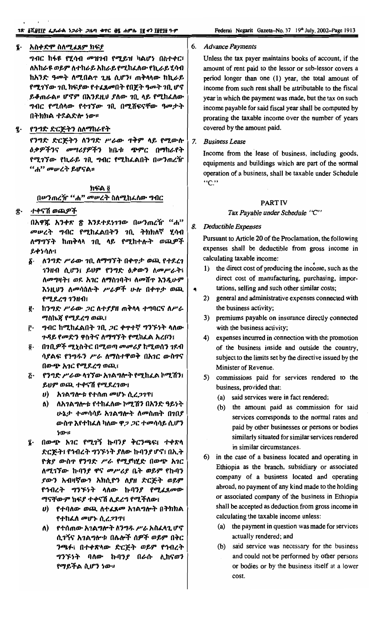#### Ļ. አስቀድሞ ስለሚፈጸም ክፍያ

ግብር ከፋዩ የሂሳብ መዝገብ የሚይዝ ካልሆነ በስተቀር፣ ለአከራዩ ወይም ለተከራይ አከራይ የሚከፈለው የኪራይ ሂሳብ ከአንድ ዓመት ለሚበልጥ ጊዜ ሲሆን፣ ጠቅላላው ከኪራይ የሚገኘው ገቢ ክፍያው የተፈጸመበት የበጀት ዓመት ገቢ ሆኖ ይቆጠራል። ሆኖም በእንደዚሀ ያለው ገቢ ላይ የሚከፈለው ግብር የሚሰላው የተገኘው ገቢ በሚሸፍናቸው ዓመታት በትክክል ተደልድሎ ነው።

፯· የንግድ ድርጅትን ስለማከራየት

የንግድ ድርጅትን ለንግድ ሥራው ጥቅም ላይ የሚውሉ *ዕቃዎችንና መሣሪያዎችን* ከቤቱ ጭምር በማከራየት የሚገኘው የኪራይ ገቢ ግብር የሚከፌልበት በሥንጠረዥ *"ሐ" መሠረት ይ*ሆናል፡፡

#### ክፍል ፬ በሥንጠረዥ "ሐ" መሠረት ስለሚከፈለው ግብር

#### ፰· ተቀናሽ ወጪዎች

በአዋጁ አንቀጽ ጽ እንደተደነገገው በሥንጠረዥ "ሐ" መሠረት ግብር የሚከፈልበትን ገቢ ትክክለኛ ሂሳብ ለማግኘት ከጠቅላላ ንቢ ላይ የሚከተሉት ወጪዎች ይቀነሳሎ፤

- $\delta$ . ለንግድ ሥራው ገቢ ለማግኘት በቀጥታ ወጪ የተደረገ ገንዘብ ሲሆን፤ ይህም የንግድ ዕቃውን ስመሥራት፤ ለመግዛት፤ ወደ አገር ለማስገባት፣ ለመሸዋ እንዲሁም እንዚህን ለመሳሰሉት ሥራዎች ሁሉ በቀዋታ ወጪ የሚደረግ ገንዘብ፤
- ፪· ከንግድ ሥራው *ጋ*ር ለተያያዘ ጠቅላላ ተግባርና ለሥራ *ማ*ስኬ*ጃ የሚደረግ ወ*ጪ፤
- ፫· *ግብር* ከሚከፌልበት *ገ*ቢ *ጋ*ር ቀጥተኛ ግንኙነት ላለው ጉዳይ የመድን ዋስትና ለማግኘት የሚከፈል አረቦን፤
- $\mathbf{\hat{g}}$ . በንቢዎች ሚኒስትር በሚወጣ *መመሪያ* ከሚወሰን ንደብ ሳያልፍ የንግዱን ሥራ ለማስተዋወቅ በአገር ውስጥና በውጭ አገር የሚደረግ ወጪ፤
- የንግድ ሥራው ሳገኘው አገልግሎት የሚከፈል ኮሚሽን፤  $\boldsymbol{\tilde{G}}$  . ይህም ወጪ ተቀናሽ የሚደረገው፤
	- $\boldsymbol{\theta}$ ) አገልግሎቱ የተሰጠ መሆኑ ሲረጋገጥ፤
	- ለ) ለአገልግሎቱ የተከፈለው ኮሚሽን በአንድ ዓይነት ሁኔታ ተመሳሳይ አገልግሎት ለመስጠት በገበያ ውስዋ እየተከፈለ ካለው ዋ*ጋ ጋ*ር ተመሳሳይ ሲሆን ነው።
- ፤ በውጭ አ*ገ*ር የሚገኝ ኩባን*ያ* ቅርንጫፍ፤ ተቀጽላ ድርጅት፤ የኅብረት ግንኙነት ያለው ኩባንያ ሆኖ፤ በኢት ዮጵያ ውስጥ የንግድ ሥራ የሚያካሂድ በውጭ አገር ለሚገኘው ኩባንያ ዋና *መሥሪያ* ቤት ወይም የኩባን *ያውን አብዛኛውን አክ*ሲዮን ለ*ያዘ ድርጅት ወይም* የኅብረት ግንኙነት ላለው ኩባንያ የሚፈጸመው ማናቸውም ክፍያ ተቀናሽ ሊደረግ የሚችለው፤
	- $\bm{v}$ ) የተባለው ወጪ ለተፈጸመ አገልግሎት በትክክል የተከፈለ መሆኑ ሲረ*ጋገ*ጥ
	- ለ) የተሰጠው አገልግሎት ለንግዱ ሥራ አስፈላጊ ሆኖ ሲገኝና አገልግሎቱ በሌሎች ሰዎች ወይም በቅር ንጫፉ፤ በተቀጽላው ድርጅት ወይም የኅብረት *ግንኙነት* ባለው ኩባን*ያ* በራሱ ሊከናወን የማይችል ሲሆን ነው።

6. Advance Payments

Unless the tax payer maintains books of account, if the amount of rent paid to the lessor or sub-lessor covers a period longer than one (1) year, the total amount of income from such rent shall be attributable to the fiscal year in which the payment was made, but the tax on such income payable for said fiscal year shall be computed by prorating the taxable income over the number of years covered by the amount paid.

**Business Lease** 7.

> Income from the lease of business, including goods, equipments and buildings which are part of the normal operation of a business, shall be taxable under Schedule "C."

#### **PART IV**

Tax Payable under Schedule "C"

#### 8. Deductible Expenses

 $\blacklozenge$ 

Pursuant to Article 20 of the Proclamation, the following expenses shall be deductible from gross income in calculating taxable income:

- 1) the direct cost of producing the income, such as the direct cost of manufacturing, purchasing, importations, selling and such other similar costs;
- 2) general and administrative expenses connected with the business activity;
- 3) premiums payable on insurance directly connected with the business activity;
- 4) expenses incurred in connection with the promotion of the business inside and outside the country, subject to the limits set by the directive issued by the Minister of Revenue.
- 5) commissions paid for services rendered to the business, provided that:
	- (a) said services were in fact rendered;
	- (b) the amount paid as commission for said services corresponds to the normal rates and paid by other businesses or persons or bodies similarly situated for similar services rendered in similar circumstances.
- 6) in the case of a business located and operating in Ethiopia as the branch, subsidiary or associated company of a business located and operating abroad, no payment of any kind made to the holding or associated company of the business in Ethiopia shall be accepted as deduction from gross income in calculating the taxable income unless:
	- (a) the payment in question was made for services actually rendered; and
	- (b) said service was necessary for the business and could not be performed by other persons or bodies or by the business itself at a lower cost.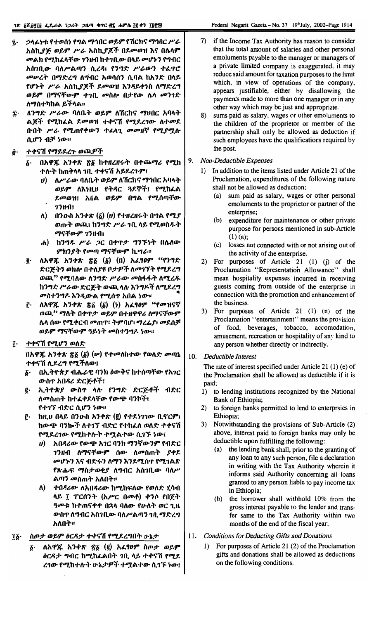- ኃላፊነቱ የተወሰነ የግል ማኅበር ወይም የሽርክና ማኅበር ሥራ ĩ. አስኪያጅ ወይም ሥራ አስኪያጆች በደመወዝ እና በሴላም መልክ የሚከፈላቸው ገንዘብ ከተገቢው በላይ መሆኑን የግብር አስንቢው ባለሥልጣን ሲረዳ፤ የንግድ ሥራውን ተፈጥሮ መሥረት በማድረግ ለግብር አወሳሰን ሲባል ከአንድ በላይ የሆኑት ሥራ አስኪያጆች ደመወዝ እንዳይቀነስ ለማድረግ ወይም በማናቸውም ተገቢ መስሎ በታየው ሴሳ መንገድ ለማስተካከል ይችላል፡፡
- ለንግድ ሥራው ባለቤት ወይም ለሽርክና ማህበር አባላት Î٠ ልጆች የሚከፌል ደመወዝ ተቀናሽ የሚደረገው ለተመደ **ቡበት ሥራ የሚ**ጠየቀውን ተፈላጊ መመዘኛ የሚያሟሉ ሲሆን ብቻ ነው።
- ተቀናሽ የማይደረጉ ወጪዎች ij.
	- በአዋጁ አንቀጽ ጽ፩ ከተዘረዘሩት በተጨማሪ የሚከ δ. ተሱት ከጠቅላላ ንቢ ተቀናሽ አይደረጉም፤
		- ለሥራው ባለቤት ወይም ለሽርክና ማኅበር አባላት  $\boldsymbol{\theta}$ ወይም ለእነዚህ የትዳር ጓደኞች፤ የሚከፈል ደመወዝ፤ አበል ወይም በግል የሚሰጣቸው  $73$ H $1$
		- ለ) በንውስ አንቀጽ  $(\delta)$  (υ) የተዘረዘሩት በግል የሚያ ወጡት ወጪ፤ ከንግድ ሥራ ገቢ ላይ የሚወስዱት ማናቸውም ገንዘብ፤
		- ሐ) ከንግዱ ሥራ ጋር በቀጥታ ግንኙነት በሌለው ምክንያት የመጣ ማናቸውም ኪሣራ።
	- ለአዋጁ አንቀጽ ፳፩ (፩) (በ) አፈፃፀም "የንግድ g. ድርጅትን ወክሎ በተለያዩ ቦታዎች ለመገኘት የሚደረግ ወጪ" የሚባለው ለንግድ ሥራው መስፋፋት ለሚረዱ ከንግድ ሥራው ድርጅት ውጪ ላሉ እንግዶች ለሚደረግ መስተንግዶ እንዲውል የሚሰጥ አበል ነው።
	- ለአዋጁ አንቀጽ ፳፩  $(\delta)$   $(\delta)$  አፈፃፀም "የመዝናኛ Ĉ٠ ወጪ" ማለት በቀጥታ ወይም በተዘዋዋሪ ለማናቸውም ሴላ ሰው የሚቀርብ **መ**ጠዋ፣ ትምባሆ፣ ማረፊያ፣ መደሰቻ ወይም ማናቸውም ዓይነት መስተንግዶ ነው።
- ተቀናሽ የሚሆን ወለድ ĩ٠

በአዋጁ አንቀጽ ፳፩ (፩) (ሥ) የተመለከተው የወለድ መጣኔ ተቀናሽ ሊደረግ የሚችለው፤

- በኢትዮጵያ ብሔራዊ ባንክ ዕውቅና ከተሰጣቸው የአገር δ. ውስጥ አበዳሪ ድርጅቶች፤
- ኢትዮጵያ ውስዋ ላሉ የንግድ ድርጅቶች ብድር ę. ለመስጠት ከተፈቀደላቸው የውጭ ባንኮች፤ የተገኘ ብድር ሲሆን ነው።
- ከዚሀ በላይ በንውስ አንቀጽ (፪) የተደነገገው ቢኖርም፤ ŕ٠ ከውጭ ባንኰች ለተገኘ ብድር የተከፈለ ወለድ ተቀናሽ የሚደረገው የሚከተሉት ተሟልተው ሲገኙ ነው፤
	- አበጻሪው የውጭ አገር ባንክ ማንኛውንም የብድር  $\boldsymbol{\theta}$ *ገንዘብ ለማናቸውም ሰው ለመስጠት ያቀ*ደ መሆኑን እና ብድሩን ለማን እንደሚሰጥ የሚገልጽ የጽሑፍ ማስታወቂያ ለግብር አስገቢው ባለሥ ልጣን መስጠት አለበት።
	- ለ) ተበጻሪው ለአበጻሪው ከሚከፍለው የወለድ ሂሳብ ላይ ፻ ፐርሰንት (አሥር በመቶ) ቀንሶ የበጀት ዓመቱ ከተጠናቀቀ በኋላ ባለው የሁለት ወር ጊዜ ውስጥ ለግብር አስገቢው ባለሥልጣን ገቢ ማድረግ አለበት።

#### Ĩĝ. ስጦታ ወይም ዕርዳታ ተቀናሽ የሚደረግበት ሁኔታ

ለአዋጁ አንቀጽ ፳፩ (፪) አፈፃፀም ስጦታ ወይም δ. ዕርዳታ ግብር ከሚከፈልበት ገቢ ላይ ተቀናሽ የሚደ ረገው የሚከተሉት ሁኔታዎች ተሟልተው ሲገኙ ነው፤

- if the Income Tax Authority has reason to consider 7) that the total amount of salaries and other personal emoluments payable to the manager or managers of a private limited company is exaggerated, it may reduce said amount for taxation purposes to the limit which, in view of operations of the company, appears justifiable, either by disallowing the payments made to more than one manager or in any other way which may be just and appropriate.
- 8) sums paid as salary, wages or other emoluments to the children of the proprietor or member of the partnership shall only be allowed as deduction if such employees have the qualifications required by the post.
- 9. Non-Deductible Expenses
	- $1)$ In addition to the items listed under Article 21 of the Proclamation, expenditures of the following nature shall not be allowed as deduction;
		- sum paid as salary, wages or other personal  $(a)$ emoluments to the proprietor or partner of the enterprise;
		- expenditure for maintenance or other private  $(b)$ purpose for persons mentioned in sub-Article  $(1)$  (a);
		- losses not connected with or not arising out of  $(c)$ the activity of the enterprise.
	- 2) For purposes of Article 21 (1) (j) of the Proclamation "Representation Allowance" shall mean hospitality expenses incurred in receiving guests coming from outside of the enterprise in connection with the promotion and enhancement of the business.
	- 3) For purposes of Article 21 (1) (n) of the Proclamation "entertainment" means the provision of food, beverages, tobacco, accomodation, amusement, recreation or hospitality of any kind to any person whether directly or indirectly.
- $10.$ Deductible Interest

The rate of interest specified under Article 21 (1) (e) of the Proclamation shall be allowed as deductible if it is paid;

- to lending institutions recognized by the National  $1)$ Bank of Ethiopia;
- to foreign banks permitted to lend to enterprsies in  $2)$ Ethiopia;
- 3) Notwithstanding the provisions of Sub-Article (2) above, interest paid to foreign banks may only be deductible upon fulfilling the following:
	- (a) the lending bank shall, prior to the granting of any loan to any such person, file a declaration in writing with the Tax Authority wherein it informs said Authority concerning all loans granted to any person liable to pay income tax in Ethiopia;
	- (b) the borrower shall withhold 10% from the gross interest payable to the lender and transfer same to the Tax Authority within two months of the end of the fiscal year;
- 11. **Conditions for Deducting Gifts and Donations** 
	- For purposes of Article 21 (2) of the Proclamation  $\mathbf{D}$ gifts and donations shall be allowed as deductions on the following conditions.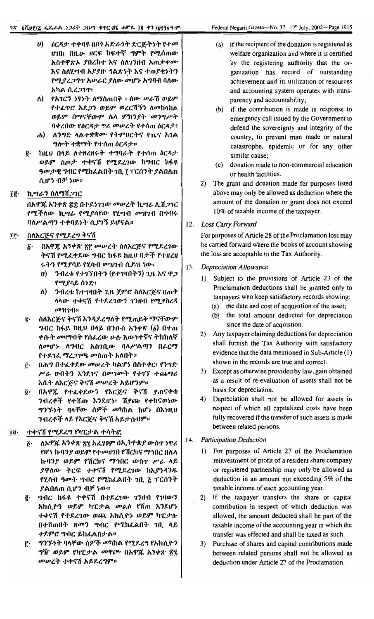- ሀ) ዕርዳታ ተቀባዩ በበነ አድራጎት ድርጅትነት የተመ ዘገበ፤ በዚሁ ዘርፍ ከፍተኛ ግምት የሚሰጠው አስተዋጽኦ ያበረከተ እና ስለገንዘብ አጠቃቀሙ እና ስለሂሣብ አያያዙ ግልጽነት እና ተጠያቂነትን የሚያረ*ጋግ*ጥ አሥራር ያለው መሆኑ አግባብ ባለው አካል ሲረ*ጋገ*ጥ
- ለ) የአገርን ነፃነት ለማስጠበቅ ፣ ሰው ሥራሽ ወይም የተፈዋሮ *አ*ደ*ጋ*ን ወይም ወረርሽኝን ለ**መከ**ላከል ወይም በማናቸውም ሴላ ምክንያት መንግሥት ባቀረበው የዕርዳታ ዋሪ መሥረት የተሰጠ ዕርዳታ፣
- ሐ) ለንግድ ላልተቋቋሙ የትምህርትና የጤና አገል ግሎት ተቋማት የተሰጠ ዕርዳታ።
- **፪· ከዚህ በላይ ለተዘረዘሩት ተግባራት የተሰጠ ዕርዳታ** ወይም ስጦታ ተቀናሽ የሚደረገው ከግብር ከፋዩ ዓመታዊ ግብር የሚከፌልበት ንቢ ፲ ፐርሰንት ያልበለጠ ሲሆን ብቻ ነው።

#### ኪሣራን ስለማሽ*ጋገ*ር Îĝ∙

በአዋጁ አንቀጽ ፳፰ በተደነገገው መሠረት ኪሣራ ሊሸ*ጋገ*ር *የሚች*ለው ኪ*ሣራ የሚያ*ሳየው የሂሣብ *መ*ዝንብ በግብሩ ባለሥልጣን ተቀባይነት ሲያገኝ ይሆናል።

#### îñ. ስለእርጅና የሚደረግ ቅናሽ

- በአዋጁ አንቀጽ ፳፫ መሥረት ስለእርጅና የሚደረገው  $\delta$ . ቅናሽ የሚፈቀደው ግብር ከፋዩ ከዚህ በታች የተዘረዘ ሩትን የሚያሳይ የሂሳብ መዝገብ ሲይዝ ነው፤
	- $\bm{v}$ ) ንብረቱ የተገኘበትን (የተገዛበትን) ጊዜ እና ዋጋ የሚያሳይ ሰነድ፤
	- ንብረቱ ከተገዛበት ጊዜ ጀምሮ ስለእርጅና በጠቅ ለ) ሳሳው ተቀናሽ የተደረገውን ገንዘብ የሚያስረዳ  $p$  $1$ *1* $n$  $n$
- ስለእርጅና ቅናሽ እንዲደረግለት የሚጠይቅ ማናቸውም ĝ. *ግ*ብር ከፋይ ከዚሀ በላይ በንውስ አንቀጽ (፩) በተጠ ቀሱት መዛግብት የሰፈረው ሁሉ እውነተኛና ትክክለኛ ለመሆኑ ለግብር አስገቢው ባለሥልጣን በፊርማ የተደገፈ ማረ*ጋገጫ መ*ስጠት አለበት።
- በሕግ በተፈቀደው መሥረት ካልሆነ በስተቀር፣ የንግድ Ē٠ ሥራ ሀብትን እንደገና በመገመት የተገኘ ተጨማሪ እሴት ለእርጅና ቅናሽ መሠረት አይሆንም።
- በአዋጁ የተፈቀደውን የእርጅና ቅናሽ ያጠናቀቁ ö. ንብረቶች የተሸጡ እንደሆነ፣ ሽያጮ የተከናወነው *ግንኙነት* ባላቸው ሰዎች *መ*ካከል ከሆነ በእነዚህ ንብረቶች ላይ የእርጅና ቅናሽ አይታሰብም።

#### ተቀናሽ የሚደረግ የካፒታል ተሳትፎ Ţĝ∙

- ለአዋጁ አንቀጽ ፳፯ አፌፃፀም በኢትዮጵያ ውስጥ ነዋሪ  $\boldsymbol{\delta}$ . የሆን ኩባን*ያ ወይም የተመዘገ*በ የሽርክና ማኅበር በሌላ ኩባንያ ወይም የሽርክና ማኅበር ውስዋ ሥራ ላይ ያዋለው ትርፍ ተቀናሽ የሚደረገው ከእያንዳንዱ የሂሳብ ዓመት ግብር የሚከፌልበት ገቢ ፩ ፐርሰንት ያልበለጠ ሲሆን ብቻ ነው።
- <u>፪</u>· ግብር ከፋዩ ተቀናሽ በተደረገው ገንዘብ የገዛውን አክሲዮን ወይም ካፒታል መልሶ የሽጠ እንደሆነ ተቀናሽ የተደረገው ወጪ አክሲዮኑ ወይም ካፒታሉ በተሸጠበት ዘመን ግብር የሚከፈልበት ገቢ ላይ ተደምሮ ግብር ይከፈልበታል።
- *ግንኙነት* ባላቸው ሰዎች መካከል የሚደረግ የአክሲዮን Ë. ግዥ ወይም የካፒታል መዋጮ በአዋጁ አንቀጽ ፳፯ መሠረት ተቀናሽ አይደረግም።
- (a) if the recipient of the donation is registered as welfare organization and where it is certified by the registering authority that the organization has record of outstanding achievement and its utilization of resources and accounting system operates with transparency and accountability;
- (b) if the contribution is made in response to emergency call issued by the Government to defend the sovereignty and integrity of the country, to prevent man made or natural catastrophe, epidemic or for any other similar cause;
- (c) donation made to non-commercial education or health facilities.
- 2) The grant and donation made for purposes listed above may only be allowed as deduction where the amount of the donation or grant does not exceed 10% of taxable income of the taxpayer.

#### 12. Loss Carry Forward

For purposes of Article 28 of the Proclamation loss may be carried forward where the books of account showing the loss are acceptable to the Tax Authority.

- 13. Depreciation Allowance
	- Subject to the provisions of Article 23 of the  $\Gamma$ Proclamation deductions shall be granted only to taxpayers who keep satisfactory records showing: (a) the date and cost of acquisition of the asset;
		- (b) the total amount deducted for depreciation since the date of acquistion.
	- 2) Any taxpayer claiming deductions for depreciation shall furnish the Tax Authority with satisfactory evidence that the data mentioned in Sub-Article (1) shown in the records are true and correct.
	- 3) Except as otherwise provided by law, gain obtained as a result of re-evaluation of assets shall not be basis for depreciation.
	- 4) Depreciation shall not be allowed for assets in respect of which all capitalized costs have been fully recovered if the transfer of such assets is made between related persons.

#### 14. Participation Deduction

- For purposes of Article 27 of the Proclamation  $1)$ reinvestment of profit of a resident share company or registered partnership may only be allowed as deduction in an amount not exceeding 5% of the taxable income of each accounting year.
- 2) If the taxpayer transfers the share or capital contribution in respect of which deduction was allowed, the amount deducted shall be part of the taxable income of the accounting year in which the transfer was effected and shall be taxed as such.
- 3) Purchase of shares and capital contributions made between related persons shall not be allowed as deduction under Article 27 of the Proclamation.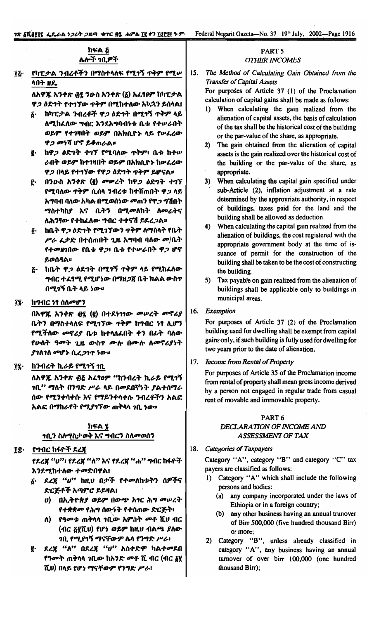Federal Negarit Gazeta-No. 37 19th July, 2002-Page 1916

#### ክፍል & ሌሎች ገቢዎች

የካፒታል ንብረቶችን በማስተላለፍ የሚገኝ ጥቅም የሚሥ īĘ. ላበት ዘዴ

> ለአዋጁ አንቀጽ *፴*፯ ንውስ አንቀጽ (δ) አፈፃፀም ከካፒታል ዋ*ጋ ዕ*ድግት የተገኘው **ጥቅም በሚከተለው አ**ኳኋን ይሰላል፤

- δ· ከካፒታል ንብረቶች ዋ*ጋ ዕ*ድንት በሚገኝ **ተቅ**ም ላይ ለሚከፈለው ግብር እንደአግባብነቱ ቤቱ የተሥራበት ወይም የተገዛበት ወይም በአክሲዮኑ ላይ የሥፈረው ዋ*ጋ መነ*ሻ ሆኖ ይቆጠራል።
- g. ከዋ*ጋ ዕ*ድገት ተገኘ የሚባለው **ተቅም፣** ቤቱ ከተሥ ራበት ወይም ከተገዛበት ወይም በአክሲዮኑ ከሥፈረው ዋ*ጋ* በላይ የተ*ገኘው የዋጋ ዕድገት ጥቅም ይሆና*ል።
- <u>ሮ· በንውስ አንቀጽ (፪) መሠረት ከዋጋ ዕድገት ተገኘ</u> የሚባለው ዋቅም ሲሰላ ንብረቱ ከተሸጠበት ዋ*ጋ* ላይ አማባብ ባለው አካል በሚወሰነው መጠን የዋ*ጋ* ግሽበት ማስተካከያ እና ቤትን በሚመለከት ለመሬትና ለሕንፃው የተከፈለው ግብር ተቀናሽ ይደረ*ጋ*ል፡፡
- ፬· ከቤት ዋ*ጋ ዕድኀት የሚኀኘውን ጥቅም ለማስ*ላት የቤት ሥራ ፌቃድ በተሰጠበት ጊዜ አግባብ ባለው መ/ቤት የተመዘገበው የቤቱ ዋጋ፣ ቤቱ የተሥራበት ዋጋ ሆኖ ይወሰዳል።
- <u>ሯ· ከቤት ዋ*ጋ ዕ*ድገት በሚገኝ ተቅም ላይ የሚከፈለው</u> *ግ*ብር ተፈፃሚ የሚሆነው በማዘ*ጋ*ጀ ቤት ክልል ውስ**ተ** በሚገኝ ቤት ላይ ነው።
- ፲፯· ከግብር ነፃ ስለመሆን

በአዋጁ አንቀጽ ፴፯ (፪) በተደነገገው መሥረት መኖሪያ ቤትን በማስተላለፍ የሚገኘው ዋቅም ከግብር ነፃ ሊሆን የሚችለው መኖሪያ ቤቱ ከተላለፈበት ቀን በፊት ባለው የሁለት ዓመት ጊዜ ውስዋ ሙሉ በሙሉ ለመኖሪያነት ያገለገለ መሆኑ ሲረ*ጋገ*ጥ ነው።

፲፯· ከንብረት ኪራይ የሚገኝ ንቢ

ለአዋጁ አንቀጽ ፴፩ አፈፃፀም "ከንብረት ኪራይ የሚገኝ *ገቢ'' ማ*ለት በንግድ ሥራ ላይ በመደበኛነት ያልተሰማራ ሰው የሚንቀሳቀሱ እና የማይንቀሳቀሱ ንብረቶችን አልፎ አልፎ በማከራየት የሚያገኘው ጠቅላላ ገቢ ነው።

# ክፍል ፯ <u>ገቢን ስለሚስታወቅ እና ግብርን ስለመወሰን</u>

፲፰· <u>የግብር ከፋዮች ደ</u>ረጃ

የደረጃ "ሀ"፣ የደረጃ "ለ" እና የደረጃ "ሐ" ግብር ከፋዮች እንደሚከተለው ተመድበዋል፤

- ፩· ዶረጃ "ሀ" ከዚሀ በታች የተመለከቱትን ሰዎችና ድርጅቶች አጣምሮ ይይዛል፤
	- υ) በኢትዮጵያ ወይም በውጭ አገር ሕግ መሠረት የተቋቋመ የሕግ ሰውንት የተሰጠው ድርጅት፣
	- ለ) የዓመቱ ጠቅላላ ንቢው አምስት መቶ ሺህ ብር (ብር ፩፻ሺሀ) የሆነ ወይም ከዚሀ ብልጫ ያለው *ገ*ቢ የሚያገኝ ማናቸውም ሴላ የንግድ ሥራ፣
- ደረጃ "ለ" በደረጃ "ሀ" አስቀድሞ ካልተ*መ*ደበ ę. የዓመት ጠቅላላ ኀቢው ከአንድ መቶ ሺ ብር (ብር ፩፻ ሺህ) በላይ የሆነ ማናቸውም የንግድ ሥራ፣

#### PART<sub>5</sub> **OTHER INCOMES**

15. The Method of Calculating Gain Obtained from the **Transfer of Capital Assets** 

For purposes of Article 37 (1) of the Proclamation calculation of capital gains shall be made as follows:

- 1) When calculating the gain realized from the alienation of capital assets, the basis of calculation of the tax shall be the historical cost of the building or the par-value of the share, as appropriate.
- 2) The gain obtained from the alienation of capital assets is the gain realized over the historical cost of the building or the par-value of the share, as appropriate.
- When calculating the capital gain specified under  $3)$ sub-Article (2), inflation adjustment at a rate determined by the appropriate authority, in respect of buildings, taxes paid for the land and the building shall be allowed as deduction.
- 4) When calculating the capital gain realized from the alienation of buildings, the cost registered with the appropriate government body at the time of issuance of permit for the construction of the building shall be taken to be the cost of constructing the building.
- Tax payable on gain realized from the alienation of 5) buildings shall be applicable only to buildings in municipal areas.

16. Exemption

> For purposes of Article 37 (2) of the Proclamation building used for dwelling shall be exempt from capital gains only, if such building is fully used for dwelling for two years prior to the date of alienation.

17. Income from Rental of Property

For purposes of Article 35 of the Proclamation income from rental of property shall mean gross income derived by a person not engaged in regular trade from casual rent of movable and immovable property.

# PART<sub>6</sub> DECLARATION OF INCOME AND

ASSESSMENT OF TAX

18. Categories of Taxpayers

Category "A", category "B" and category "C" tax payers are classified as follows:

- 1) Category "A" which shall include the following persons and bodies:
	- (a) any company incorporated under the laws of Ethiopia or in a foreign country;
	- (b) any other business having an annual trunover of Birr 500,000 (five hundred thousand Birr) or more:
- 2) Category "B", unless already classified in category "A", any business having an annual turnover of over birr 100,000 (one hundred thousand Birr);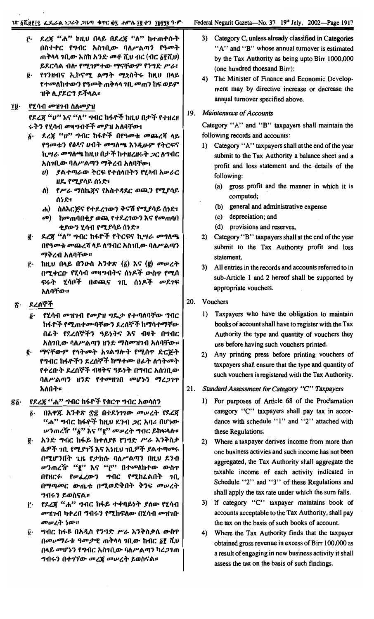- ፫· ዶረጃ "ሐ" ከዚህ በላይ በዶረጃ "ለ" ከተጠቀሱት በስተቀር የግብር አስገቢው ባለሥልጣን የዓመት ጠቅላላ ገቢው እስከ አንድ መቶ ሺህ ብር (ብር δየሺህ). ይደርሳል ብሎ የሚገምተው ማናቸውም የንግድ ሥራ፣
- ፩· የገንዘብና ኢኮኖሚ ልማት ሚኒስትሩ ከዚህ በላይ የተመለከተውን የዓመት ጠቅላላ **ገቢ መ**ጠን ከፍ ወይም ዝቅ ሊያደርግ ይችላል።

## ፲፱· የሂሳብ መዝገብ ስለመያዝ

የዶረጃ "ሀ" እና "ለ" ግብር ከፋዮች ከዚህ በታች የተዘረዘ ሩትን የሂሳብ መዛግብቶች መያዝ አለባቸው፤

- ፩· ደረጃ "ሀ" ግብር ከፋዮች በየዓመቱ መጨረሻ ላይ የዓመቱን የዕዳና ሀብት መግለጫ እንዲሁም የትርፍና ኪሣራ መግለጫ ከዚህ በታች ከተዘረዘሩት *ጋ*ር ለግብር አስገቢው ባለሥልጣን ማቅረብ አለባቸው፤
	- ሀ) ያልተጣራው ትርፍ የተሰላበትን የሂሳብ አሥራር ዘዴ የሚያሳይ ሰነድ፣
	- ለ) የሥራ ማስኬጀና የአስተዳደር ወጪን የሚያሳይ ሰነድ፣
	- ሐ) ስለእርጅና የተደረገውን ቅናሽ የሚያሳይ ሰነድ፣
	- መ) ከመጠባበቂ*ያ* ወጪ የተደረገውን እና የመጠባበ ቂያውን ሂሳብ የሚያሳይ ሰነድ።
- ፪· ደረጃ "ለ" ግብር ከፋዮች የትርፍና ኪሣራ መግለጫ በየዓመቱ መጨረሻ ላይ ለግብር አስገቢው ባለሥልጣን ማቅረብ አለባቸው።
- ፫· ከዚህ በላይ በንውስ አንቀጽ (δ) እና (፪) መሠረት በሚቀርቡ የሂሳብ መዛግብትና ሰነዶች ውስጥ የሚሰ ፍሩት ሂሳቦች በወጪና *ገ*ቢ ሰ*ነዶች መ*ደ*ገ*ፍ አለባቸው።

#### ደረሰኞች ፳·

- δ· የሂሳብ መዝገብ የመያዝ ግዴታ የተጣለባቸው ግብር ከፋዮች የሚጠቀሙባቸውን ደረሰኞች ከማሳተማቸው በፊት የደረሰኞችን ዓይነትና እና ብዛት በግብር አስገቢው ባለሥልጣን ዘንድ ማስመዝገብ አለባቸው።
- g· ማናቸውም የኅትመት አገልግሎት የሚሰዋ ድርጅት የግብር ከፋዮችን ደረሰኞች ከማተሙ በፊት ለኅትመት የቀረቡት ደረሰኞች ብዛትና ዓይነት በግብር አስገቢው ባለሥልጣን ዘንድ የተመዘገበ መሆኑን ማረጋገጥ አለበት።

## ፳፩· የደረጃ "ሐ" ግብር ከፋዮች የቁርጥ ግብር አወሳሰን

- በአዋጁ አንቀጽ ፳፰ በተደነገገው መሠረት የደረጃ б. "ሐ" ግብር ከፋዮች ከዚህ ደንብ *ጋ*ር አባሪ በሆነው ሥንጠረዥ "፩" እና "፪" መሥረት ግብር ይከፍላሉ።
- <u>፪</u>· አንድ ግብር ከፋይ ከተለያዩ የንግድ ሥራ እንቅስቃ ሴዎች ንቢ የሚያገኝ እና እነዚህ ንቢዎች ያልተጣሙሩ በሚሆንበት ጊዜ የታክሱ ባለሥልጣን በዚህ ደንብ *ሡን*ጠረዥ "፪" እና "፫" በተመለከተው ውስዋ በየዘርፉ የሥራረውን ግብር የሚከፌልበት ገቢ በማጣመር ውጤቱ በሚወድቅበት ቅንፍ መሠረት *ግ*ብሩን ይወስናል**።**
- የደረጃ "ሐ" ግብር ከፋይ ተቀባይነት ያለው የሂሳብ Ĉ٠ *መዝገ*ብ ካቀረበ ግብሩን የሚከፍለው በሂሳብ *መዝገ*ቡ መሠረት ነው።
- *ግ*ብር ከፋዩ በአዲስ የንግድ ሥራ እንቅስቃሴ ውስጥ  $\overline{\mathbf{0}}$ . በመሥማራቱ ዓመታዊ ጠቅላላ ገቢው ከብር δየ ሺህ በላይ መሆኑን የግብር አስገቢው ባለሥልጣን ካረ*ጋገ*ጠ *ግብሩን በተገኘው መረጃ መሠረት ይወ*ስናል፡፡
- 3) Category C, unless already classified in Categories "A" and "B" whose annual turnover is estimated by the Tax Authority as being upto Birr 1000,000 (one hundred thousand Birr);
- 4) The Minister of Finance and Economic Development may by directive increase or decrease the annual turnover specified above.

# 19. Maintenance of Accounts

Category "A" and "B" taxpayers shall maintain the following records and accounts:

- 1) Category "A" taxpayers shall at the end of the year submit to the Tax Authority a balance sheet and a profit and loss statement and the details of the following:
	- (a) gross profit and the manner in which it is computed;
	- general and administrative expense  $(b)$
	- (c) depreciation; and
	- (d) provisions and reserves,
- 2) Category "B" taxpayers shall at the end of the year submit to the Tax Authority profit and loss statement.
- 3) All entries in the records and accounts referred to in sub-Article 1 and 2 hereof shall be supported by appropriate vouchers.
- 20. Vouchers
	- 1) Taxpayers who have the obligation to maintain books of account shall have to register with the Tax Authority the type and quantity of vouchers they use before having such vouchers printed.
	- 2) Any printing press before printing vouchers of taxpayers shall ensure that the type and quantity of such vouchers is registered with the Tax Authority.

#### $21.$ Standard Assessment for Category "C" Taxpayers

- 1) For purposes of Article 68 of the Proclamation category "C" taxpayers shall pay tax in accordance with schedule "1" and "2" attached with these Regulations.
- 2) Where a taxpayer derives income from more than one business activies and such income has not been aggregated, the Tax Authority shall aggregate the taxable income of each activity indicated in Schedule "2" and "3" of these Regulations and shall apply the tax rate under which the sum falls.
- 3) If category "C" taxpayer maintains book of accounts acceptable to the Tax Authority, shall pay the tax on the basis of such books of account.
- 4) Where the Tax Authority finds that the taxpayer obtained gross revenue in excess of Birr 100,000 as a result of engaging in new business activity it shall assess the tax on the basis of such findings.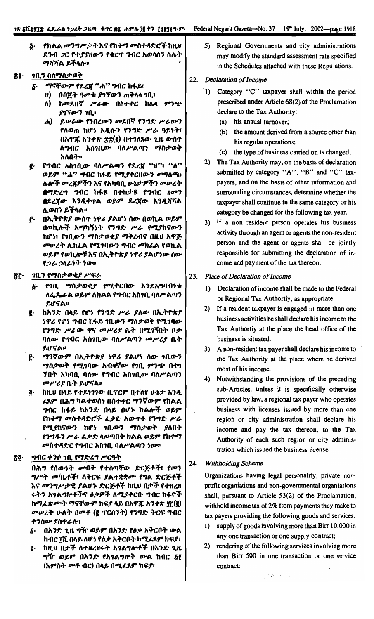#### 1ጽ ፩ሺ፱፻፲፰ ፌዴራል ነ*ጋ*ሪት ጋዜጣ ቁጥር ፴፯ ሐምሴ ፲፪ ቀን ፲፱፻፺፪ ዓ·ም·

Federal Negarit Gazeta-No. 37 19<sup>th</sup> July, 2002-page 1918

<u>& የክልል መንግሥታት እና የከተማ መስተዳድሮች ከዚህ</u> ደንብ *ጋ*ር የተ*ያያ*ዘውን የቁርጥ ግብር አወሳሰን ስሌት ማሻሻል ይችላሉ።

# <u>ጽጀ የ ገቢን ስለማስታወቅ</u>

- ፩· ማናቸውም የደረጀ "ሐ" ግብር ከፋይ፣
	- *ሀ*) በበጀት ዓመቱ *ያገኘውን* ጠቅላላ *ገ*ቢ፤
	- ለ) ከመደበኛ ሥራው በስተቀር ከሌላ ምንጭ ያገኘውን ገቢ፣
	- ሐ) ይሠራው የነበረውን መደበኛ የንግድ ሥራውን የለወጠ ከሆነ አዲሱን የንግድ ሥራ ዓይነት፣ በአዋጁ አንቀጽ ቋቋ(፪) በተገለጸው ጊዜ ውስጥ ለግብር አስገቢው ባለሥልጣን ማስታወቅ አለበት።
- g. የግብር አስገቢው ባለሥልጣን የደረጃ "ሀ<sup>ንን</sup>፤ "ለ<sup>ንን</sup> ወይም "ሐ" ግብር ከፋይ የሚያቀርበውን መግለጫ፣ ሌሎች መረጀዎችን እና የአካባቢ ሁኔታዎችን መሠረት በማድረግ ግብር ከፋዩ በተከታዩ የግብር ዘመን በደረጀው እንዲቀጥል ወይም ደረጀው እንዲሻሻል ሊወስን ይችላል።
- ፫· በኢትዮጵያ ውስጥ ነዋሪ ያልሆነ ሰው በወኪል ወይም በወኪሎች አማካኝነት የንግድ ሥራ የሚያከናውን ከሆነ፣ የገቢውን ማስታወቂያ ማቅረብና በዚህ አዋጅ *መሠረት* ሲከፈል የሚገባውን ግብር መከፈል የወኪል ወይም የወኪሎቹ እና በኢትዮጵያ ነዋሪ ያልሆነው ሰው የጋራ ኃላፊነት ነው።

#### ፟፟፟፟፟ቖ፞፝፝፝፝፟፝፟፟ *ገቢን የማስታወቂያ ሥፍራ*

- ፩· የገቢ ማስታወቂያ የሚቀርበው እንደአግባብነቱ ለፌዴራል ወይም ለክልል የግብር አስገቢ ባለሥልጣን ይሆናል።
- ከአንድ በላይ የሆነ የንግድ ሥራ ያለው በኢትዮጵያ g. *ነዋሪ የሆነ ግ*ብር ከፋይ *ገ*ቢውን ማስታወቅ የሚገባው የንግድ ሥራው ዋና መሥሪያ ቤት በሚገኝበት ቦታ ባለው የግብር አስገቢው ባለሥልጣን መሥሪያ ቤት ይሆናል።
- <u>ሮ· ማንኛውም በኢትዮጵያ ነዋሪ ያልሆነ ሰው *ገ*ቢውን</u> ማስታወቅ የሚገባው አብዛኛው የገቢ ምንጭ በተገ ንበት አካባቢ ባለው የግብር አስገቢው ባለሥልጣን መሥሪያ ቤት ይሆናል።
- <u>፩</u>· ከዚህ በላይ የተደነገገው ቢኖርም በተለየ ሁኔታ እንዲ *ፌ*ጸም በሕግ ካልተወሰነ በስተቀር ማንኛውም የክልል ግብር ከፋይ ከአንድ በላይ በሆኑ ክልሎች ወይም የከተማ መስተዳድሮች ፈቃድ አውጥቶ የንግድ ሥራ የሚያከናውን ከሆነ ገቢውን ማስታወቅ ያለበት የንግዱን ሥራ ፌቃድ ላወጣበት ክልል ወይም የከተማ *መ*ስተ*ጻ*ድር የግብር አስንቢ ባለሥልጣን ነው።

#### ግብር ቀንሶ ገቢ የማድረግ ሥርዓት ጽ፬∙

በሕግ የሰውነት መብት የተሰጣቸው ድርጅቶች፤ የመን *ግሥት መ/*ቤቶች፣ ለትርፍ *ያ*ልተቋቋሙ የግል ድርጅቶች እና መንግሥታዊ ያልሆኑ ድርጅቶች ከዚህ በታች የተዘረዘ <u>ሩትን አገልግሎቶችና ዕቃዎች ለሚያቀርቡ ግብር ከፋዮች</u> ከሚፌጽሙት ማናቸውም ክፍያ ላይ በአዋጁ አንቀጽ ያ፫(፪) *መሠረት ሁለት በመቶ (*፪ ፐርሰንት) የንግድ ትርፍ ግብር ቀንሰው ያስቀራሎ፣

- δ· በአንድ ጊዜ ግዥ ወይም በአንድ የዕቃ አቅርቦት ውል ከብር ፲ሺ በላይ ለሆነ የዕቃ አቅርቦት ከሚፈጸም ክፍያ፣
- ፪· ከዚህ በታች ለተዘረዘሩት አ*ገ*ልግሎቶች በአንድ ጊዜ *ግዥ ወይም* በአንድ የአ*ገ*ልግሎት ውል ከብር <u>ξ</u>f (አምስት መቶ ብር) በላይ በሚፈጸም ክፍያ፣

5) Regional Governments and city administrations may modify the standard assessment rate specified in the Schedules attached with these Regulations.

#### 22. Declaration of Income

- 1) Category "C" taxpayer shall within the period prescribed under Article 68(2) of the Proclamation declare to the Tax Authority:
	- (a) his annual turnover;
	- (b) the amount derived from a source other than his regular operations;
	- (c) the type of business carried on is changed;
- 2) The Tax Authority may, on the basis of declaration submitted by category "A", "B" and "C" taxpayers, and on the basis of other information and surrounding circumstances, determine whether the taxpayer shall continue in the same category or his category be changed for the following tax year.
- 3) If a non resident person operates his business activity through an agent or agents the non-resident person and the agent or agents shall be jointly responsible for submitting the declaration of income and payment of the tax thereon.
- 23. Place of Declaration of Income
	- 1) Declaration of income shall be made to the Federal or Regional Tax Authortiy, as appropriate.
	- 2) If a resident taxpayer is engaged in more than one business activities he shall declare his income to the Tax Authortiy at the place the head office of the business is situated.
	- 3) A non-resident tax payer shall declare his income to the Tax Authority at the place where he derived most of his income.
	- 4) Notwithstanding the provisions of the preceding sub-Articles, unless it is specifically otherwise provided by law, a regional tax payer who operates business with licenses issued by more than one region or city administration shall declare his income and pay the tax thereon, to the Tax Authority of each such region or city administration which issued the business license.

#### Withholding Scheme 24.

Organizations having legal personality, private nonprofit organiations and non-governmental organiations shall, pursuant to Article 53(2) of the Proclamation, withhold income tax of 2% from payments they make to tax payers providing the following goods and services.

- 1) supply of goods involving more than Birr 10,000 in any one transaction or one supply contract;
- 2) rendering of the following services involving more than Birr 500 in one transaction or one service contract: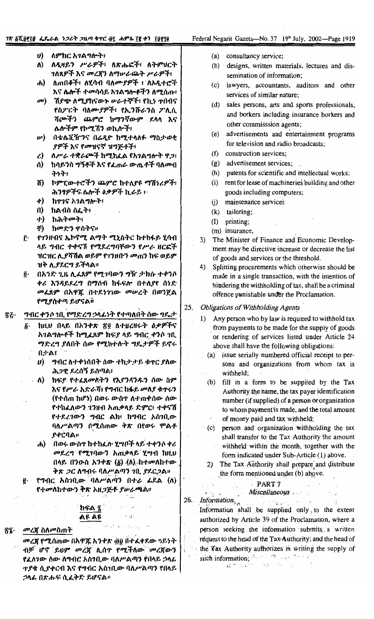#### Federal Negarit Gazeta-No. 37 19th July, 2002-Page 1919

- ለምክር አገልግሎት፣  $\boldsymbol{\theta}$
- ለዲዛይን ሥራዎች፣ ለጽሑፎች፣ ለትምሀርት ለ) *ገ*ለጸዎች እና መረጀን ለማሠራጨት ሥራዎች፣
- ለጠበቆች፣ ለሂሳብ ባለሙያዎች ፣ ለአዲተሮች  $\mathbf{d}$ እና ሴሎች ተመሳሳይ አገልግሎቶችን ለሚሰጡ፣
- መ) ሽያጭ ለሚያከናውኑ ሠራተኞች፣ የኪነ ተበብና የስፖርት ባለሙያዎች፣ የኢንሹራንስ ፖሊሲ ሻጮችን ጨምሮ ከማንኛውም ደላላ እና ሌሎችም የኮሚሽን ወኪሎች፣
- በቴሌቪዥንና በሬዲዮ ከሚተላለፉ ማስታወቂ  $\nu$ ያዎች እና የመዝናኛ ዝግጅቶች፣
- ለሥራ ተቋራጮች ከሚከፈል የአንልግሎት ዋጋ፣  $\mathcal{L}$
- ሰ) ከሳይንስ ግኝቶች እና የፌጠራ ውጤቶች ባለ*ሙ*ብ チェネシ
- ሽ) ኮምፒውተሮችን ጨምሮ ከተለያዩ ማሽነሪዎች፣ ሕንፃዎችና ሌሎች ዕቃዎች ኪራይ ፣
- ቀ) ከጥንና አንልማሎት፣
- ከልብስ ስፌት፣  $\mathbf{u}$
- ከሕተመት፣ **ナ**)
- ቸ) ከመድን ዋስትና።
- <u>ድ የ</u>1ንዘብና ኤኮኖሚ ልማት ሚኒስትር ከተከፋይ ሂሳብ ላይ ግብር ተቀናሽ የሚደረግባቸውን የሥራ ዘርፎች ዝርዝር ሊያሻሽል ወይም የ1ንዘቡን መጠን ከፍ ወይም ዝቅ ሊያደርግ ይችላል።
- በአንድ ጊዜ ሊፈጸም የሚገባውን ግዥ ታክሱ ተቀንሶ õ. ቀሪ እንዳይደረግ በማሰብ ከፋፍሎ በተለያየ ሰነድ መፈጸም በአዋጁ በተደነገገው መሠረት በወንጀል የሚያስቀጣ ይሆናልቶ
- ግብር ቀንሶ ገቢ የማድረግ ኃሳፊነት የተጣለበት ሰው ግዴታ ፳፩·
	- ከዚህ በላይ በአንቀጽ ፳፬ ለተዘረዘሩት ዕቃዎችና б. አገልግሎቶች ከሚፈጸም ክፍያ ላይ ግብር ቀንሶ ገቢ ማድረግ ያለበት ሰው የሚከተሉት ግዴታዎች ይኖሩ በታል፣
		- *ግ*ብር ለተቀነሰበት ሰው ተከታታይ ቁ**ተር ያ**ለው  $\boldsymbol{\theta}$ ሕ*ጋ*ዊ ደረሰኝ ይሰጣል፣
		- ክፍይ የተፈጸመስትን የእያንዳንዱን ሰው ስም  $\Lambda$ እና የሥራ አድራሻ፤ የግብር ከፋይ መለያ ቁጥሩን (የተሰጠ ከሆነ) በወሩ ውስጥ ለተጠቀሰው ሰው የተከፈለውን ገንዘብ አጠቃላይ ድምር፣ ተቀናሽ የተደረገውን ግብር ልክ፣ ከግብር አስገቢው ባለሥልጣን በሚሰጠው ቅጽ በየወሩ ምልቶ **ያቀርባል።**
		- ሐ) በወሩ ውስጥ ከተከፌሉ ሂሣቦች ላይ ተቀንሶ ቀሪ *መ*ደረግ የሚገባውን አጠቃላይ ሂሣብ ከዚህ በላይ በንውስ አንቀጽ  $(\delta)$   $(\Lambda)$  ከተመለከተው ቅጽ *ጋ*ር ለግብሩ ባለሥልጣን ገቢ *ያ*ደር*ጋ*ል።

s Kan

የግብር አስገቢው ባለሥልጣን በተራ ፊደል (ለ) የተመለከተውን ቅጽ አዘ*ጋ*ጅቶ ያሥራጫል፡፡

#### ክፍል ፯ ልዩ ልዩ

- *መረጀ* ስለመስጠት ኛ፤·
	- መረጃ የሚሰጠው በአዋጁ አንቀጽ ፴፱ በተፈቀደው ዓይነት ብቻ ሆኖ ይህም መረጃ ሲሰጥ የሚችለው መረጃውን የፈለገው ሰው ለግብር አስነቢው ባለሥልጣን የበላይ ኃላፊ <u> ተያቄ ሲያቀርብ እና የግብር አስገቢው ባለሥልጣን የበላይ |</u> *ኃ*ላፊ በጽሑፍ ሲፈቅድ ይሆናል፡፡
- $(a)$ consultancy service;
- designs, written materials, lectures and dis- $(b)$ semination of information;
- lawyers, accountants, auditors and other  $(c)$ services of similar nature;
- (d) sales persons, arts and sports professionals, and borkers including insurance borkers and other commisssion agents;
- advertisements and entertainment programs  $(e)$ for television and radio broadcasts;
- $(f)$ construction services;
- advertisement services;  $(g)$
- patents for scientific and intellectual works;  $(h)$
- rent for lease of machineries building and other  $(i)$ goods including computers;
- maintenance services  $(i)$
- (k) tailoring;
- $(I)$  printing;
- (m) insurance,
- The Minister of Finance and Economic Develop- $3)$ ment may be directive increase or decrease the list of goods and services or the threshold.
- $4)$ Splitting procurements which otherwise should be made in a single transaction, with the intention of hindering the withholding of tax, shall be a criminal offence punishable under the Proclamation.
- **Obligations of Withholding Agents** 25.
	- Any person who by law is required to withhold tax  $\mathbf{1}$ from payments to be made for the supply of goods or rendering of services listed under Article 24 above shall have the following obligations:
		- issue serially numbered official receipt to per- $(a)$ sons and organizations from whom tax is withheld;
		- fill in a form to be supplied by the Tax  $(b)$ Authority the name, the tax payer identification number (if supplied) of a person or organization to whom payment'is made, and the total amount of money paid and tax withheld;
		- person and organization withholding the tax  $(c)$ shall transfer to the Tax Authority the amount withheld within the month, together with the form indicated under Sub-Article (1) above.
		- 2) The Tax Authority shall prepare and distribute the form mentioned under (b) above.

#### PART<sub>7</sub>

# Miscellaneous

Information 2 things and Information shall be supplied only, to the extent authorized by Article 39 of the Proclamation, where a person seeking the information submits a written request to the head of the Tax Authority; and the head of the Tax Authority authorizes in writing the supply of such information; the state of the state of the state  $\partial S_{\alpha\beta}$  .

e Sign 료쓰시다

 $\mathbf{z}$ 

26.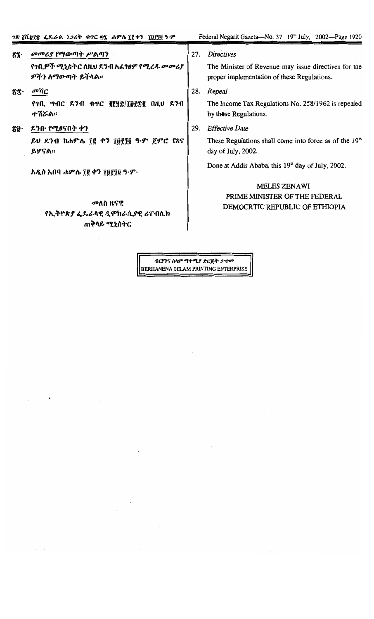- መመሪያ የማውጣት ሥልጣን ፳፯· የንቢዎች ሚኒስትር ለዚህ ደንብ አፈፃፀም የሚረ*ዱ መመሪያ* ዎችን ለማውጣት ይችላል።
- መሻር  $\delta \bar{x}$ የገቢ ግብር ደንብ ቁጥር ፪፻፶፰/፲፱፻፷፪ በዚህ ደንብ ተሽሯል።
- ደንቡ የሚፀናበት ቀን XÛ∙

ይህ ደንብ ከሐምሌ ፲፪ ቀን ፲፱፻፺፬ ዓ.ም ጀምሮ የጸና ይሆናል።

አዲስ አበባ ሐምሌ ፲፪ ቀን ፲፱፻፺፬ ዓ.ም.

# መለስ ዜናዊ የኢትዮጵያ ፌዴራላዊ ዲሞክራሲያዊ ሪፐብሊክ ጠቅላይ ሚኒስትር

#### 27. Directives

The Minister of Revenue may issue directives for the proper implementation of these Regulations.

28. Repeal

The Income Tax Regulations No. 258/1962 is repealed by those Regulations.

29. Effective Date

These Regulations shall come into force as of the 19<sup>th</sup> day of July, 2002.

Done at Addis Ababa, this 19th day of July, 2002.

# MELES ZENAWI PRIME MINISTER OF THE FEDERAL DEMOCRTIC REPUBLIC OF ETHIOPIA

ብርሃንና ሰላም ማተሚያ ድርጅት ታተመ BERHANENA SELAM PRINTING ENTERPRISE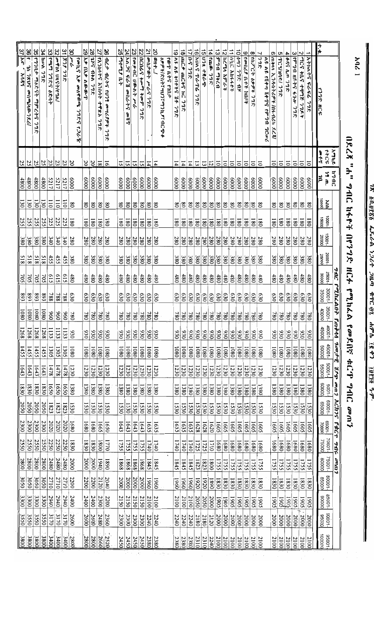| ינ<br>יו       |
|----------------|
| וס הסגיש<br>77 |
| ر<br>مبر<br>4  |
| лhс<br>Т       |
| tac ĝi         |
| うづみ            |
| ig c           |
| i prz          |
|                |

×.

| ווצליא                                                                       |
|------------------------------------------------------------------------------|
|                                                                              |
|                                                                              |
|                                                                              |
|                                                                              |
|                                                                              |
|                                                                              |
|                                                                              |
|                                                                              |
|                                                                              |
|                                                                              |
|                                                                              |
|                                                                              |
| こうかい ごうがん                                                                    |
|                                                                              |
|                                                                              |
|                                                                              |
|                                                                              |
|                                                                              |
|                                                                              |
|                                                                              |
|                                                                              |
|                                                                              |
| へんてつ                                                                         |
|                                                                              |
|                                                                              |
|                                                                              |
|                                                                              |
|                                                                              |
|                                                                              |
|                                                                              |
|                                                                              |
|                                                                              |
|                                                                              |
|                                                                              |
|                                                                              |
|                                                                              |
|                                                                              |
|                                                                              |
|                                                                              |
|                                                                              |
|                                                                              |
|                                                                              |
|                                                                              |
|                                                                              |
|                                                                              |
|                                                                              |
|                                                                              |
|                                                                              |
|                                                                              |
|                                                                              |
|                                                                              |
|                                                                              |
|                                                                              |
| $HCA$ eal $h_{\alpha}$ for for $f_{\beta}$ and $f_{\gamma}$ and $f_{\gamma}$ |
|                                                                              |
|                                                                              |
| ww                                                                           |

| t.<br>4<br>$\vec{5}$<br>37/Ac<br>8<br>33<br>32<br>မွ<br>$\overline{z}$<br>24 አል <i>ጋና ፍራ</i> ሽ መሰራትና<br>23<br>22<br>21<br>$\vec{e}$<br>35 97919 70897 7976 798<br>34 Vony 79R<br>29<br>28<br>9<br>25<br>8<br>17<br><b>G</b><br>$\frac{1}{4}$<br>$\vec{\omega}$<br>$\vec{v}$<br>$\equiv$<br>6<br>ಹ<br>$\vec{0}$<br>$\overline{6}$<br>$\infty$<br>$\omega$<br>თ<br>c<br>$\overline{\phantom{a}}$<br>N<br>┙<br>アーチンロ こうさん<br><b>INAC ANA-4-PT</b><br> የምግብ ዘይትና ፋንሎ<br>フレック アクラム<br>しょうきょう<br>よりりり キナリ プクリロク<br><b>905767 0997 798</b><br>97979<br> ጠቅሳላ ኢንዱስትሪዎች /በፋብሪካ<br>489 AM 79R<br>የጫጣ ንግድና ዕድሳት<br><b>1755 APA 77R</b><br><b>FA70075 እንሰባት ተዋጽኦ ንግድ</b><br>UCOGG to and to go of<br>far<br>1707<br>ひんきょうそう<br>りょくきんら<br><b>PCRO 77R</b><br>ハーンアクト<br>ትአጥር ቻቸዋተ የብቶ የጋም<br>آف<br>አቃ በኢቃ ልውውጥ<br>أحالمساكم للها<br>anc. anc+5 hc 772<br>ものり フク欠 イチ<br>ぶんし<br>TCY/1919/792<br><b>Athat?</b><br>$\mathbf{z}_2$<br>ብረታ ብረትና የሀንፃ ሙሣሪያዎች ንግድ<br>هاا+<br>ለዩ ለዩ የሽቀጣ ሽቀንና የምግብ<br>መዋዕለ ሀጻናት/የግል/<br>أمعمل<br>$600hc \lambda$<br>የወጉ ቤትና የገበታ<br>よやぞんぐりぞこりつこうりん ようにんや<br><b>7h 78VS</b><br>ንግድ<br>ごてい しょうき<br>そんらん<br>መሰዋወጫ<br>どつりた さいか<br>መስጫ/ሳውንዖራ/<br>ياملا<br>う<br>798<br>779<br>778<br>ንግድ<br>ንግድና<br>صيران<br>いっとう<br>Tews<br>RCRI<br>9748<br>مصهيز<br>25<br>$\frac{23}{2}$<br>25<br>25<br>23<br>23<br>$\overline{50}$<br>$\overline{0}$<br>20<br>$\overline{\circ}$<br>$\overline{\circ}$<br>51<br><u>51</u><br>$\overline{5}$<br>$\overline{\circ}$<br>$\overline{0}$<br>$\overline{0}$<br>$\overline{\circ}$<br>$\overline{\circ}$<br>$ \bar{\circ} $<br>$\overline{\circ}$<br>$\overline{\circ}$<br>$\overline{\phantom{0}}$<br>$\overline{8}$<br>5<br>15<br>14<br>$\overline{1}$<br>14<br>14<br>$\overline{1}$<br>$\overline{3}$<br>13<br>$\overline{\circ}$<br>$\overline{\circ}$<br>15<br>11 m.<br>ĕ<br>0009<br>0009<br>0009<br>0009<br>0009<br>0009<br>0009<br>0009<br>5217<br>0009<br>0009<br>0009<br>0009<br>0009<br>0009<br>0009<br>0009<br>0009<br>0009<br>0009<br>0009<br>0009<br>0009<br>0009<br>0009<br>0009<br>0009<br>0009<br>0009<br>0081<br>4800<br>4800<br>5217<br>5217<br>0009<br>0009<br>00001<br>$\overline{130}$<br>š<br>$\overline{130}$<br>130<br>$\overline{110}$<br>$\overline{130}$<br>$\overline{5}$<br>$\bar{5}$<br>$\infty$<br>$\infty$<br>$\infty$<br>$_{\rm 80}$<br>$\infty$<br>$\infty$<br>$\infty$<br>$\infty$<br>$\infty$<br>$\infty$<br>$\infty$<br>$\infty$<br>$\infty$<br>80<br>$\infty$<br>$\infty$<br>$\infty$<br>$\infty$<br>$\infty$<br>$\infty$<br>$\boldsymbol{\delta}$<br>$\boldsymbol{\delta}$<br>$\infty$<br>$\infty$<br>$\infty$<br>$\infty$<br>$\infty$<br>$\infty$<br>$\infty$<br>8<br>$-10001$<br>15000<br>255<br>255<br>255<br>225<br>225<br>225<br>255<br><b>180</b><br>081<br>$\overline{180}$<br>081<br>$\frac{180}{2}$<br>180<br><b>180</b><br>$\overline{180}$<br>180<br>$\overline{180}$<br>081<br>$\overline{180}$<br>180<br>180<br>081<br>180<br><b>180</b><br>081<br><b>180</b><br><b>180</b><br><b>180</b><br>$\overline{180}$<br>$\overline{180}$<br>180<br>$\overline{180}$<br>$\overline{180}$<br>081<br>$\overline{081}$<br>$\overline{180}$<br>$\overline{180}$<br>15001-<br>poooz<br>280<br>280<br>280<br>280<br>280<br>280<br>280<br>$^{280}$<br>280<br>280<br>280<br>280<br>280<br>280<br>280<br>380<br>380<br>380<br>380<br>340<br>$\mathfrak{z}_4$<br>340<br>280<br>280<br>280<br>280<br>280<br>$^{280}$<br>$^{280}$<br>280<br>280<br>380<br>$^{280}$<br>280<br>087<br>280<br>$^{280}$<br>20001-<br>25000<br>380<br>380<br>380<br>815<br>815<br>815<br>455<br>455<br>455<br>380<br>380<br>380<br>380<br>380<br>380<br>380<br>380<br>380<br>380<br>380<br>380<br>380<br>380<br>380<br>380<br>380<br>380<br>380<br>380<br>$08\epsilon$<br>380<br><b>S18</b><br>380<br>380<br>380<br>380<br>380<br>25001<br>oooog<br>£19<br>613<br>480<br>480<br>480<br>480<br>615<br>480<br>480<br>480<br>480<br>480<br>480<br>480<br>480<br>480<br>480<br>480<br>480<br>480<br>480<br>480<br>705<br>480<br>480<br>480<br>480<br>480<br>480<br>480<br>480<br>480<br>480<br>480<br>705<br>202<br>202<br>10000<br>35000<br>089<br>£68<br>089<br>0£9<br>030<br>030<br>£68<br>£68<br>£68<br>030<br>030<br>030<br>030<br>030<br>030<br>030<br>030<br>030<br>030<br>030<br>030<br>030<br>030<br>030<br>030<br>030<br>030<br>0£9<br>030<br>030<br>630<br>030<br>030<br>030<br>788<br>788<br>788<br>35001-<br>40000<br>10801<br>1080<br>1080<br>0801<br>66<br>096<br>096<br>$08\ell$<br>$08\ell$<br>08L<br>082<br>$08\ell$<br>$08\ell$<br>08L<br>082<br>$08\ell$<br>082<br>$\frac{180}{2}$<br>$-180$<br>08L<br>$08\ell$<br>$^{180}$<br>$^{082}$<br>082<br>08L<br>$08\ell$<br>$08\ell$<br>082<br>08L<br>$\frac{8}{2}$<br>$08\ell$<br>$08\ell$<br>082<br>082<br>08L<br>08L<br>08L<br>$40001 -$<br>45000<br>1268<br>1133<br>1268<br>1133<br>1268<br>1133<br>1268<br>086<br>030<br>030<br>030<br>086<br>030<br>030<br>030<br>0.66<br>086<br>086<br>030<br>086<br>030<br>030<br>030<br>030<br>030<br>030<br>030<br>030<br>030<br>030<br>030<br>030<br>086<br>030<br>030<br>030<br>030<br>45001-<br>0801<br>1455<br>1455<br>1080<br>1080<br>1080<br>1080<br>0801<br>1080<br>0801<br>1305<br>1305<br>1080<br>0801<br>1080<br>1080<br>0801<br>1080<br>0801<br>1080<br>1080<br>1455<br>1305<br>1080<br>1080<br>0801<br>0801<br>1080<br>1080<br>1080<br>0801<br>1080<br>0801<br>0801<br>1080<br>1455<br>0801<br>$-10005$<br>55000<br>1230<br>1230<br>1230<br>1230<br>1230<br>1643<br>1643<br>1230<br>1230<br>1230<br>1230<br>1230<br>1230<br>1643<br>1478<br>1230<br>1230<br>1230<br>1230<br>1230<br>1230<br>1230<br>1230<br>1230<br>1230<br>1230<br>1230<br>1230<br>1230<br>1478<br>1478<br>1230<br>1230<br>1230<br>1230<br>1230<br>643<br>coooo<br>$-1005$<br>1380<br>1380<br>1380<br>1380<br>1380<br>1380<br>1380<br>1830<br>1650<br>1380<br>1380<br>1830<br>1650<br>1380<br>1380<br>1380<br>1380<br>1380<br>1650<br>1380<br>1380<br>1380<br>1380<br>1380<br>$\frac{1380}{ }$<br>1380<br>1830<br>1380<br>1380<br>1380<br>1380<br>1380<br>1380<br>1380<br>1380<br>1380<br>0830<br>$-10009$<br>00099<br>2050<br>2050<br>2050<br>2050<br>1530<br>1530<br>1530<br>1530<br>1530<br>1823<br>1530<br>1530<br>1530<br>1530<br>1530<br>1530<br>1823<br>1530<br>1530<br>1530<br>1530<br>1530<br>1530<br>1530<br>1530<br>1530<br>1530<br>1530<br>1530<br>1530<br>1823<br>1530<br>1530<br>1530<br>1530<br>1530<br>1530<br>10002<br>2300<br>2300<br>2300<br>2020<br>2020<br>2300<br>2020<br>1680<br>1650<br>1643<br>1635<br>1680<br>1635<br>1605<br>1665<br>1643<br>1643<br>1635<br>1605<br>1605<br>1605<br>1605<br>1605<br>1643<br>1628<br>1628<br>1620<br>1605<br>1605<br>1605<br>1605<br>1605<br>1680<br>1635<br>1635<br>1605<br>1605 |             | スワカル | <b>DJUL4</b>     |  |  | 204 | POZNLANT | $9 - 4 - 9$ | セイリ |  | mm <sub>3</sub> ACh35 P&CT | カラブ |                   |                  | $\iota$ Wa $\vartheta$ |                                          |                |
|------------------------------------------------------------------------------------------------------------------------------------------------------------------------------------------------------------------------------------------------------------------------------------------------------------------------------------------------------------------------------------------------------------------------------------------------------------------------------------------------------------------------------------------------------------------------------------------------------------------------------------------------------------------------------------------------------------------------------------------------------------------------------------------------------------------------------------------------------------------------------------------------------------------------------------------------------------------------------------------------------------------------------------------------------------------------------------------------------------------------------------------------------------------------------------------------------------------------------------------------------------------------------------------------------------------------------------------------------------------------------------------------------------------------------------------------------------------------------------------------------------------------------------------------------------------------------------------------------------------------------------------------------------------------------------------------------------------------------------------------------------------------------------------------------------------------------------------------------------------------------------------------------------------------------------------------------------------------------------------------------------------------------------------------------------------------------------------------------------------------------------------------------------------------------------------------------------------------------------------------------------------------------------------------------------------------------------------------------------------------------------------------------------------------------------------------------------------------------------------------------------------------------------------------------------------------------------------------------------------------------------------------------------------------------------------------------------------------------------------------------------------------------------------------------------------------------------------------------------------------------------------------------------------------------------------------------------------------------------------------------------------------------------------------------------------------------------------------------------------------------------------------------------------------------------------------------------------------------------------------------------------------------------------------------------------------------------------------------------------------------------------------------------------------------------------------------------------------------------------------------------------------------------------------------------------------------------------------------------------------------------------------------------------------------------------------------------------------------------------------------------------------------------------------------------------------------------------------------------------------------------------------------------------------------------------------------------------------------------------------------------------------------------------------------------------------------------------------------------------------------------------------------------------------------------------------------------------------------------------------------------------------------------------------------------------------------------------------------------------------------------------------------------------------------------------------------------------------------------------------------------------------------------------------------------------------------------------------------------------------------------------------------------------------------------------------------------------------------------------------------------------------------------------------------------------------------------------------------------------------------------------------------------------------------------------------------------------------------------------------------------------------------------------------------------------------------------------------------------------------------------------------------------------------------------------------------------------------------------------------------------------------------------------------------------------------------------------------------------------------------------------------------------------------------------------------------------------------------------------------------------------------------------------------------------------------------------------------------------------------------------------------------------------------------------------------------------------------------------------------------------------------------------------------------------------------------------------------------------------------------------------------------------------------------------------------------------------------------------------------------------------------------------------------------------------------------------------------------------------------------------------------------------------------------------------------------------------------------------------------------------------------------------------------------------------------------------------------------------------------------------------------------------------------------------------------------------------------------------------------------------------------------------------------------------------------------------------------------------------------------------------------------------------------|-------------|------|------------------|--|--|-----|----------|-------------|-----|--|----------------------------|-----|-------------------|------------------|------------------------|------------------------------------------|----------------|
|                                                                                                                                                                                                                                                                                                                                                                                                                                                                                                                                                                                                                                                                                                                                                                                                                                                                                                                                                                                                                                                                                                                                                                                                                                                                                                                                                                                                                                                                                                                                                                                                                                                                                                                                                                                                                                                                                                                                                                                                                                                                                                                                                                                                                                                                                                                                                                                                                                                                                                                                                                                                                                                                                                                                                                                                                                                                                                                                                                                                                                                                                                                                                                                                                                                                                                                                                                                                                                                                                                                                                                                                                                                                                                                                                                                                                                                                                                                                                                                                                                                                                                                                                                                                                                                                                                                                                                                                                                                                                                                                                                                                                                                                                                                                                                                                                                                                                                                                                                                                                                                                                                                                                                                                                                                                                                                                                                                                                                                                                                                                                                                                                                                                                                                                                                                                                                                                                                                                                                                                                                                                                                                                                                                                                                                                                                                                                                                                                                                                                                                                                                                                                                                                        |             |      |                  |  |  |     |          |             |     |  |                            |     | $-10002$<br>75000 |                  | $-10092$<br>00008      | 10008<br>85000<br>-10098                 | 00006<br>00096 |
|                                                                                                                                                                                                                                                                                                                                                                                                                                                                                                                                                                                                                                                                                                                                                                                                                                                                                                                                                                                                                                                                                                                                                                                                                                                                                                                                                                                                                                                                                                                                                                                                                                                                                                                                                                                                                                                                                                                                                                                                                                                                                                                                                                                                                                                                                                                                                                                                                                                                                                                                                                                                                                                                                                                                                                                                                                                                                                                                                                                                                                                                                                                                                                                                                                                                                                                                                                                                                                                                                                                                                                                                                                                                                                                                                                                                                                                                                                                                                                                                                                                                                                                                                                                                                                                                                                                                                                                                                                                                                                                                                                                                                                                                                                                                                                                                                                                                                                                                                                                                                                                                                                                                                                                                                                                                                                                                                                                                                                                                                                                                                                                                                                                                                                                                                                                                                                                                                                                                                                                                                                                                                                                                                                                                                                                                                                                                                                                                                                                                                                                                                                                                                                                                        |             |      |                  |  |  |     |          |             |     |  |                            |     | 1680              | 1755             | 1830                   | 506I                                     | 2000           |
|                                                                                                                                                                                                                                                                                                                                                                                                                                                                                                                                                                                                                                                                                                                                                                                                                                                                                                                                                                                                                                                                                                                                                                                                                                                                                                                                                                                                                                                                                                                                                                                                                                                                                                                                                                                                                                                                                                                                                                                                                                                                                                                                                                                                                                                                                                                                                                                                                                                                                                                                                                                                                                                                                                                                                                                                                                                                                                                                                                                                                                                                                                                                                                                                                                                                                                                                                                                                                                                                                                                                                                                                                                                                                                                                                                                                                                                                                                                                                                                                                                                                                                                                                                                                                                                                                                                                                                                                                                                                                                                                                                                                                                                                                                                                                                                                                                                                                                                                                                                                                                                                                                                                                                                                                                                                                                                                                                                                                                                                                                                                                                                                                                                                                                                                                                                                                                                                                                                                                                                                                                                                                                                                                                                                                                                                                                                                                                                                                                                                                                                                                                                                                                                                        |             |      |                  |  |  |     |          |             |     |  |                            |     | 1680              | 1755             | 1830                   | 1905                                     | 2000           |
|                                                                                                                                                                                                                                                                                                                                                                                                                                                                                                                                                                                                                                                                                                                                                                                                                                                                                                                                                                                                                                                                                                                                                                                                                                                                                                                                                                                                                                                                                                                                                                                                                                                                                                                                                                                                                                                                                                                                                                                                                                                                                                                                                                                                                                                                                                                                                                                                                                                                                                                                                                                                                                                                                                                                                                                                                                                                                                                                                                                                                                                                                                                                                                                                                                                                                                                                                                                                                                                                                                                                                                                                                                                                                                                                                                                                                                                                                                                                                                                                                                                                                                                                                                                                                                                                                                                                                                                                                                                                                                                                                                                                                                                                                                                                                                                                                                                                                                                                                                                                                                                                                                                                                                                                                                                                                                                                                                                                                                                                                                                                                                                                                                                                                                                                                                                                                                                                                                                                                                                                                                                                                                                                                                                                                                                                                                                                                                                                                                                                                                                                                                                                                                                                        |             |      |                  |  |  |     |          |             |     |  |                            |     | 1680              | 1755             | 1830                   | 506I                                     | 2000           |
|                                                                                                                                                                                                                                                                                                                                                                                                                                                                                                                                                                                                                                                                                                                                                                                                                                                                                                                                                                                                                                                                                                                                                                                                                                                                                                                                                                                                                                                                                                                                                                                                                                                                                                                                                                                                                                                                                                                                                                                                                                                                                                                                                                                                                                                                                                                                                                                                                                                                                                                                                                                                                                                                                                                                                                                                                                                                                                                                                                                                                                                                                                                                                                                                                                                                                                                                                                                                                                                                                                                                                                                                                                                                                                                                                                                                                                                                                                                                                                                                                                                                                                                                                                                                                                                                                                                                                                                                                                                                                                                                                                                                                                                                                                                                                                                                                                                                                                                                                                                                                                                                                                                                                                                                                                                                                                                                                                                                                                                                                                                                                                                                                                                                                                                                                                                                                                                                                                                                                                                                                                                                                                                                                                                                                                                                                                                                                                                                                                                                                                                                                                                                                                                                        |             |      |                  |  |  |     |          |             |     |  |                            |     | 0891              | 1755             | 1830                   |                                          | 2000           |
|                                                                                                                                                                                                                                                                                                                                                                                                                                                                                                                                                                                                                                                                                                                                                                                                                                                                                                                                                                                                                                                                                                                                                                                                                                                                                                                                                                                                                                                                                                                                                                                                                                                                                                                                                                                                                                                                                                                                                                                                                                                                                                                                                                                                                                                                                                                                                                                                                                                                                                                                                                                                                                                                                                                                                                                                                                                                                                                                                                                                                                                                                                                                                                                                                                                                                                                                                                                                                                                                                                                                                                                                                                                                                                                                                                                                                                                                                                                                                                                                                                                                                                                                                                                                                                                                                                                                                                                                                                                                                                                                                                                                                                                                                                                                                                                                                                                                                                                                                                                                                                                                                                                                                                                                                                                                                                                                                                                                                                                                                                                                                                                                                                                                                                                                                                                                                                                                                                                                                                                                                                                                                                                                                                                                                                                                                                                                                                                                                                                                                                                                                                                                                                                                        |             |      |                  |  |  |     |          |             |     |  |                            |     | 1680              | 1755             | 1830                   | $rac{1}{100}$                            | 2000           |
|                                                                                                                                                                                                                                                                                                                                                                                                                                                                                                                                                                                                                                                                                                                                                                                                                                                                                                                                                                                                                                                                                                                                                                                                                                                                                                                                                                                                                                                                                                                                                                                                                                                                                                                                                                                                                                                                                                                                                                                                                                                                                                                                                                                                                                                                                                                                                                                                                                                                                                                                                                                                                                                                                                                                                                                                                                                                                                                                                                                                                                                                                                                                                                                                                                                                                                                                                                                                                                                                                                                                                                                                                                                                                                                                                                                                                                                                                                                                                                                                                                                                                                                                                                                                                                                                                                                                                                                                                                                                                                                                                                                                                                                                                                                                                                                                                                                                                                                                                                                                                                                                                                                                                                                                                                                                                                                                                                                                                                                                                                                                                                                                                                                                                                                                                                                                                                                                                                                                                                                                                                                                                                                                                                                                                                                                                                                                                                                                                                                                                                                                                                                                                                                                        |             |      |                  |  |  |     |          |             |     |  |                            |     | 1680              | 1755             | 1830                   | 1905                                     | 2000           |
|                                                                                                                                                                                                                                                                                                                                                                                                                                                                                                                                                                                                                                                                                                                                                                                                                                                                                                                                                                                                                                                                                                                                                                                                                                                                                                                                                                                                                                                                                                                                                                                                                                                                                                                                                                                                                                                                                                                                                                                                                                                                                                                                                                                                                                                                                                                                                                                                                                                                                                                                                                                                                                                                                                                                                                                                                                                                                                                                                                                                                                                                                                                                                                                                                                                                                                                                                                                                                                                                                                                                                                                                                                                                                                                                                                                                                                                                                                                                                                                                                                                                                                                                                                                                                                                                                                                                                                                                                                                                                                                                                                                                                                                                                                                                                                                                                                                                                                                                                                                                                                                                                                                                                                                                                                                                                                                                                                                                                                                                                                                                                                                                                                                                                                                                                                                                                                                                                                                                                                                                                                                                                                                                                                                                                                                                                                                                                                                                                                                                                                                                                                                                                                                                        |             |      |                  |  |  |     |          |             |     |  |                            |     |                   |                  |                        |                                          |                |
|                                                                                                                                                                                                                                                                                                                                                                                                                                                                                                                                                                                                                                                                                                                                                                                                                                                                                                                                                                                                                                                                                                                                                                                                                                                                                                                                                                                                                                                                                                                                                                                                                                                                                                                                                                                                                                                                                                                                                                                                                                                                                                                                                                                                                                                                                                                                                                                                                                                                                                                                                                                                                                                                                                                                                                                                                                                                                                                                                                                                                                                                                                                                                                                                                                                                                                                                                                                                                                                                                                                                                                                                                                                                                                                                                                                                                                                                                                                                                                                                                                                                                                                                                                                                                                                                                                                                                                                                                                                                                                                                                                                                                                                                                                                                                                                                                                                                                                                                                                                                                                                                                                                                                                                                                                                                                                                                                                                                                                                                                                                                                                                                                                                                                                                                                                                                                                                                                                                                                                                                                                                                                                                                                                                                                                                                                                                                                                                                                                                                                                                                                                                                                                                                        |             |      |                  |  |  |     |          |             |     |  |                            |     | 1680              | 1755             | 0£81                   | 5061                                     | 2000           |
|                                                                                                                                                                                                                                                                                                                                                                                                                                                                                                                                                                                                                                                                                                                                                                                                                                                                                                                                                                                                                                                                                                                                                                                                                                                                                                                                                                                                                                                                                                                                                                                                                                                                                                                                                                                                                                                                                                                                                                                                                                                                                                                                                                                                                                                                                                                                                                                                                                                                                                                                                                                                                                                                                                                                                                                                                                                                                                                                                                                                                                                                                                                                                                                                                                                                                                                                                                                                                                                                                                                                                                                                                                                                                                                                                                                                                                                                                                                                                                                                                                                                                                                                                                                                                                                                                                                                                                                                                                                                                                                                                                                                                                                                                                                                                                                                                                                                                                                                                                                                                                                                                                                                                                                                                                                                                                                                                                                                                                                                                                                                                                                                                                                                                                                                                                                                                                                                                                                                                                                                                                                                                                                                                                                                                                                                                                                                                                                                                                                                                                                                                                                                                                                                        |             |      |                  |  |  |     |          |             |     |  |                            |     | 1680              | 1755             | 1830                   | <b>1905</b>                              | 2000           |
|                                                                                                                                                                                                                                                                                                                                                                                                                                                                                                                                                                                                                                                                                                                                                                                                                                                                                                                                                                                                                                                                                                                                                                                                                                                                                                                                                                                                                                                                                                                                                                                                                                                                                                                                                                                                                                                                                                                                                                                                                                                                                                                                                                                                                                                                                                                                                                                                                                                                                                                                                                                                                                                                                                                                                                                                                                                                                                                                                                                                                                                                                                                                                                                                                                                                                                                                                                                                                                                                                                                                                                                                                                                                                                                                                                                                                                                                                                                                                                                                                                                                                                                                                                                                                                                                                                                                                                                                                                                                                                                                                                                                                                                                                                                                                                                                                                                                                                                                                                                                                                                                                                                                                                                                                                                                                                                                                                                                                                                                                                                                                                                                                                                                                                                                                                                                                                                                                                                                                                                                                                                                                                                                                                                                                                                                                                                                                                                                                                                                                                                                                                                                                                                                        |             |      |                  |  |  |     |          |             |     |  |                            |     | 1680              | 1755             | 1830                   | <b>1905</b>                              | 2000           |
|                                                                                                                                                                                                                                                                                                                                                                                                                                                                                                                                                                                                                                                                                                                                                                                                                                                                                                                                                                                                                                                                                                                                                                                                                                                                                                                                                                                                                                                                                                                                                                                                                                                                                                                                                                                                                                                                                                                                                                                                                                                                                                                                                                                                                                                                                                                                                                                                                                                                                                                                                                                                                                                                                                                                                                                                                                                                                                                                                                                                                                                                                                                                                                                                                                                                                                                                                                                                                                                                                                                                                                                                                                                                                                                                                                                                                                                                                                                                                                                                                                                                                                                                                                                                                                                                                                                                                                                                                                                                                                                                                                                                                                                                                                                                                                                                                                                                                                                                                                                                                                                                                                                                                                                                                                                                                                                                                                                                                                                                                                                                                                                                                                                                                                                                                                                                                                                                                                                                                                                                                                                                                                                                                                                                                                                                                                                                                                                                                                                                                                                                                                                                                                                                        |             |      |                  |  |  |     |          |             |     |  |                            |     | 1680              | 1755             | 1830                   | <b>1905</b>                              | 2000           |
|                                                                                                                                                                                                                                                                                                                                                                                                                                                                                                                                                                                                                                                                                                                                                                                                                                                                                                                                                                                                                                                                                                                                                                                                                                                                                                                                                                                                                                                                                                                                                                                                                                                                                                                                                                                                                                                                                                                                                                                                                                                                                                                                                                                                                                                                                                                                                                                                                                                                                                                                                                                                                                                                                                                                                                                                                                                                                                                                                                                                                                                                                                                                                                                                                                                                                                                                                                                                                                                                                                                                                                                                                                                                                                                                                                                                                                                                                                                                                                                                                                                                                                                                                                                                                                                                                                                                                                                                                                                                                                                                                                                                                                                                                                                                                                                                                                                                                                                                                                                                                                                                                                                                                                                                                                                                                                                                                                                                                                                                                                                                                                                                                                                                                                                                                                                                                                                                                                                                                                                                                                                                                                                                                                                                                                                                                                                                                                                                                                                                                                                                                                                                                                                                        |             |      |                  |  |  |     |          |             |     |  |                            |     | 1680              | 1755             | 0881                   | <b>1905</b>                              | 2000           |
|                                                                                                                                                                                                                                                                                                                                                                                                                                                                                                                                                                                                                                                                                                                                                                                                                                                                                                                                                                                                                                                                                                                                                                                                                                                                                                                                                                                                                                                                                                                                                                                                                                                                                                                                                                                                                                                                                                                                                                                                                                                                                                                                                                                                                                                                                                                                                                                                                                                                                                                                                                                                                                                                                                                                                                                                                                                                                                                                                                                                                                                                                                                                                                                                                                                                                                                                                                                                                                                                                                                                                                                                                                                                                                                                                                                                                                                                                                                                                                                                                                                                                                                                                                                                                                                                                                                                                                                                                                                                                                                                                                                                                                                                                                                                                                                                                                                                                                                                                                                                                                                                                                                                                                                                                                                                                                                                                                                                                                                                                                                                                                                                                                                                                                                                                                                                                                                                                                                                                                                                                                                                                                                                                                                                                                                                                                                                                                                                                                                                                                                                                                                                                                                                        |             |      |                  |  |  |     |          |             |     |  |                            |     | 1680              | 1755             | 1830                   | 5061                                     | 2000           |
|                                                                                                                                                                                                                                                                                                                                                                                                                                                                                                                                                                                                                                                                                                                                                                                                                                                                                                                                                                                                                                                                                                                                                                                                                                                                                                                                                                                                                                                                                                                                                                                                                                                                                                                                                                                                                                                                                                                                                                                                                                                                                                                                                                                                                                                                                                                                                                                                                                                                                                                                                                                                                                                                                                                                                                                                                                                                                                                                                                                                                                                                                                                                                                                                                                                                                                                                                                                                                                                                                                                                                                                                                                                                                                                                                                                                                                                                                                                                                                                                                                                                                                                                                                                                                                                                                                                                                                                                                                                                                                                                                                                                                                                                                                                                                                                                                                                                                                                                                                                                                                                                                                                                                                                                                                                                                                                                                                                                                                                                                                                                                                                                                                                                                                                                                                                                                                                                                                                                                                                                                                                                                                                                                                                                                                                                                                                                                                                                                                                                                                                                                                                                                                                                        |             |      |                  |  |  |     |          |             |     |  |                            |     | 1680              | 1755             | 1830                   | 5061                                     | 2000           |
|                                                                                                                                                                                                                                                                                                                                                                                                                                                                                                                                                                                                                                                                                                                                                                                                                                                                                                                                                                                                                                                                                                                                                                                                                                                                                                                                                                                                                                                                                                                                                                                                                                                                                                                                                                                                                                                                                                                                                                                                                                                                                                                                                                                                                                                                                                                                                                                                                                                                                                                                                                                                                                                                                                                                                                                                                                                                                                                                                                                                                                                                                                                                                                                                                                                                                                                                                                                                                                                                                                                                                                                                                                                                                                                                                                                                                                                                                                                                                                                                                                                                                                                                                                                                                                                                                                                                                                                                                                                                                                                                                                                                                                                                                                                                                                                                                                                                                                                                                                                                                                                                                                                                                                                                                                                                                                                                                                                                                                                                                                                                                                                                                                                                                                                                                                                                                                                                                                                                                                                                                                                                                                                                                                                                                                                                                                                                                                                                                                                                                                                                                                                                                                                                        |             |      |                  |  |  |     |          |             |     |  |                            |     | 1710              | 1800             | 0681                   | 2000                                     | 2120           |
|                                                                                                                                                                                                                                                                                                                                                                                                                                                                                                                                                                                                                                                                                                                                                                                                                                                                                                                                                                                                                                                                                                                                                                                                                                                                                                                                                                                                                                                                                                                                                                                                                                                                                                                                                                                                                                                                                                                                                                                                                                                                                                                                                                                                                                                                                                                                                                                                                                                                                                                                                                                                                                                                                                                                                                                                                                                                                                                                                                                                                                                                                                                                                                                                                                                                                                                                                                                                                                                                                                                                                                                                                                                                                                                                                                                                                                                                                                                                                                                                                                                                                                                                                                                                                                                                                                                                                                                                                                                                                                                                                                                                                                                                                                                                                                                                                                                                                                                                                                                                                                                                                                                                                                                                                                                                                                                                                                                                                                                                                                                                                                                                                                                                                                                                                                                                                                                                                                                                                                                                                                                                                                                                                                                                                                                                                                                                                                                                                                                                                                                                                                                                                                                                        |             |      |                  |  |  |     |          |             |     |  |                            |     | 1725              | 1823             | 1920                   | 2050                                     | 2180           |
|                                                                                                                                                                                                                                                                                                                                                                                                                                                                                                                                                                                                                                                                                                                                                                                                                                                                                                                                                                                                                                                                                                                                                                                                                                                                                                                                                                                                                                                                                                                                                                                                                                                                                                                                                                                                                                                                                                                                                                                                                                                                                                                                                                                                                                                                                                                                                                                                                                                                                                                                                                                                                                                                                                                                                                                                                                                                                                                                                                                                                                                                                                                                                                                                                                                                                                                                                                                                                                                                                                                                                                                                                                                                                                                                                                                                                                                                                                                                                                                                                                                                                                                                                                                                                                                                                                                                                                                                                                                                                                                                                                                                                                                                                                                                                                                                                                                                                                                                                                                                                                                                                                                                                                                                                                                                                                                                                                                                                                                                                                                                                                                                                                                                                                                                                                                                                                                                                                                                                                                                                                                                                                                                                                                                                                                                                                                                                                                                                                                                                                                                                                                                                                                                        |             |      |                  |  |  |     |          |             |     |  |                            |     | 1725              | 1823             | 1920                   | 2050                                     | 2180           |
|                                                                                                                                                                                                                                                                                                                                                                                                                                                                                                                                                                                                                                                                                                                                                                                                                                                                                                                                                                                                                                                                                                                                                                                                                                                                                                                                                                                                                                                                                                                                                                                                                                                                                                                                                                                                                                                                                                                                                                                                                                                                                                                                                                                                                                                                                                                                                                                                                                                                                                                                                                                                                                                                                                                                                                                                                                                                                                                                                                                                                                                                                                                                                                                                                                                                                                                                                                                                                                                                                                                                                                                                                                                                                                                                                                                                                                                                                                                                                                                                                                                                                                                                                                                                                                                                                                                                                                                                                                                                                                                                                                                                                                                                                                                                                                                                                                                                                                                                                                                                                                                                                                                                                                                                                                                                                                                                                                                                                                                                                                                                                                                                                                                                                                                                                                                                                                                                                                                                                                                                                                                                                                                                                                                                                                                                                                                                                                                                                                                                                                                                                                                                                                                                        |             |      |                  |  |  |     |          |             |     |  |                            |     | 1740              | 1845             | 1960                   | 2100                                     | 2240           |
|                                                                                                                                                                                                                                                                                                                                                                                                                                                                                                                                                                                                                                                                                                                                                                                                                                                                                                                                                                                                                                                                                                                                                                                                                                                                                                                                                                                                                                                                                                                                                                                                                                                                                                                                                                                                                                                                                                                                                                                                                                                                                                                                                                                                                                                                                                                                                                                                                                                                                                                                                                                                                                                                                                                                                                                                                                                                                                                                                                                                                                                                                                                                                                                                                                                                                                                                                                                                                                                                                                                                                                                                                                                                                                                                                                                                                                                                                                                                                                                                                                                                                                                                                                                                                                                                                                                                                                                                                                                                                                                                                                                                                                                                                                                                                                                                                                                                                                                                                                                                                                                                                                                                                                                                                                                                                                                                                                                                                                                                                                                                                                                                                                                                                                                                                                                                                                                                                                                                                                                                                                                                                                                                                                                                                                                                                                                                                                                                                                                                                                                                                                                                                                                                        |             |      |                  |  |  |     |          |             |     |  |                            |     | 1740              | 1845             | 0961                   | 2100                                     | 2240           |
|                                                                                                                                                                                                                                                                                                                                                                                                                                                                                                                                                                                                                                                                                                                                                                                                                                                                                                                                                                                                                                                                                                                                                                                                                                                                                                                                                                                                                                                                                                                                                                                                                                                                                                                                                                                                                                                                                                                                                                                                                                                                                                                                                                                                                                                                                                                                                                                                                                                                                                                                                                                                                                                                                                                                                                                                                                                                                                                                                                                                                                                                                                                                                                                                                                                                                                                                                                                                                                                                                                                                                                                                                                                                                                                                                                                                                                                                                                                                                                                                                                                                                                                                                                                                                                                                                                                                                                                                                                                                                                                                                                                                                                                                                                                                                                                                                                                                                                                                                                                                                                                                                                                                                                                                                                                                                                                                                                                                                                                                                                                                                                                                                                                                                                                                                                                                                                                                                                                                                                                                                                                                                                                                                                                                                                                                                                                                                                                                                                                                                                                                                                                                                                                                        |             |      |                  |  |  |     |          |             |     |  |                            |     | 1740              | 1845             | 1960                   | 2100                                     | 2240           |
|                                                                                                                                                                                                                                                                                                                                                                                                                                                                                                                                                                                                                                                                                                                                                                                                                                                                                                                                                                                                                                                                                                                                                                                                                                                                                                                                                                                                                                                                                                                                                                                                                                                                                                                                                                                                                                                                                                                                                                                                                                                                                                                                                                                                                                                                                                                                                                                                                                                                                                                                                                                                                                                                                                                                                                                                                                                                                                                                                                                                                                                                                                                                                                                                                                                                                                                                                                                                                                                                                                                                                                                                                                                                                                                                                                                                                                                                                                                                                                                                                                                                                                                                                                                                                                                                                                                                                                                                                                                                                                                                                                                                                                                                                                                                                                                                                                                                                                                                                                                                                                                                                                                                                                                                                                                                                                                                                                                                                                                                                                                                                                                                                                                                                                                                                                                                                                                                                                                                                                                                                                                                                                                                                                                                                                                                                                                                                                                                                                                                                                                                                                                                                                                                        |             |      |                  |  |  |     |          |             |     |  |                            |     |                   |                  |                        |                                          |                |
|                                                                                                                                                                                                                                                                                                                                                                                                                                                                                                                                                                                                                                                                                                                                                                                                                                                                                                                                                                                                                                                                                                                                                                                                                                                                                                                                                                                                                                                                                                                                                                                                                                                                                                                                                                                                                                                                                                                                                                                                                                                                                                                                                                                                                                                                                                                                                                                                                                                                                                                                                                                                                                                                                                                                                                                                                                                                                                                                                                                                                                                                                                                                                                                                                                                                                                                                                                                                                                                                                                                                                                                                                                                                                                                                                                                                                                                                                                                                                                                                                                                                                                                                                                                                                                                                                                                                                                                                                                                                                                                                                                                                                                                                                                                                                                                                                                                                                                                                                                                                                                                                                                                                                                                                                                                                                                                                                                                                                                                                                                                                                                                                                                                                                                                                                                                                                                                                                                                                                                                                                                                                                                                                                                                                                                                                                                                                                                                                                                                                                                                                                                                                                                                                        |             |      |                  |  |  |     |          |             |     |  |                            |     |                   |                  |                        |                                          |                |
|                                                                                                                                                                                                                                                                                                                                                                                                                                                                                                                                                                                                                                                                                                                                                                                                                                                                                                                                                                                                                                                                                                                                                                                                                                                                                                                                                                                                                                                                                                                                                                                                                                                                                                                                                                                                                                                                                                                                                                                                                                                                                                                                                                                                                                                                                                                                                                                                                                                                                                                                                                                                                                                                                                                                                                                                                                                                                                                                                                                                                                                                                                                                                                                                                                                                                                                                                                                                                                                                                                                                                                                                                                                                                                                                                                                                                                                                                                                                                                                                                                                                                                                                                                                                                                                                                                                                                                                                                                                                                                                                                                                                                                                                                                                                                                                                                                                                                                                                                                                                                                                                                                                                                                                                                                                                                                                                                                                                                                                                                                                                                                                                                                                                                                                                                                                                                                                                                                                                                                                                                                                                                                                                                                                                                                                                                                                                                                                                                                                                                                                                                                                                                                                                        |             |      |                  |  |  |     |          |             |     |  |                            |     | 1740              | 1845             | 1960                   | 2100                                     | 2240           |
|                                                                                                                                                                                                                                                                                                                                                                                                                                                                                                                                                                                                                                                                                                                                                                                                                                                                                                                                                                                                                                                                                                                                                                                                                                                                                                                                                                                                                                                                                                                                                                                                                                                                                                                                                                                                                                                                                                                                                                                                                                                                                                                                                                                                                                                                                                                                                                                                                                                                                                                                                                                                                                                                                                                                                                                                                                                                                                                                                                                                                                                                                                                                                                                                                                                                                                                                                                                                                                                                                                                                                                                                                                                                                                                                                                                                                                                                                                                                                                                                                                                                                                                                                                                                                                                                                                                                                                                                                                                                                                                                                                                                                                                                                                                                                                                                                                                                                                                                                                                                                                                                                                                                                                                                                                                                                                                                                                                                                                                                                                                                                                                                                                                                                                                                                                                                                                                                                                                                                                                                                                                                                                                                                                                                                                                                                                                                                                                                                                                                                                                                                                                                                                                                        |             |      |                  |  |  |     |          |             |     |  |                            |     | 1740              | $\frac{1845}{2}$ | 1961                   | 2100                                     | 2240           |
|                                                                                                                                                                                                                                                                                                                                                                                                                                                                                                                                                                                                                                                                                                                                                                                                                                                                                                                                                                                                                                                                                                                                                                                                                                                                                                                                                                                                                                                                                                                                                                                                                                                                                                                                                                                                                                                                                                                                                                                                                                                                                                                                                                                                                                                                                                                                                                                                                                                                                                                                                                                                                                                                                                                                                                                                                                                                                                                                                                                                                                                                                                                                                                                                                                                                                                                                                                                                                                                                                                                                                                                                                                                                                                                                                                                                                                                                                                                                                                                                                                                                                                                                                                                                                                                                                                                                                                                                                                                                                                                                                                                                                                                                                                                                                                                                                                                                                                                                                                                                                                                                                                                                                                                                                                                                                                                                                                                                                                                                                                                                                                                                                                                                                                                                                                                                                                                                                                                                                                                                                                                                                                                                                                                                                                                                                                                                                                                                                                                                                                                                                                                                                                                                        |             |      |                  |  |  |     |          |             |     |  |                            |     | 1755              | 1868             | 2000                   | 2150                                     | 2300           |
|                                                                                                                                                                                                                                                                                                                                                                                                                                                                                                                                                                                                                                                                                                                                                                                                                                                                                                                                                                                                                                                                                                                                                                                                                                                                                                                                                                                                                                                                                                                                                                                                                                                                                                                                                                                                                                                                                                                                                                                                                                                                                                                                                                                                                                                                                                                                                                                                                                                                                                                                                                                                                                                                                                                                                                                                                                                                                                                                                                                                                                                                                                                                                                                                                                                                                                                                                                                                                                                                                                                                                                                                                                                                                                                                                                                                                                                                                                                                                                                                                                                                                                                                                                                                                                                                                                                                                                                                                                                                                                                                                                                                                                                                                                                                                                                                                                                                                                                                                                                                                                                                                                                                                                                                                                                                                                                                                                                                                                                                                                                                                                                                                                                                                                                                                                                                                                                                                                                                                                                                                                                                                                                                                                                                                                                                                                                                                                                                                                                                                                                                                                                                                                                                        |             |      |                  |  |  |     |          |             |     |  |                            |     | 1755              | 8981             | 2000                   | 2150                                     | 2300           |
|                                                                                                                                                                                                                                                                                                                                                                                                                                                                                                                                                                                                                                                                                                                                                                                                                                                                                                                                                                                                                                                                                                                                                                                                                                                                                                                                                                                                                                                                                                                                                                                                                                                                                                                                                                                                                                                                                                                                                                                                                                                                                                                                                                                                                                                                                                                                                                                                                                                                                                                                                                                                                                                                                                                                                                                                                                                                                                                                                                                                                                                                                                                                                                                                                                                                                                                                                                                                                                                                                                                                                                                                                                                                                                                                                                                                                                                                                                                                                                                                                                                                                                                                                                                                                                                                                                                                                                                                                                                                                                                                                                                                                                                                                                                                                                                                                                                                                                                                                                                                                                                                                                                                                                                                                                                                                                                                                                                                                                                                                                                                                                                                                                                                                                                                                                                                                                                                                                                                                                                                                                                                                                                                                                                                                                                                                                                                                                                                                                                                                                                                                                                                                                                                        |             |      |                  |  |  |     |          |             |     |  |                            |     | 1755              | 1868             | 2000                   | 2150                                     | 2300           |
|                                                                                                                                                                                                                                                                                                                                                                                                                                                                                                                                                                                                                                                                                                                                                                                                                                                                                                                                                                                                                                                                                                                                                                                                                                                                                                                                                                                                                                                                                                                                                                                                                                                                                                                                                                                                                                                                                                                                                                                                                                                                                                                                                                                                                                                                                                                                                                                                                                                                                                                                                                                                                                                                                                                                                                                                                                                                                                                                                                                                                                                                                                                                                                                                                                                                                                                                                                                                                                                                                                                                                                                                                                                                                                                                                                                                                                                                                                                                                                                                                                                                                                                                                                                                                                                                                                                                                                                                                                                                                                                                                                                                                                                                                                                                                                                                                                                                                                                                                                                                                                                                                                                                                                                                                                                                                                                                                                                                                                                                                                                                                                                                                                                                                                                                                                                                                                                                                                                                                                                                                                                                                                                                                                                                                                                                                                                                                                                                                                                                                                                                                                                                                                                                        |             |      |                  |  |  |     |          |             |     |  |                            |     | 1755              | 8981             | 2000                   | 2150                                     | 2300           |
|                                                                                                                                                                                                                                                                                                                                                                                                                                                                                                                                                                                                                                                                                                                                                                                                                                                                                                                                                                                                                                                                                                                                                                                                                                                                                                                                                                                                                                                                                                                                                                                                                                                                                                                                                                                                                                                                                                                                                                                                                                                                                                                                                                                                                                                                                                                                                                                                                                                                                                                                                                                                                                                                                                                                                                                                                                                                                                                                                                                                                                                                                                                                                                                                                                                                                                                                                                                                                                                                                                                                                                                                                                                                                                                                                                                                                                                                                                                                                                                                                                                                                                                                                                                                                                                                                                                                                                                                                                                                                                                                                                                                                                                                                                                                                                                                                                                                                                                                                                                                                                                                                                                                                                                                                                                                                                                                                                                                                                                                                                                                                                                                                                                                                                                                                                                                                                                                                                                                                                                                                                                                                                                                                                                                                                                                                                                                                                                                                                                                                                                                                                                                                                                                        |             |      |                  |  |  |     |          |             |     |  |                            |     | 1770              | 0681             | 2040                   | 2200                                     | 2360           |
|                                                                                                                                                                                                                                                                                                                                                                                                                                                                                                                                                                                                                                                                                                                                                                                                                                                                                                                                                                                                                                                                                                                                                                                                                                                                                                                                                                                                                                                                                                                                                                                                                                                                                                                                                                                                                                                                                                                                                                                                                                                                                                                                                                                                                                                                                                                                                                                                                                                                                                                                                                                                                                                                                                                                                                                                                                                                                                                                                                                                                                                                                                                                                                                                                                                                                                                                                                                                                                                                                                                                                                                                                                                                                                                                                                                                                                                                                                                                                                                                                                                                                                                                                                                                                                                                                                                                                                                                                                                                                                                                                                                                                                                                                                                                                                                                                                                                                                                                                                                                                                                                                                                                                                                                                                                                                                                                                                                                                                                                                                                                                                                                                                                                                                                                                                                                                                                                                                                                                                                                                                                                                                                                                                                                                                                                                                                                                                                                                                                                                                                                                                                                                                                                        |             |      |                  |  |  |     |          |             |     |  |                            |     | 1800              | 1940             | 2120                   | 2300                                     | 2480           |
|                                                                                                                                                                                                                                                                                                                                                                                                                                                                                                                                                                                                                                                                                                                                                                                                                                                                                                                                                                                                                                                                                                                                                                                                                                                                                                                                                                                                                                                                                                                                                                                                                                                                                                                                                                                                                                                                                                                                                                                                                                                                                                                                                                                                                                                                                                                                                                                                                                                                                                                                                                                                                                                                                                                                                                                                                                                                                                                                                                                                                                                                                                                                                                                                                                                                                                                                                                                                                                                                                                                                                                                                                                                                                                                                                                                                                                                                                                                                                                                                                                                                                                                                                                                                                                                                                                                                                                                                                                                                                                                                                                                                                                                                                                                                                                                                                                                                                                                                                                                                                                                                                                                                                                                                                                                                                                                                                                                                                                                                                                                                                                                                                                                                                                                                                                                                                                                                                                                                                                                                                                                                                                                                                                                                                                                                                                                                                                                                                                                                                                                                                                                                                                                                        |             |      |                  |  |  |     |          |             |     |  |                            |     | 0281              | 2000             | 2200                   | 2400                                     | 2600           |
|                                                                                                                                                                                                                                                                                                                                                                                                                                                                                                                                                                                                                                                                                                                                                                                                                                                                                                                                                                                                                                                                                                                                                                                                                                                                                                                                                                                                                                                                                                                                                                                                                                                                                                                                                                                                                                                                                                                                                                                                                                                                                                                                                                                                                                                                                                                                                                                                                                                                                                                                                                                                                                                                                                                                                                                                                                                                                                                                                                                                                                                                                                                                                                                                                                                                                                                                                                                                                                                                                                                                                                                                                                                                                                                                                                                                                                                                                                                                                                                                                                                                                                                                                                                                                                                                                                                                                                                                                                                                                                                                                                                                                                                                                                                                                                                                                                                                                                                                                                                                                                                                                                                                                                                                                                                                                                                                                                                                                                                                                                                                                                                                                                                                                                                                                                                                                                                                                                                                                                                                                                                                                                                                                                                                                                                                                                                                                                                                                                                                                                                                                                                                                                                                        |             |      |                  |  |  |     |          |             |     |  |                            |     | 1830              | 2000             | 2200                   | 2400                                     | 2600           |
|                                                                                                                                                                                                                                                                                                                                                                                                                                                                                                                                                                                                                                                                                                                                                                                                                                                                                                                                                                                                                                                                                                                                                                                                                                                                                                                                                                                                                                                                                                                                                                                                                                                                                                                                                                                                                                                                                                                                                                                                                                                                                                                                                                                                                                                                                                                                                                                                                                                                                                                                                                                                                                                                                                                                                                                                                                                                                                                                                                                                                                                                                                                                                                                                                                                                                                                                                                                                                                                                                                                                                                                                                                                                                                                                                                                                                                                                                                                                                                                                                                                                                                                                                                                                                                                                                                                                                                                                                                                                                                                                                                                                                                                                                                                                                                                                                                                                                                                                                                                                                                                                                                                                                                                                                                                                                                                                                                                                                                                                                                                                                                                                                                                                                                                                                                                                                                                                                                                                                                                                                                                                                                                                                                                                                                                                                                                                                                                                                                                                                                                                                                                                                                                                        |             |      |                  |  |  |     |          |             |     |  |                            |     |                   |                  |                        |                                          |                |
|                                                                                                                                                                                                                                                                                                                                                                                                                                                                                                                                                                                                                                                                                                                                                                                                                                                                                                                                                                                                                                                                                                                                                                                                                                                                                                                                                                                                                                                                                                                                                                                                                                                                                                                                                                                                                                                                                                                                                                                                                                                                                                                                                                                                                                                                                                                                                                                                                                                                                                                                                                                                                                                                                                                                                                                                                                                                                                                                                                                                                                                                                                                                                                                                                                                                                                                                                                                                                                                                                                                                                                                                                                                                                                                                                                                                                                                                                                                                                                                                                                                                                                                                                                                                                                                                                                                                                                                                                                                                                                                                                                                                                                                                                                                                                                                                                                                                                                                                                                                                                                                                                                                                                                                                                                                                                                                                                                                                                                                                                                                                                                                                                                                                                                                                                                                                                                                                                                                                                                                                                                                                                                                                                                                                                                                                                                                                                                                                                                                                                                                                                                                                                                                                        |             |      |                  |  |  |     |          |             |     |  |                            |     | 1830              | 2000             | 2200                   | 2400                                     | 2600           |
|                                                                                                                                                                                                                                                                                                                                                                                                                                                                                                                                                                                                                                                                                                                                                                                                                                                                                                                                                                                                                                                                                                                                                                                                                                                                                                                                                                                                                                                                                                                                                                                                                                                                                                                                                                                                                                                                                                                                                                                                                                                                                                                                                                                                                                                                                                                                                                                                                                                                                                                                                                                                                                                                                                                                                                                                                                                                                                                                                                                                                                                                                                                                                                                                                                                                                                                                                                                                                                                                                                                                                                                                                                                                                                                                                                                                                                                                                                                                                                                                                                                                                                                                                                                                                                                                                                                                                                                                                                                                                                                                                                                                                                                                                                                                                                                                                                                                                                                                                                                                                                                                                                                                                                                                                                                                                                                                                                                                                                                                                                                                                                                                                                                                                                                                                                                                                                                                                                                                                                                                                                                                                                                                                                                                                                                                                                                                                                                                                                                                                                                                                                                                                                                                        |             |      |                  |  |  |     |          |             |     |  |                            |     | 2250              | 2480             | 2710                   | 2940                                     | 3170           |
|                                                                                                                                                                                                                                                                                                                                                                                                                                                                                                                                                                                                                                                                                                                                                                                                                                                                                                                                                                                                                                                                                                                                                                                                                                                                                                                                                                                                                                                                                                                                                                                                                                                                                                                                                                                                                                                                                                                                                                                                                                                                                                                                                                                                                                                                                                                                                                                                                                                                                                                                                                                                                                                                                                                                                                                                                                                                                                                                                                                                                                                                                                                                                                                                                                                                                                                                                                                                                                                                                                                                                                                                                                                                                                                                                                                                                                                                                                                                                                                                                                                                                                                                                                                                                                                                                                                                                                                                                                                                                                                                                                                                                                                                                                                                                                                                                                                                                                                                                                                                                                                                                                                                                                                                                                                                                                                                                                                                                                                                                                                                                                                                                                                                                                                                                                                                                                                                                                                                                                                                                                                                                                                                                                                                                                                                                                                                                                                                                                                                                                                                                                                                                                                                        |             |      |                  |  |  |     |          |             |     |  |                            |     | 2250              | 2480             | 2710                   | 2940                                     | 3170           |
|                                                                                                                                                                                                                                                                                                                                                                                                                                                                                                                                                                                                                                                                                                                                                                                                                                                                                                                                                                                                                                                                                                                                                                                                                                                                                                                                                                                                                                                                                                                                                                                                                                                                                                                                                                                                                                                                                                                                                                                                                                                                                                                                                                                                                                                                                                                                                                                                                                                                                                                                                                                                                                                                                                                                                                                                                                                                                                                                                                                                                                                                                                                                                                                                                                                                                                                                                                                                                                                                                                                                                                                                                                                                                                                                                                                                                                                                                                                                                                                                                                                                                                                                                                                                                                                                                                                                                                                                                                                                                                                                                                                                                                                                                                                                                                                                                                                                                                                                                                                                                                                                                                                                                                                                                                                                                                                                                                                                                                                                                                                                                                                                                                                                                                                                                                                                                                                                                                                                                                                                                                                                                                                                                                                                                                                                                                                                                                                                                                                                                                                                                                                                                                                                        |             |      |                  |  |  |     |          |             |     |  |                            |     | 2250              | 2480             | 2710                   | 2940                                     | 3170           |
|                                                                                                                                                                                                                                                                                                                                                                                                                                                                                                                                                                                                                                                                                                                                                                                                                                                                                                                                                                                                                                                                                                                                                                                                                                                                                                                                                                                                                                                                                                                                                                                                                                                                                                                                                                                                                                                                                                                                                                                                                                                                                                                                                                                                                                                                                                                                                                                                                                                                                                                                                                                                                                                                                                                                                                                                                                                                                                                                                                                                                                                                                                                                                                                                                                                                                                                                                                                                                                                                                                                                                                                                                                                                                                                                                                                                                                                                                                                                                                                                                                                                                                                                                                                                                                                                                                                                                                                                                                                                                                                                                                                                                                                                                                                                                                                                                                                                                                                                                                                                                                                                                                                                                                                                                                                                                                                                                                                                                                                                                                                                                                                                                                                                                                                                                                                                                                                                                                                                                                                                                                                                                                                                                                                                                                                                                                                                                                                                                                                                                                                                                                                                                                                                        |             |      |                  |  |  |     |          |             |     |  |                            |     | 2550              | 2800             | 3050                   | 3300                                     | 3550           |
|                                                                                                                                                                                                                                                                                                                                                                                                                                                                                                                                                                                                                                                                                                                                                                                                                                                                                                                                                                                                                                                                                                                                                                                                                                                                                                                                                                                                                                                                                                                                                                                                                                                                                                                                                                                                                                                                                                                                                                                                                                                                                                                                                                                                                                                                                                                                                                                                                                                                                                                                                                                                                                                                                                                                                                                                                                                                                                                                                                                                                                                                                                                                                                                                                                                                                                                                                                                                                                                                                                                                                                                                                                                                                                                                                                                                                                                                                                                                                                                                                                                                                                                                                                                                                                                                                                                                                                                                                                                                                                                                                                                                                                                                                                                                                                                                                                                                                                                                                                                                                                                                                                                                                                                                                                                                                                                                                                                                                                                                                                                                                                                                                                                                                                                                                                                                                                                                                                                                                                                                                                                                                                                                                                                                                                                                                                                                                                                                                                                                                                                                                                                                                                                                        |             |      |                  |  |  |     |          |             |     |  |                            |     | 2550              | 0082             | 3050                   | 3300                                     | 3550           |
|                                                                                                                                                                                                                                                                                                                                                                                                                                                                                                                                                                                                                                                                                                                                                                                                                                                                                                                                                                                                                                                                                                                                                                                                                                                                                                                                                                                                                                                                                                                                                                                                                                                                                                                                                                                                                                                                                                                                                                                                                                                                                                                                                                                                                                                                                                                                                                                                                                                                                                                                                                                                                                                                                                                                                                                                                                                                                                                                                                                                                                                                                                                                                                                                                                                                                                                                                                                                                                                                                                                                                                                                                                                                                                                                                                                                                                                                                                                                                                                                                                                                                                                                                                                                                                                                                                                                                                                                                                                                                                                                                                                                                                                                                                                                                                                                                                                                                                                                                                                                                                                                                                                                                                                                                                                                                                                                                                                                                                                                                                                                                                                                                                                                                                                                                                                                                                                                                                                                                                                                                                                                                                                                                                                                                                                                                                                                                                                                                                                                                                                                                                                                                                                                        |             |      |                  |  |  |     |          |             |     |  |                            |     | 2550              | 2800             | 3050                   | 3300                                     | 3550           |
|                                                                                                                                                                                                                                                                                                                                                                                                                                                                                                                                                                                                                                                                                                                                                                                                                                                                                                                                                                                                                                                                                                                                                                                                                                                                                                                                                                                                                                                                                                                                                                                                                                                                                                                                                                                                                                                                                                                                                                                                                                                                                                                                                                                                                                                                                                                                                                                                                                                                                                                                                                                                                                                                                                                                                                                                                                                                                                                                                                                                                                                                                                                                                                                                                                                                                                                                                                                                                                                                                                                                                                                                                                                                                                                                                                                                                                                                                                                                                                                                                                                                                                                                                                                                                                                                                                                                                                                                                                                                                                                                                                                                                                                                                                                                                                                                                                                                                                                                                                                                                                                                                                                                                                                                                                                                                                                                                                                                                                                                                                                                                                                                                                                                                                                                                                                                                                                                                                                                                                                                                                                                                                                                                                                                                                                                                                                                                                                                                                                                                                                                                                                                                                                                        | <b>AARY</b> | 25   | $\frac{4800}{1}$ |  |  |     |          |             |     |  |                            |     |                   |                  |                        | 2550<br>2800<br>3050<br>$\frac{3300}{2}$ | 3550           |

170Y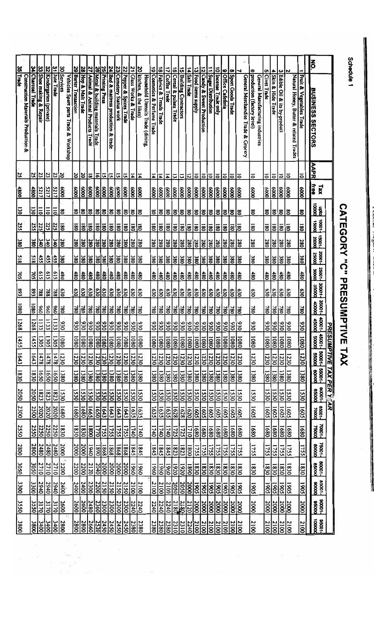| 35                                           |                   |                           | $\frac{32}{5}$                    |                   |                                                      | 29                        | 28               |                                  |                                  | 212<br>21             | 24                                |                         |                             |                        |                                                                                       |                                        |                                                     |                               |                                         |                         |                     |                                       |                             |                                     |                                         |                               |                                |                                          |                                                                     |                  |                     |                                                             |                                             |                          | š.                                                                   |                          |  |
|----------------------------------------------|-------------------|---------------------------|-----------------------------------|-------------------|------------------------------------------------------|---------------------------|------------------|----------------------------------|----------------------------------|-----------------------|-----------------------------------|-------------------------|-----------------------------|------------------------|---------------------------------------------------------------------------------------|----------------------------------------|-----------------------------------------------------|-------------------------------|-----------------------------------------|-------------------------|---------------------|---------------------------------------|-----------------------------|-------------------------------------|-----------------------------------------|-------------------------------|--------------------------------|------------------------------------------|---------------------------------------------------------------------|------------------|---------------------|-------------------------------------------------------------|---------------------------------------------|--------------------------|----------------------------------------------------------------------|--------------------------|--|
| Trade<br>Construction Materials Production & | 34 Charcoal Trade | 33 Shoe making & Repair   | Kindergarten (private)            | 31 Jute Trade     | 30 Services<br>Vehicles Spare parts Trade & Workshop | <b>Barter Transaction</b> | Hop & Malt Trade | Animal & Animal Products Trade   | Metal & building materials Trade | Printing Press        | Bed & mattress production & trade | 23 Cemetery Status work | 22 Pepper & Spices Trade    | 21 Class Works & Trade | $\overline{\mathbf{z}}$<br>kitchen, & the likes)<br>Household Utensils Trade (dining, | $\vec{6}$<br>Cosmetics & Perfume Trade | $\frac{18}{2}$<br><b>Fabrics &amp; Treads Trade</b> | $\frac{1}{2}$<br>Coffee Trade | $\overline{6}$<br>Cereal & pulses Trade | 15 Building Contractors |                     | 13 Food items supply<br>14 Salt Trade | 12 Candy & Sweet Production | $\Rightarrow$<br>Sugar Distribution | 10 Incense Trade only                   | $\bullet$<br>Office Cafeferia | $\bullet$<br>Sport Goods Trade | ⊣<br>General Merchandise Trade & Grocery | œ<br>production (factory level)<br>General Manufacturing industries | c<br>Civet Trade | 4 Skin & Hide Trade | 3 Edible Oil & its by-product                               | Z<br>Natural Honey, Butter & related Trades | Fruit & Vegetables Trade | <b>BUSINESS SECTORS</b>                                              |                          |  |
| 25                                           |                   | $\frac{25}{25}$           | ¦ಜ                                | 23                | క                                                    |                           | $\frac{20}{20}$  | ಹ                                |                                  | ∣ವ∣ಜ                  | $\overline{a}$                    | ಜ                       | に                           | $\overline{4}$         | $\overline{4}$                                                                        | $\overline{4}$                         | $\overline{4}$                                      | $\overline{4}$                | ಡ                                       | $\overline{\omega}$     | 12                  | lຣ                                    | $\overline{\bullet}$        |                                     | $\overline{\frac{5}{6}}$                | $\overline{5}$                | $\overline{5}$                 | l≂                                       | 5                                                                   | 5                | $\overline{\circ}$  | ತ                                                           | ∣ಽ                                          | ៑                        | <b>AAPR</b>                                                          |                          |  |
| 4800                                         | 4800              | 5217                      | \$217                             | <b>S217</b>       | 8                                                    | $\frac{8000}{2}$          |                  |                                  |                                  |                       |                                   | $\frac{8000}{2}$        | $\frac{8}{3}$               | $\frac{8}{8}$          | $\frac{8}{2}$                                                                         |                                        | $rac{200}{800}$                                     | $\frac{8}{3}$                 | န္တြ                                    |                         |                     |                                       |                             | $\frac{8}{8}$                       |                                         | $\frac{8}{3}$                 | 8                              | န္တြ                                     | န္တြ                                                                | 8                |                     | $\frac{\mathcal{E}(\mathcal{E})}{\mathcal{E}(\mathcal{E})}$ |                                             | 8                        | free<br>$x_1$                                                        |                          |  |
| Ξo                                           | $\overline{50}$   | $\overline{5}$            | $\overline{5}$                    | $\overline{5}$    | $\overline{\mathbf{8}}$                              | $\boldsymbol{\mathsf{3}}$ | ଞ                |                                  |                                  | ଞ ଞ ଞ                 | క                                 | 80                      | ls.                         | 80                     | క                                                                                     |                                        | ន ឌ ឌ ឌ                                             |                               |                                         |                         |                     | ននន                                   | ଞ ଞ ଞ                       |                                     |                                         | 80                            | 818                            |                                          | $\overline{\mathbf{8}}$                                             | g                |                     | 8 8                                                         |                                             | $8^{\circ}$              | $\frac{2}{8}$                                                        |                          |  |
| 255                                          | $\overline{155}$  | 225                       | 225                               | 225               | $\overline{180}$                                     | 80                        | <u>ခြ</u>        | ∣້ຮ                              |                                  | 1월                    | $\overline{80}$                   | 180                     | ້ອ                          | 80                     | ∣້ຮ                                                                                   | $\overline{\text{80}}$                 | <u> ຮ</u>                                           | $\overline{\mathbf{8}}$       | $\overline{180}$                        | 180                     | 8                   | ∣້ຮ                                   | $\overline{\mathbf{8}}$     | $\overline{180}$                    | ≅                                       | $\overline{\mathbf{8}}$       | 80                             | န္တြ                                     | <b>180</b>                                                          | $\overline{80}$  | $\overline{180}$    | $\overline{80}$                                             | $\overline{80}$                             | 180                      | $-10001$<br>15000                                                    |                          |  |
| 380                                          | 380               | $rac{1}{2}$               | Ι¥                                | $rac{28}{38}$     |                                                      | 280                       | 38               | 38                               |                                  | $\frac{280}{280}$     | 280                               | $\frac{280}{2}$         | ≋                           | 280                    | $\frac{280}{2}$                                                                       | 280                                    | 38                                                  | $\overline{380}$              | $\frac{280}{2}$                         | $\frac{280}{2}$         | $\frac{28}{3}$      | $\frac{28}{18}$                       | န္တြ                        | $\frac{280}{2}$                     | န္တြ                                    | 280                           | $\frac{280}{2}$                | ≋                                        | 280                                                                 | 280              | $\frac{280}{2}$     | $\frac{28}{3}$                                              | 280                                         | 280                      | 180000                                                               |                          |  |
| 815                                          | <b>S18</b>        | $\frac{455}{25}$          | $\frac{455}{25}$                  | 455               | 380                                                  | 380                       | န္တြ             | 380                              |                                  | $rac{380}{380}$       | 380                               | 380                     | ≋                           | 380                    | 380                                                                                   | 380                                    | န္တြ                                                | $rac{38}{180}$                | 38                                      |                         |                     | $\frac{380}{380}$                     | ≋                           | $rac{38}{80}$                       |                                         | 380                           | $\frac{1}{86}$                 | န္တြ                                     | 380                                                                 | $\frac{380}{2}$  | 380                 | $rac{380}{280}$                                             | 38                                          | 380                      | 220001                                                               |                          |  |
| 705                                          | $\overline{105}$  | <b>S19</b>                | 615                               | 615               | $rac{1}{2}$                                          | $\frac{480}{1}$           | $\frac{1}{8}$    | <br>80                           |                                  | $\frac{480}{480}$     | 480                               | $\frac{1}{8}$           | $\frac{1}{8}$               | 480                    | $\frac{480}{2}$                                                                       | 480                                    | $\frac{1}{80}$                                      | 480                           | $\frac{480}{2}$                         | 480                     | $\frac{1}{8}$       | $\frac{48}{15}$                       | $\frac{1}{80}$              | $\frac{1}{80}$                      | 480                                     | 480                           | 480                            | İŝ                                       | $\frac{480}{2}$                                                     | $\frac{480}{2}$  | ≋                   | $\frac{1}{100}$                                             | 480                                         | 480                      | 35001-                                                               |                          |  |
| £68                                          | $\frac{89}{15}$   | 788                       | ∣≋                                | 788               | ခြိ                                                  | 630                       | 630              | န္တြ                             |                                  | <u>ဒ္မတ</u>           | န္တြ                              | $\frac{630}{2}$         | န္တြ                        | $\frac{630}{2}$        | $\frac{630}{2}$                                                                       |                                        | <u>ဒ္မျာ</u>                                        | $\overline{630}$              | $\frac{630}{20}$                        | 630                     | $\frac{30}{20}$     | န္တြ                                  | 630                         | န္တြ                                | န္တြ                                    | $\overline{050}$              | <u>630</u>                     |                                          | 630                                                                 | $\overline{030}$ | $\frac{630}{20}$    | 630                                                         | န္တ                                         | 630                      | 00098<br> -10008                                                     |                          |  |
| 1080                                         | 1080              | $ \mathrm{\mathring{g}} $ | $\frac{96}{6}$                    | $\frac{8}{6}$     | ≋                                                    | $\overline{08}$           | 780              |                                  |                                  | $\frac{1888}{8}$      | ∣≋                                | <b>SS</b>               | ∣≋                          | $\frac{780}{780}$      |                                                                                       | $\overline{180}$                       | 18                                                  | $\overline{180}$              | ∣≋                                      | 38                      |                     | $\frac{25}{20}$                       | ∣≋                          | ౹శ                                  | <u>ss</u>                               | 08L                           | $\overline{\text{80}}$         | ≋                                        | 780                                                                 | $\overline{180}$ | ≋                   | $\overline{180}$                                            | ≋                                           | 780                      | 10000                                                                |                          |  |
| 1268                                         | 1268              | 1133                      | $\Xi$                             | $\overline{1133}$ | <b>O3C</b>                                           |                           | $\frac{88}{20}$  |                                  |                                  | မြို့မျှမျှ           |                                   |                         | $\frac{8 8 8}{8}$           | $\frac{330}{230}$      |                                                                                       |                                        | $\frac{31}{25}$                                     |                               | $\frac{930}{930}$                       |                         | $\frac{35}{25}$     |                                       | $\frac{ z z }{z}$           |                                     | $\frac{ \mathfrak{A} }{ \mathfrak{A} }$ | 53(                           | $\frac{930}{2}$                | 086                                      | $\overline{\frac{36}{5}}$                                           | 930              | $\frac{930}{2}$     | 930                                                         | 830                                         | 930                      | 15000                                                                | $+1000 +$                |  |
| 1455                                         | 1455              | 1305                      | 1305                              | 1305              | 1080                                                 | 0801                      | $\overline{080}$ | 1080                             |                                  | $\frac{1}{\sqrt{25}}$ | 0801                              | 1080                    | $\frac{1080}{1}$            | 10801                  | 1080                                                                                  |                                        | $\frac{1080}{1080}$                                 | 1080                          | $\overline{\frac{10801}{2}}$            | 1080                    | 1080                |                                       | 1080                        | $\frac{10801}{2}$                   | $\overline{0801}$                       | 1080                          | $\overline{080}$               | $\overline{\frac{1}{100}}$               | 1080                                                                | 1080             | $\frac{10801}{2}$   | 1080                                                        | 0801                                        | 10801                    | 10005                                                                |                          |  |
| 1643                                         | 1643              | 1478                      | 1478                              | 1478              | 1230                                                 | 1230                      | 1230             | 1230                             |                                  | $\frac{1230}{1230}$   | 1230                              | 1230                    | 1230                        | 1230                   | 1230                                                                                  | 1230                                   | $\frac{1230}{2}$                                    | 1230                          | 1230                                    | 1230                    | 1230                | 1230                                  | 1230                        | 1230                                | 1230                                    | 1230                          | 1230                           | $\frac{1230}{2}$                         | 1230                                                                | 1230             | $\frac{1230}{2}$    | 1230                                                        | 1230                                        | 1230                     | 00095                                                                |                          |  |
| 1830                                         | 1830              | 1650                      | $\overline{\overline{\text{sg}}}$ | $\sqrt{650}$      | 1380                                                 | 1380                      | 1380             | 1380                             |                                  | $\frac{1380}{1280}$   | $\frac{1380}{2}$                  | 1380                    | $\frac{1380}{ }$            | 1380                   | 1380                                                                                  |                                        | $\frac{1380}{1380}$                                 | 1380                          | $\frac{1380}{ }$                        |                         | $\frac{1380}{1380}$ | 1380                                  | 1380                        |                                     | $\frac{1380}{1280}$                     | 1380                          | $\overline{1380}$              | $\frac{1380}{2}$                         | 1380                                                                | 1380             |                     | $\frac{138}{1280}$                                          | 1380                                        | 1380                     | $\begin{array}{c}\n 0.008 \\ -0.008 \\ \hline\n 0.008\n \end{array}$ |                          |  |
| 2050                                         | 2050              | 1823                      | 1823                              | 1823              | 1530                                                 | 1530                      | 1530             | 1530                             | 1530                             | 1530                  | 1530                              | 1530                    | $\overline{\overline{230}}$ | 1530                   | 1530                                                                                  | 1530                                   | 1530                                                | 1530                          | 1530                                    | 1530                    | 1530                | 1530                                  | 1530                        | 1530                                | 1530                                    | 1530                          | 1330                           | 1530                                     | 1530                                                                | 1530             | $\frac{1530}{20}$   | 1530                                                        | 1530                                        | 1530                     | 800000                                                               | PRESUMPTIVE TAX PER YEAR |  |
| 2300                                         |                   | $\frac{2020}{2300}$       | 2020                              | 2020              | $\frac{1680}{2}$                                     | 1680                      | $\frac{1680}{2}$ |                                  |                                  | $\frac{1}{2}$         | 1643                              | 1643                    | $\frac{163}{2}$             | 1635                   | 1635                                                                                  |                                        | $\frac{1635}{1635}$                                 | 1635                          | 1628                                    | 1628                    | $\frac{1620}{2}$    | 1605                                  | $\frac{1603}{5}$            | $\frac{1605}{2}$                    |                                         | <b>S091</b>                   | $\frac{1605}{5}$               | 1605                                     | 1605                                                                | 1605             | $\frac{1605}{2}$    | $\overline{1605}$                                           | $\overline{1605}$                           | 1605                     | 10002                                                                |                          |  |
| 2550                                         | 2550              | 2250                      | <u>2250</u>                       | 2250              | 1830                                                 | 1830                      | 0230             | $\overline{\overline{\text{8}}}$ |                                  | <u>1755</u>           | 1755                              | 1755                    | $\frac{1755}{ }$            | 1740                   | 1740                                                                                  | 1740                                   | $\frac{1740}{ }$                                    | 1740                          | $\frac{1725}{2}$                        | 1725                    | 1710                | $\bar{\mathbb{S}}$                    | 1680                        | $\sqrt{680}$                        | $\overline{\sqrt{\text{sgl}}}$          | 0891                          | $\overline{680}$               | $\overline{\overline{\text{sg}}}$        | $\overline{1680}$                                                   | 1680             | 1680                | $\frac{1680}{2}$                                            | $\frac{1680}{2}$                            | 1680                     | 10001                                                                |                          |  |
| 2800                                         | <u>2800</u>       | 2480                      | 2480                              | 2480              | 2000                                                 | 2000                      | 2000             | $\frac{1940}{1}$                 |                                  | $\frac{188}{180}$     | 1868                              | $\frac{1868}{1}$        | 1868                        | 1845                   | 1845                                                                                  | 1845                                   | 1845                                                | 1845                          | $\overline{1823}$                       | 1823                    | $\frac{1800}{1}$    | 1755                                  | 1755                        | 1755                                | 1755                                    | 5755                          | 1755                           | 1755                                     | 1755                                                                | 1755             | 1755                | 1755                                                        | 1755                                        | 1755                     | 150000                                                               |                          |  |
| <b>3050</b>                                  | $\frac{3050}{20}$ | 2710                      | 2710                              | 0122              | $\frac{3}{2}$ 2200                                   | 2200                      | 2200             | <u>2120</u>                      | 2040                             | 2000                  | 2000                              | 2000                    | 2000                        | 1960                   | 1960                                                                                  | 0961                                   | $\overline{\frac{1961}{2}}$                         | 0961                          | 1920                                    | 0261                    | 0681                | <u>1830</u>                           | 1830                        | 0830                                | 1830                                    | 1830                          | $\frac{1830}{ }$               | $\frac{1830}{2}$                         | 0230                                                                | 0281             | $\frac{1830}{20}$   | 1830                                                        | 0681                                        | 1830                     | 80001-                                                               |                          |  |
| 3300                                         | 3300              | 2940                      | 2940                              | 2940              | 2400                                                 | 2400                      | 2400             | $\frac{2300}{2}$                 | <u>2200</u>                      | 2150                  | 2150                              | 2150                    | 2150                        | 2100                   | 2100                                                                                  |                                        | $\frac{2100}{2100}$                                 | 2100                          | 2050                                    | 2050                    | <b>S86</b>          | <b>1905</b>                           | <b>1905</b>                 | $\frac{2}{8}$                       |                                         | $\overline{\frac{1905}{5}}$   |                                | $\overline{5061}$                        | <b>SO61</b>                                                         | 1905             |                     | 1905                                                        | <b>1905</b>                                 | 1905                     | 85001-                                                               |                          |  |
|                                              |                   |                           |                                   | 3170              |                                                      |                           |                  |                                  | 2360                             |                       |                                   |                         |                             |                        | 2240                                                                                  |                                        |                                                     |                               |                                         |                         |                     |                                       |                             |                                     |                                         |                               | <b>1905</b>                    |                                          |                                                                     |                  | $\frac{1905}{ }$    |                                                             |                                             |                          | 00058                                                                |                          |  |
| 3550                                         | 3550              | 3170                      | 3170                              |                   | 2600                                                 | 2600                      | 2600             | 2480                             |                                  | 2300                  | 2300                              | 2300                    | $rac{2300}{2500}$           | 2240                   |                                                                                       | 2240                                   | 2240                                                | 2240                          | $\frac{2180}{2180}$                     |                         | 2120                | 2000                                  | 2000                        | $\frac{2000}{2000}$                 | 2000                                    | $\frac{2000}{2000}$           | 2000                           | 3002                                     | 2000                                                                | 2000             | $\frac{2000}{100}$  | 2000                                                        | <b>2000</b>                                 | 2000                     |                                                                      |                          |  |
| 3800                                         | 3800              | $rac{3400}{1}$            | $\frac{3400}{3}$                  | 3400              | 2800                                                 | 2800                      | 2800             | 2660                             | $\overline{2520}$                | 2450                  | 2450                              | 2450                    | 2450                        | 2380                   | 2380                                                                                  | 2380                                   | 2380                                                | 2380                          | 2310                                    | 2310                    | 2240                | 2100                                  | 2100                        | 2100                                | 2100                                    | 2100                          | 2100                           | $\frac{2100}{2}$                         | 2100                                                                | 2100             | $\frac{2100}{2}$    | 2100                                                        | 2100                                        | 2100                     | 8800000                                                              |                          |  |
|                                              |                   |                           |                                   |                   |                                                      |                           |                  |                                  |                                  |                       |                                   |                         |                             |                        |                                                                                       |                                        |                                                     |                               |                                         |                         |                     |                                       |                             |                                     |                                         |                               |                                |                                          |                                                                     |                  |                     |                                                             |                                             |                          |                                                                      |                          |  |

Schedule 1

**CATEGODY "C" PRESCINFINE TAX** 

and the property of the company of the company of the company of the company of the company of the company of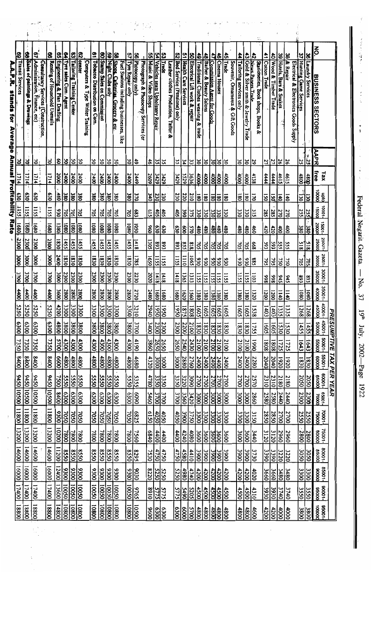| 63                                                 |                                  | 9                                                                           | 8                             | <u>ဖြ</u>                   | <u>ዩ</u>                   | 63                        | $\overline{\mathbf{3}}$                    | 2                           |                              | မွ                | 8                                                                             | 57               | 8                                                      | g                               | ሄ                                | ပ္လ                                                  | <u>ន្ល</u>                  |                             | <u>8</u>                      | 49                                  | $\frac{4}{6}$          | <u>45</u>                  |                      | <u>ခြံ</u>                               | $\frac{1}{4}$           |                                        | 2                                                      | ≛                   |                                                                       |                          | 8                                                 | 37<br>77              | $\frac{8}{5}$         | ð                       |                    |
|----------------------------------------------------|----------------------------------|-----------------------------------------------------------------------------|-------------------------------|-----------------------------|----------------------------|---------------------------|--------------------------------------------|-----------------------------|------------------------------|-------------------|-------------------------------------------------------------------------------|------------------|--------------------------------------------------------|---------------------------------|----------------------------------|------------------------------------------------------|-----------------------------|-----------------------------|-------------------------------|-------------------------------------|------------------------|----------------------------|----------------------|------------------------------------------|-------------------------|----------------------------------------|--------------------------------------------------------|---------------------|-----------------------------------------------------------------------|--------------------------|---------------------------------------------------|-----------------------|-----------------------|-------------------------|--------------------|
| Transit Services<br>A.A.P.R. stands for<br>Average | 68 Sales of paintings & Drawings | Administration, Finance, etc)<br><b>Consultancy Services (Construction.</b> | Renting of Household Utensils | Engineering & Plan Drafting | Tyre sales Com: Agent      | Tailoring Training Certer | center<br>Computers & Type Writer Training | Tobacco Distribution on Com | 60 Stamp Sales on Commission | Night Clubs only  | Shops. Cafeterias. Grocery & etc.<br>Fuel Stations including businesses, like | Tyre Repair only | Photocopy only)<br>Photograph & Photocopy Services (or | Music & Video Shops             | Vehicles seats Upholstery Repair | <b>Trade</b><br>Leather clothes Production, Tailor & | Bed Service (Pensione) only | 51 Health Care Services     | Electrical Lift work & repair | Traditional Clothes weaving & trade | Barber & Beauty Salons | Commission Agent for Goods | <b>Cinema Houses</b> | Trade<br>Souvenir, Omaments & Gift Goods | Tailoring services only | 43 Gold & Silver smith & Jewelry Trade | Stationeries, Book shops, Books &<br>News Papers Trade | Cotton Trade        | 40 Wood & Timber Trade                                                | 39 Hotels, Bars & Snakes | & Repair<br>Electrical & Electronics Goods Supply | Hunting Game Services | Laundry Services      | <b>BUSINESS SECTORS</b> |                    |
| ă                                                  | ٩                                | 2                                                                           | 3                             | 8 ୪                         |                            | SO                        | SO                                         | ఠ                           | 9S                           | 9S                | ¦క                                                                            |                  | 3 3                                                    | $\frac{46}{2}$                  | 35                               | ပ္လ                                                  | ပ္ပ                         | ءّا                         | 33                            | $\frac{8}{30}$                      | δ                      | ାଧି                        |                      | క                                        | ఠ¦ఠ                     |                                        | 29                                                     | $\frac{21}{2}$      |                                                                       | $\overline{\mathbf{56}}$ | $\overline{\mathbf{5}}$                           | S                     | $+ 25$                | <b>AAPR</b>             |                    |
| <b>Annual Profitability Rate</b><br>1714           | 1714                             | 1714                                                                        | 1714                          | $\overline{\text{18}}$      | $\frac{240}{100}$          | 2400                      | 2400                                       | 2400                        | $rac{2400}{2}$               | 2400              | 2400                                                                          | 2400             | 2449                                                   | 2609                            | <b>3429</b>                      | <b>3429</b>                                          | $\frac{3429}{2}$            | 3529                        | 3636                          | $\frac{4000}{1}$                    | $\frac{1}{2}$          | 0001                       | \$000                | $\frac{1}{2}$                            | 0000                    | $\frac{1}{8}$                          | 4138                                                   | 4444                | 444                                                                   | 4615                     | 4615                                              | $\frac{4800}{4800}$   |                       | free<br>xel             |                    |
| <b>eso</b>                                         | e30                              | δ30                                                                         | 630                           | 68 <sup>b</sup>             | <u> ଞ</u>                  | 380                       | 380                                        | 380                         | $rac{380}{2}$                | $rac{1}{280}$     | 380                                                                           | $rac{1}{280}$    | $\overline{270}$                                       | 340                             | 230                              | 230                                                  | 230                         | 220                         | 210                           | $\overline{180}$                    | $\overline{180}$       | <b>081</b>                 | $\overline{30}$      | $\overline{\text{8}}$                    | $\overline{\mathbf{8}}$ | $\overline{180}$                       | 170                                                    | 50                  | $\overline{50}$                                                       | 140                      | $\overline{140}$                                  | ធ្វ                   | $\overline{50}$       | 0000<br>000             |                    |
| <b>1155</b>                                        | 155                              | 1155                                                                        | <b>LISS</b>                   | $\overline{080}$            | ∣ຮ                         | $\overline{205}$          | $\frac{705}{2}$                            | 502                         | l≋                           | $\overline{205}$  | ຮ                                                                             | $rac{683}{705}$  |                                                        | $\frac{615}{2}$                 | $\frac{405}{2}$                  | 405                                                  | $\frac{400}{20}$            | $\frac{8}{3}$               | 375                           | $\frac{330}{2}$                     | 330                    | 330                        | ΟEE                  | $rac{1}{20}$                             | 330                     | $\frac{330}{2}$                        | 315                                                    | 285                 | 285                                                                   | 270                      | 270                                               |                       | $\frac{25}{25}$       | -10001<br>000S1         |                    |
| 10891                                              | 1680                             | 1680                                                                        | 1680                          | 1380                        | $\overline{\frac{1}{100}}$ | 0801                      | 0801                                       | 0801                        | $\overline{\frac{80}{100}}$  | 0801              | 0801                                                                          | 0801             | $\frac{1}{8}$                                          | 8                               | 630                              | 630                                                  | 630                         | $\overline{\mathbf{8}}$     | 3                             | ¦ੈ                                  | $\frac{480}{2}$        | 480                        | 68 <sub>t</sub>      | $\frac{480}{1}$                          | $rac{480}{180}$         |                                        | 460                                                    | 420                 | $rac{420}{20}$                                                        | $\frac{1}{2}$            | $\frac{1}{2}$                                     |                       | $rac{380}{380}$       | 10002                   |                    |
| 2300                                               | 2300                             | 2300                                                                        | 2300                          | $\overline{1830}$           | 1455                       | 1455                      | 1455                                       | 1455                        | 1455                         | 1455              | 1455                                                                          | 455              | 1418                                                   | 1305                            | £68                              | £68                                                  | £68                         | 855                         | 818                           | 705                                 | 705                    | $\overline{205}$           | 705                  | $\overline{\text{20}}$                   | $rac{20}{205}$          |                                        | 899                                                    | 593                 | is                                                                    | 555                      | SS <sub>S</sub>                                   | $\frac{1}{5}$         | $\frac{318}{3}$       | -10002<br>00052         |                    |
| 8000                                               | <b>1000</b>                      | <b>1000</b>                                                                 | <b>8000</b>                   | $\overline{3400}$           | $\frac{1830}{2}$           | 1830                      | 1830                                       | <b>OE81</b>                 | 1830                         | 0230              | 1830                                                                          | 1830             | 1785                                                   | 1650                            | 1155                             | 1155                                                 | 1155                        | $\frac{1110}{2}$            | 1065                          | 020                                 | 020                    | 020                        | 630                  | 020                                      | 930                     | 020                                    | \$8\$                                                  | 795                 | 795                                                                   | 750                      | <b>0SL</b>                                        |                       | $\frac{205}{205}$     | -10052<br>OOOOE         |                    |
| <b>3700</b>                                        | 3700                             | 3700                                                                        | <b>004E</b>                   | $\frac{8}{2}$               | 2300                       | 2300                      | 2300                                       | 2300                        | 2300                         | 2300              | $\frac{2300}{2}$                                                              | 2300             | 2230                                                   | 2020                            | 1418                             | 1418                                                 | 1418                        | $\overline{\overline{365}}$ | $\frac{1312}{21}$             | 1155                                | 1155                   | SS <sub>1</sub>            | Ξ                    | 1155                                     | 155                     | $\overline{155}$                       | E011                                                   | 866                 | ∖ঃ                                                                    | 645                      | 545                                               | 893                   | £68                   | -1000£<br>35000         |                    |
| 4400                                               | $\frac{400}{100}$                | $\frac{400}{3}$                                                             | 4400                          | $rac{28}{8}$                |                            | 2800                      | <u>2800</u>                                | 2800                        | <u>2800</u>                  | 2800              | $\frac{280}{100}$                                                             | 2720<br>2800     |                                                        | $rac{\frac{1}{3}}{\frac{1}{3}}$ |                                  |                                                      |                             |                             |                               |                                     |                        |                            |                      |                                          | $\frac{1380}{1380}$     |                                        |                                                        |                     | $\frac{1}{8}$ $\frac{1}{8}$ $\frac{1}{8}$ $\frac{1}{8}$ $\frac{1}{8}$ |                          |                                                   | <u>sis</u>            |                       | 35001-<br>40000         |                    |
| 5250                                               | 5250                             | <b>5250</b>                                                                 | 5250                          | $\frac{4200}{ }$            | $\frac{250}{100}$          | $\frac{3300}{2}$          | 3300                                       | 3300                        | $rac{300}{2}$                | 3300              | $\frac{300}{100}$                                                             | 3300             | 3210                                                   | 2940                            | 1950                             | 1950                                                 | 1950                        | 1875                        | 1808                          | 1605                                | 1605                   | 1605                       | <b>1605</b>          | 1605                                     | $\frac{1605}{1605}$     |                                        | 1538                                                   | $\frac{1403}{1403}$ |                                                                       | 1335                     | 1335                                              | 1268                  | 1268                  | $10001 -$<br>45000      |                    |
| 0069                                               | $\frac{6300}{2}$                 | $\frac{6300}{2000}$                                                         | 0069                          | $\frac{480}{1}$             | $\frac{3800}{2800}$        | 3800                      | 3800                                       | 3800                        | $rac{3800}{2}$               | <b>1800</b>       | $\frac{3800}{1}$                                                              | $\frac{3800}{2}$ | $\frac{3700}{1}$                                       | $ 00 \rceil$                    |                                  | 2300                                                 | 2300                        | 2200                        | 2100                          | $\frac{1830}{20}$                   | 1830                   | 0231                       | 1830                 | 1830                                     | 1830                    | 1830                                   | 1755                                                   | 1605                | 1605                                                                  | 1530                     | 1530                                              | 1455                  | 1455                  | 0000S<br>-100SP         | <b>PRESUMPTIVE</b> |
| 7350                                               | 7350                             | $\frac{7350}{2}$                                                            | 7350                          | $rac{5700}{5}$              | $\frac{4300}{200}$         | 4300                      | 4300                                       | 4300                        | $rac{4300}{1000}$            | 4300              | $\frac{4300}{200}$                                                            | 4300             | $\frac{4190}{2}$                                       | 3860                            | 2650                             | $\frac{2650}{2}$                                     | 2650                        | 2540                        | 2430                          | 2100                                | 2100                   | 7100                       | 2100                 | 2100                                     | 2100                    | 2100                                   | 0661                                                   | 1808                | $\overline{\frac{88}{}}$                                              | 1725                     | 1725                                              | 1643                  | 1643                  | -10005<br>00095         |                    |
| 8400                                               | <b>S#00</b>                      | 8400                                                                        | 00+8                          | $\sqrt{\frac{9}{2}}$        | $\frac{4800}{2}$           | 4800                      | 4800                                       | 4800                        | $\frac{4800}{1}$             | 4800              | $\frac{4800}{2}$                                                              | 4800             | $\frac{468}{100}$                                      | 4320                            | $\frac{1000}{2000}$              | $rac{1000}{1000}$                                    | <b>3000</b>                 | 2880                        | $\frac{2400}{2760}$           |                                     | $\frac{2400}{1}$       | <b>2400</b>                |                      | 2400                                     | 2400                    | $rac{2400}{\pi}$                       | 2280                                                   | $\frac{2040}{2040}$ |                                                                       | $\frac{1920}{1}$         | 1920                                              |                       | $\frac{1830}{1830}$   | -10099<br>00009         |                    |
|                                                    |                                  |                                                                             |                               | $-7500$                     | 5550                       | <b>5550</b>               | 5550                                       | <b>5550</b>                 | <b>550</b>                   | 5550              | $-5550$                                                                       | 5550             | 5355                                                   | 4780                            | 3350                             | 3350                                                 | 3350                        | 3220                        | $\frac{200}{2000}$            |                                     | 2700                   | 2700                       | 2700                 | 2700                                     | 2700                    | 2700                                   | 2570                                                   | $\frac{2310}{2310}$ |                                                                       | 2180                     | 2180                                              |                       | 2050                  | 10009<br>00059          |                    |
| 9450 10500                                         | 005010516                        | 005010516                                                                   | 945010500                     | 8400                        | $\frac{1}{8}$              | $\frac{1}{8}$             | 6300                                       | 6300                        | $rac{300}{100}$              | 6300              | $\frac{6300}{1}$                                                              | 6300             | 0609                                                   | 5460                            | 3700                             | 3700                                                 | 3700                        | 3560                        | 3420                          | $\frac{3000}{1}$                    | 3000                   | <b>DOOL</b>                | <b>000E</b>          | <b>000£</b>                              | 3000<br>1900            |                                        | 2860                                                   | $\frac{2580}{2580}$ |                                                                       | 2440                     | 2440                                              |                       | $\frac{2300}{2300}$   | 10002                   |                    |
| 100811                                             | $\frac{11800}{1}$                | 11800                                                                       | 11800                         | <u>हैं</u>                  | 7050                       | 7050                      | 7050                                       | <b>70SO</b>                 | $\frac{205}{20}$             | <b>7050</b>       | $\overline{0}$                                                                | 7050             | $\frac{6825}{2}$                                       | 6150                            | 0S0+                             | $\frac{4050}{20}$                                    | 4050                        | $\overline{0065}$           | $\frac{3300}{2720}$           |                                     | $\frac{3300}{2}$       | 3300<br>1300               |                      | 3300                                     | 3300<br>2300            |                                        | 3150                                                   | 2850                | 2850                                                                  | $\frac{2700}{ }$         | 2700                                              | 2550                  | 2550                  | 10001-                  | TAX PER YEAR       |
| 13200                                              | 13200                            | $\frac{13200}{200}$                                                         | 13200                         | $\frac{10200}{1}$           | 7800                       | 7800                      | $\overline{008}$                           | 0084                        | $\frac{180}{100}$            | 7800              | 7800                                                                          | 0082             | 7560                                                   | 0840                            | 4400                             | 4400                                                 | 4400                        | 4240                        | 4080                          | $\frac{1}{8}$                       | 3600                   | 3600                       |                      | 3600                                     | 3600                    | $\frac{1}{8}$                          | 3440                                                   | 3120                | 3120                                                                  | 2960                     | 2960                                              | 2800                  | 2800                  | 15001-                  |                    |
|                                                    | 14600                            | $\frac{14600}{2}$                                                           | 14600                         | $\frac{11200}{11}$          | 8550                       | 8550                      | $\frac{850}{20}$                           | 0520                        | 859                          | 8550              | 0250                                                                          | 8550             | 8295                                                   | 7530                            | 4750                             | 4750                                                 | 4750                        | 4580                        | $\frac{3900}{4410}$           |                                     | 3900                   | 0065                       | 3900                 | <b>006£</b>                              | 3900                    | 3900                                   | 3730                                                   | 3390                | 3390                                                                  | 3220                     | 3220                                              | 3050                  | $rac{205}{\sqrt{20}}$ | 80001-                  |                    |
| 14600 16000                                        | $\frac{160001}{1}$               | $\frac{16000}{16000}$                                                       | 16000                         | 12400                       | 0066                       | 9300                      | 9300                                       | 0300                        | 8300                         | 0066              | 0026                                                                          | 0086             | 8030                                                   | 8220                            | <b>5250</b>                      | <b>S250</b>                                          | 5250                        | 4980                        | $\frac{4200}{4740}$           |                                     | 4200                   | $rac{200}{200}$            | 4200                 | 4200                                     | 4200                    | $\frac{4200}{1}$                       | 4020                                                   | $\frac{3660}{3660}$ |                                                                       | 3480                     | 3480                                              | 3300                  | $\frac{1}{2300}$      | -10098<br>00006         |                    |
| 11400                                              | $\frac{17400}{2}$                | $\frac{17400}{1}$                                                           | 17400                         | 13600                       | 10030                      | 10050                     | 05001                                      | 0\$001                      | $\frac{10050}{1000}$         | $\frac{10050}{1}$ | 05001                                                                         | 10050            | 9765                                                   | $\frac{100}{100}$               | <b>5775</b>                      | 5775                                                 | 5775                        | 06+5                        | $\frac{4500}{5205}$           |                                     | $rac{150}{1500}$       | 00St                       | 1500                 | 4500                                     | 4500                    | $\frac{4500}{25}$                      | 4310                                                   | 3930                | 3930                                                                  | 3740                     | 3740                                              | 3550                  | 3550                  | $-10008$<br>00056       |                    |
| 18800                                              | 00881                            | 18800                                                                       | 18800                         | 14800                       | 00801                      | 10800                     | 00801                                      | 10801                       | $\frac{10800}{2}$            | 00801             | 00801                                                                         | 00801            | $\frac{10500}{200}$                                    | 0096                            | 6300                             |                                                      | $\frac{1}{200}$             | 0009                        | <b>S700</b>                   | $\frac{4800}{1}$                    | 4800                   | 0087                       | 4800                 | 4800                                     | 4800                    | $\frac{4800}{1}$                       | 4600                                                   | 4200                | 4200                                                                  | 4000                     | 4000                                              | 3800                  | 3800                  | 100000<br>10096         |                    |

 $\ddot{\cdot}$ 

 $\frac{1}{2}$ 

Federal Negarit. Gazeta. — No. 37 19<sup>th</sup> July, 2002—Page 1922

 $\frac{1}{2}$ 

 $\frac{1}{\sqrt{2}}$ 

 $\label{eq:4} \mathbf{r}^{\prime}=\mathbf{r}+\mathbf{r}+\mathbf{r}+\mathbf{r}$ 

 $\begin{array}{c} \mathbf{v} \\ \mathbf{v} \\ \mathbf{v} \\ \mathbf{v} \end{array}$ 

このませき とり経験 まいしょう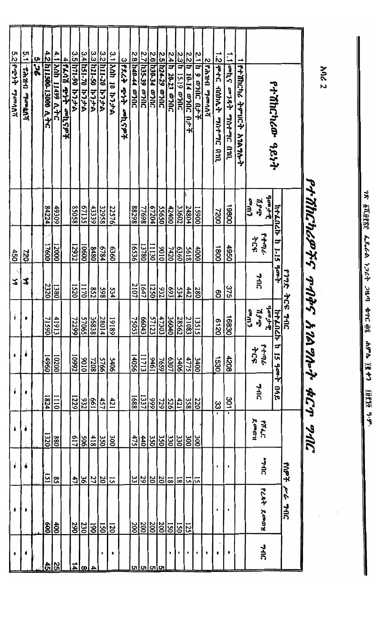|              |                                                                             |                   |                | የተሽከርካሪዎችና ጥብቅ      |                        |                        |                   | $SU(4)$ and $\sim$ 4Cm and $SU(7)$ |                               |                   |                |
|--------------|-----------------------------------------------------------------------------|-------------------|----------------|---------------------|------------------------|------------------------|-------------------|------------------------------------|-------------------------------|-------------------|----------------|
|              |                                                                             |                   |                | <b>P77R 7CR 7AC</b> |                        |                        |                   |                                    | ተማሳ                           | ココフィンド            |                |
|              | የተሽከርካሪው ዓይነት                                                               | カナムハムト            | F<br>$1 - 15$  | する                  | <b>htknch</b>          | ದ<br>15<br><b>Acap</b> | ane               |                                    |                               |                   |                |
|              |                                                                             | $\frac{d}{d}$     | $6 + 4$        |                     | $\frac{1}{2}$          | ولمبنقاح               |                   | <b>PRAC</b>                        | <b>JUL+</b>                   | PLR7 Roman        | つつん            |
|              |                                                                             | <b>PAN</b><br>むより | ትርፍ            | 745                 | <b>COW</b><br>$J_5J_1$ | ትርፍ                    | 746               | ደመወዝ                               |                               |                   |                |
|              | የተሽከርካሪ ትምሀርት አ1ልግሎት                                                        |                   |                |                     |                        |                        |                   |                                    |                               |                   |                |
| $\mathbf{L}$ | <b>oonli</b> aagest agatage and                                             | 19800             | 096            | 375                 | 16830                  | 4208                   | 301               |                                    |                               |                   |                |
|              | 1.2 Terc annat mater and                                                    | 0022              | 1800           | 80                  | 0219                   | 1530                   | ပ္ပ               |                                    |                               |                   | ,              |
|              | 2 Parta mondi                                                               |                   |                |                     |                        |                        |                   |                                    |                               |                   |                |
|              | <u>2.1 h 9 ወንበር በታች</u>                                                     | 00651             | 4000           | 280                 | 13515                  | 3400                   | 220               | $\frac{300}{2}$                    | $\overline{5}$                |                   |                |
|              | <u>2.2 h 10 14 ወንበር በታች</u>                                                 | 24804             | 5618           | 442                 | <u>21083</u><br>28562  | 4775                   | $\frac{358}{258}$ | $\frac{300}{330}$                  | 디                             | 125               | $\bullet$      |
|              | 2.3 <mark> h 15.19 መንበር</mark>                                              | 33602             | 6360           | 534                 |                        | 5406                   | $\frac{421}{2}$   |                                    | $\overline{\mathbf{8}}$       | 150               |                |
|              | 2.4 <mark>h 20-23 @7</mark> NC<br><u>2.5 h24-29 @7NC</u><br>2.6 h30-34 @7NC | 42400             | 7420           | £69                 | 36040                  | 1089                   | $\frac{25}{28}$   | $\frac{35}{20}$                    | $\frac{18}{20}$               | 150               |                |
|              |                                                                             | 55650             | 0106           | $\frac{932}{1250}$  | 47303                  | 7659                   |                   |                                    |                               | 200               |                |
|              | 2.7 h35.39 a711C                                                            | 67204<br>869LL    | 13780<br>11130 | 1647                | 57123<br>66043         | 11713<br>1946          | 1337              | 350<br>440                         | 29<br>$ \tilde{\varepsilon} $ | 200<br>200        |                |
|              | 2.8 h40-44 a71C                                                             | 86288             | 16536          | 2107                | 75053                  | 14056                  | 1688              | 475                                | ပ္ပ                           | 200               |                |
|              | 3 224 4.4 00 454                                                            |                   |                |                     |                        |                        |                   |                                    |                               |                   |                |
|              | 3.1 Anh 10 h.7. th                                                          | 22576             | 0989           | 534                 | 19189                  | 5406                   | 421               | 300                                | 51                            |                   | $\blacksquare$ |
|              | 3.2 h11-20 h7 <i>7</i> -A                                                   | 32958             | 6784           | <b>S65</b>          | 28014                  | 5766                   | 457               | 350                                | $\overline{\frac{20}{2}}$     | $\frac{120}{150}$ |                |
|              | 3.3 h21-50 h77-h                                                            | 43339             | 8480           | 852                 | 36838                  | 7208                   | 199               | 418                                | 27                            | 190               |                |
|              | 3.4 07-181 13.7.6                                                           | 67135             | 10600          | 1170                | 57065                  | 0106                   | 232               | <b>506</b>                         | $\overline{36}$               | 230               |                |
|              |                                                                             | 85058             | 12932          | 1520                | 72299                  | <b>Z6601</b>           | 1229              | 712                                | 47                            | 290               |                |
|              | <u>3.5 h71-90 h7.7-A</u><br>4  <b>PLAÄ PYT ooh.797</b>                      |                   |                |                     |                        |                        |                   |                                    |                               |                   |                |
|              | 4.1 Anh 11499 A.7C                                                          | 49309             | 12000          | 1380                | 41913                  | 10200                  | 1110              | 880                                | $\boldsymbol{\mathsf{S}}$     | $rac{60}{600}$    | လ္က            |
|              | 4.2 Anii500-13000 A.7C                                                      | 84224             | 17600          | 2320                | 71590                  | 14960                  | 1824              | 1320                               | $\overline{151}$              |                   | ਨੈ             |
|              | 526                                                                         |                   |                |                     |                        |                        |                   |                                    |                               |                   |                |
| in<br>T      | <b>Whacks UHYS</b>                                                          |                   | <b>DEL</b>     | \$                  |                        |                        |                   |                                    |                               |                   |                |
|              | 5.2 የሚነት ማመሳሰሻ                                                              |                   | 450            | Z,                  |                        | ٠                      |                   |                                    |                               |                   |                |

18 § A.DRR: 4.8.6A 1.767 711.71 \$TC 93 A9 LR 1877 19818 9.9"

**And 2**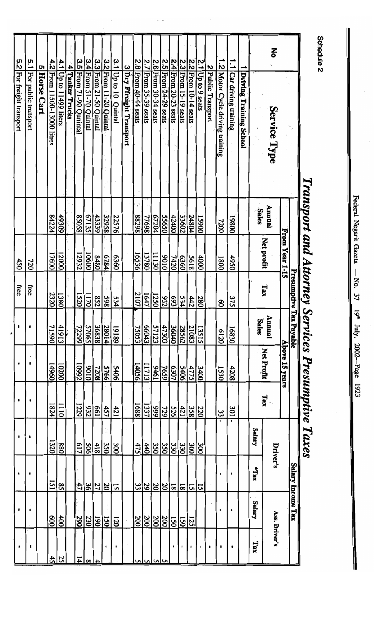$\mathbf{z}$ 5.2 For freight transport 5.1 For public transport 3.4 From 51-70 Quintal 3.3 From 21-50 Quintal 3.2 From 11-20 Quintal  $3.1$  Up to 10 Quintal 2.5 From 24-29 seats 1.2 Motor Cycle driving training 3.5 From 71-90 Qunintal 2.7 From 35-39 seats 2.6 From 30-34 seats 2.4 From 20-23 seats 2.3 From 15-19 seats 2.2 From 10-14 seats 1.1 Car driving training 2.8 From 40-44 seats 2.1 Up to 9 seats  $4.1$  Up to  $11499$  liters 4.2 From 11500-13000 litres 3 Dry Ffreight Transport 5 Horse Cart 4 Tanker Trucks 2 Public Transport Driving Training School Service Type Annual **Sales**  $88298$  $84224$ 49309 85058 67135 67204 43339 22576 77698 55650  $\frac{42400}{5}$ 33602 32958 24804 00651  $|00861$ 1200 From Year 1-15 Net profit 10600 17600 12000 12932 16536 13780 11130 8480 0106 8234 09£9 န္တြ <u>5618</u> 0000 056t 7420 0081 450 720 Presumptive Tax Payable Tax free free 2107 **2320**  $\overline{1380}$  $\frac{1520}{250}$  $\overline{1170}$  $1647$ 332  $\frac{598}{852}$  $\frac{4|{\mathfrak L}|{\mathfrak L}|}{|{\mathfrak L}|}$ 534 280 375 8 Annual<br>Sales  $\frac{41913}{2}$ 36838<br>27065 66043 36040 71590 72299 75053 47303<br>57123 <u>28562</u> **28014** 68161 21083 13515 16830 6120 Above 15 years Net Profit  $\bullet$ 14960 00201 14056 11713 10992 0106 7208 90th<sub>S</sub> 7659 6307 ।<br>इंद 4208 **S766** 4775  $\overline{3400}$ 1530  $Tax$  $1824$  $\overline{0111}$ 1229  $\frac{661}{932}$ 1688  $\overline{1337}$ <u>ងដ្ឋង្គន្ធ្រ</u>  $rac{451}{2}$  $\frac{421}{2}$ 220  $|100$  $\frac{33}{2}$ Salary  $\mathbf{I}$ 1320 617  $\sqrt{88}$  $rac{418}{506}$  $\frac{350}{2}$  $\overline{\text{00}}$ 475  $\frac{35}{25}$  $\frac{30}{25}$  $\frac{4}{3}$ 330  $\overline{\frac{300}{5}}$ Driver's Salary Income Tax xux 121 <u>នន្ទ្រន្ទ្រាន្</u>ទ្រ  $\overline{\textbf{S}}$ 4  $\frac{20}{27}$  $\overline{5}$  $\overline{\mathbf{5}}$ <u> ছা</u> 51 |ಒ **Salary**  $\cdot$ Ass. Driver's  $\overline{8}$  $\frac{400}{2}$  $\frac{290}{1}$ 230 200  $\frac{200}{1}$  $\frac{200}{200}$  $\overline{190}$  $\overline{150}$ <u>કિં</u>  $\overline{021}$  $\overline{\Xi}$  $\overline{125}$ Tax  $\cdot$  $\cdot$ 52 4

Federal Negarit Gazeta - No.  $\mathfrak{z}_7$ 19<sup>m</sup> July, 2002-Page 1923

# Schedule 2

Transport and Attorney Services Presumptive Taxes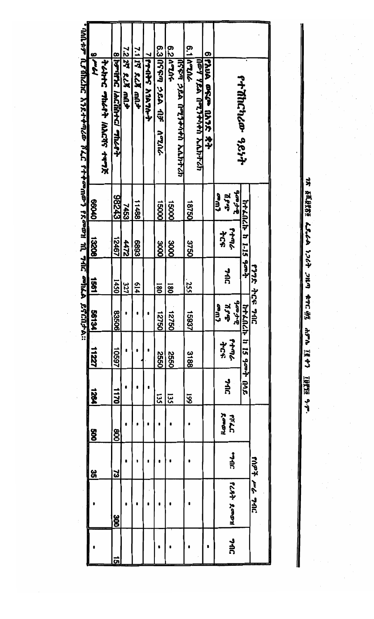| <u>. 1941 - 1948 ASA (Pillando XII) na mga pagagong ng Pillando at t</u> | 17.16    | <b>アムカイム つきんのう ハムスログ ナキフズ</b> | 8 POULLE / HCANTLY MACP+ | 7.2 22 RLK ARA | 7.1 15 228 and | プアクロルド とっとつけん | 6.3 1999 284 17<br>ጎባምሌ | 6.2 4714    | 424477 りゃりゃくるの マゴン いさうり | 6.1   ATCA        | ustanda በሚንቀስቀስ ኢሲክተሪክ | 6 የኢሀል መፍጮ በአንድ ቋት |                               | የተሽከርካሪው ዓይነት         |                    |
|--------------------------------------------------------------------------|----------|-------------------------------|--------------------------|----------------|----------------|---------------|-------------------------|-------------|-------------------------|-------------------|------------------------|--------------------|-------------------------------|-----------------------|--------------------|
|                                                                          | 01099    |                               | 8243                     | 7453           | 11488          |               | <b>000S1</b>            | 00091       |                         | 18750             |                        |                    | $\frac{1}{2}$<br>مەللا<br>せょり |                       |                    |
|                                                                          | 13208    |                               | 12467                    | 4472           | <b>8893</b>    |               | 3000                    | <b>9000</b> |                         | 3750              |                        |                    | やさら<br>せいす                    | htklich 1-15 gapt     |                    |
|                                                                          | 1381     |                               | 1450                     | 327            | 614            |               | <u>180</u>              | 180         |                         | $\frac{255}{255}$ |                        |                    | コフィ                           |                       | <b>DUG 354 JUG</b> |
| <b>PACAJ-A::</b>                                                         | 56134    |                               | 90998                    |                |                |               | 09221                   | 12750       |                         | 15937             |                        |                    | صوبات<br>المالية<br>المحمد    |                       |                    |
|                                                                          | 11227    |                               | 10597                    |                |                |               | <b>2550</b>             | 0992        |                         | 3188              |                        |                    | <b>7534</b><br>754            | ht Lach h 15 goot noe |                    |
|                                                                          | 1264     |                               | 1170                     |                |                |               | 135                     | 135         |                         | 661               |                        |                    | <b>74G</b>                    |                       |                    |
|                                                                          | 800      |                               | 800                      |                |                |               |                         |             |                         |                   |                        |                    | Ræøn<br>LUTE                  |                       |                    |
|                                                                          | 35<br>00 |                               | ಬ                        |                |                |               |                         |             |                         |                   |                        |                    | <b>JUL:</b>                   |                       |                    |
|                                                                          |          |                               | ğ                        |                |                |               |                         |             |                         |                   |                        |                    | PLAT ROOM                     |                       | ገሀጌ ንሖ ቋወሀ         |
|                                                                          |          |                               | <u>ភា</u>                |                |                |               |                         |             |                         |                   |                        |                    | <b>74G</b>                    |                       |                    |

18 SLUSS Lich 1267 2117 ATC AS APD IRT7 IUTE 9.7.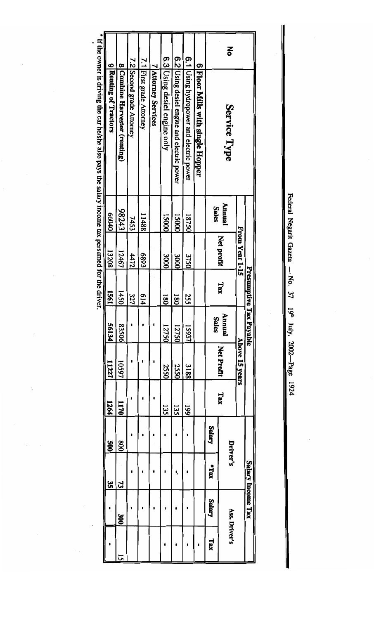| edera        |
|--------------|
| <b>Vegan</b> |
| iazet        |
| ।<br>इ       |
| 37           |
| ಠ್ಣ          |
| Yuly         |
| 2003<br>Page |
| 1924         |

|   |                                            |              |                | Presumptive      | Tax Payable  |                   |      |          | Salary Income Tax           |               |     |
|---|--------------------------------------------|--------------|----------------|------------------|--------------|-------------------|------|----------|-----------------------------|---------------|-----|
|   |                                            |              | From Year 1-15 |                  |              | Above 15 years    |      |          |                             |               |     |
| 종 | Service Type                               | Annual       | Net profit     | Tax              | Annual       | <b>Net Profit</b> | Tax  | Driver's |                             | Ass. Driver's |     |
|   |                                            | <b>Sales</b> |                |                  | <b>Sales</b> |                   |      | Salary   | *Tax                        | <b>Salary</b> | Tax |
|   | 6 Floor Mills with single Hopper           |              |                |                  |              |                   |      |          |                             |               |     |
|   | 6.1 Using hydropower and electric power    | 18750        | 3750           | 255              | 15937        | 3188              | 661  |          |                             |               |     |
|   | 6.2 Using desiel engine and electric power | 15000        | <b>3000</b>    | $\overline{180}$ | 12750        | 2550              | 135  |          |                             |               |     |
|   | 6.3 Using desiel engine only               | 15000        | <b>3000</b>    | រន្ធ             | 12750        | 2550              | 135  |          |                             |               |     |
|   | 7 Attorney Services                        |              |                |                  |              |                   |      |          |                             |               |     |
|   | 7.1 First grade Attorney                   | 11488        | £689           | 614              |              |                   |      |          |                             |               |     |
|   | 7.2 Second grade Attorney                  | 7453         | 4472           | 327              |              |                   |      |          |                             |               |     |
|   | 8 Combine Harvestor (renting)              | \$243        | 12467          | 1450             | 83506        | 10597             | 1170 | 800      | $\boldsymbol{\mathfrak{z}}$ | SOR           | 5   |
|   | 9 Renting of Tractors                      | 00040        | 13208          | 1991             | 56134        | 11227             | 1264 | ğ        | 35                          |               |     |

" If the owner is driving the car he/she also pays the salary income tax persumed for the driver.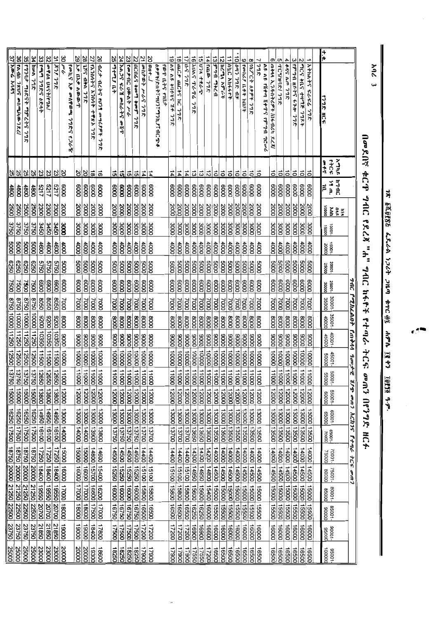|                        |                                  |                 |                   |                                                    |                     |                  |                 |              |                       |               |        |                     |                                          |                  |                                                                                               |                 | 7AC PORILANA PMAAA 900JE KIR OOM ACIITS PTAL ACE OOM |                                                    |             |                                                                                  |                                     |                                  |
|------------------------|----------------------------------|-----------------|-------------------|----------------------------------------------------|---------------------|------------------|-----------------|--------------|-----------------------|---------------|--------|---------------------|------------------------------------------|------------------|-----------------------------------------------------------------------------------------------|-----------------|------------------------------------------------------|----------------------------------------------------|-------------|----------------------------------------------------------------------------------|-------------------------------------|----------------------------------|
|                        |                                  | メリアド            | 7144              |                                                    |                     |                  |                 |              |                       |               |        |                     |                                          |                  |                                                                                               |                 |                                                      |                                                    |             |                                                                                  |                                     |                                  |
|                        | <b>FJ7R HCF</b>                  | $4 + C$<br>$+$  | ۱۹ m.<br>₿        | 10000<br>$\frac{2}{3}$ $\frac{5}{3}$ $\frac{9}{3}$ | 10001-              | 15001-           | 20001-<br>25000 | 25001-       | 30001-                | 35001-        | 40001- | 45001-              | 50001-                                   | -10059<br>00009  | 60001-                                                                                        | 65001-<br>70000 | $-10001$<br>75000                                    | $-10092$<br><b>BOOOD</b>                           | 90001-      | -10058<br>00006                                                                  | 90001-                              | 100001                           |
| ÷*                     |                                  |                 |                   |                                                    |                     |                  |                 |              |                       |               |        |                     |                                          |                  |                                                                                               |                 |                                                      |                                                    |             |                                                                                  |                                     |                                  |
|                        | 1 Athatic FGFG 77%               | $\vec{0}$       | 0009              | 2000                                               | DOOE                | $\frac{1}{2}$    | 0005            | 0009         | 0002                  | 0008          | 10006  | 10000               | 00011                                    | 12000            | 13000   13500                                                                                 |                 | 14000                                                |                                                    |             | 14500 15000 15500                                                                | 16000                               | 16500                            |
| N                      | <b>POCS ARE THPTE 37RX</b>       | $\vec{0}$       | 6000              | 2000                                               | <b>COOC</b>         | 4000             | 5000            | 0009         | 7000                  | 0008          | 10006  | $\vert 00001 \vert$ | 11000 12000                              |                  | DOSE I DOOE                                                                                   |                 | 14000 14500                                          |                                                    |             | 15000 15500 16000                                                                |                                     | 16500                            |
| ω                      | إفكماطا المتنابر وباله<br>さん     | $\vec{0}$       | 0009              | 2000                                               | COOCE               | 4000             | 10005           | 6000         | 7000                  | 8000          | 0006   | 00011 00001         |                                          | 12000            | DOSEI DOOEI                                                                                   |                 |                                                      |                                                    |             | 4000 14500 15000 15500 16000                                                     |                                     | 16500                            |
| 4                      | 489 A.M 77R                      | $\vec{0}$       | 8000              | 2000                                               | oooc                | 4000             | 1000            | 0009         | 7000                  | 0008          |        | 00011 00001 0006    |                                          | 12000            | DOSE I DOOE I                                                                                 |                 |                                                      |                                                    |             |                                                                                  |                                     | 16500                            |
| C                      | TCY/HIR/ 77R                     | $\vec{0}$       | $rac{8}{8}$       | 2000                                               | oooc                | 4000             | 5000            | 0009         | $\overline{0002}$     | 0008          |        | 00011 00001 0006    |                                          | 12000            | 13000   13500                                                                                 |                 |                                                      |                                                    |             | 14000   14500   15000   15500   16000  <br>14000   14500   15000   15500   16000 |                                     | 16500                            |
| თ                      | <b>ጠቅላላ ኢንዱስትሪዎች /በፋብሪካ ደረጃ/</b> | ᇹ               |                   | 2000                                               | oooc                | 4000             | 0009            | 6000         | 7000                  | 0008          | 0006   | 00001               | 11000 12000                              |                  | 1300613500                                                                                    |                 |                                                      | 4000 14500                                         | 15000 15500 |                                                                                  | 16000                               | 16500                            |
|                        | ひゃくちゅう ゴチクら できょう コロシン            |                 |                   |                                                    |                     |                  |                 |              |                       |               |        |                     |                                          |                  |                                                                                               |                 |                                                      |                                                    |             |                                                                                  |                                     |                                  |
| ┙                      | 772                              | ತ               | 0009              | 2000                                               | <b>SOOC</b>         | $rac{1}{2}$      | 0009            | 8000         | $\overline{1000}$     | 0008          |        |                     | 0000 10000 11000 12000                   |                  | 13000 13500                                                                                   |                 |                                                      | 14000 14500 15000 15500<br>14000 14500 15000 15500 |             |                                                                                  | $\frac{16000}{2}$                   | 16500                            |
| œ                      | コレム マタタイ フィング                    | ៊               | 0009              | $\overline{\text{2000}}$                           | <b>SOOC</b>         | $\frac{1}{2}$    | pood            | 0009         | 0002                  | 0008          | 0006   | looool              | 11000                                    | 12000            | 13000 13500                                                                                   |                 |                                                      |                                                    |             |                                                                                  | 16000                               | 16500                            |
| 6                      | Fornes (Lff hill)                | $\vec{0}$       | 0009              | <b>DOOZ</b>                                        | OOOE                | 0000             | 0005            | 0009         | 2000                  | 0008          | 0006   | 10000               | 00011                                    | 12000            | 13000 13500                                                                                   |                 |                                                      | 14000 14500 15000 15500                            |             |                                                                                  | 0009L                               | 16500                            |
|                        | 10 947 778 175                   | $\vec{0}$       | 0009              | 2000                                               | OODE                | 0000             | 0009            | 0009         | 7000                  | 0008          | 10006  | 00011 00001         |                                          | 00021            | 13000 13500                                                                                   |                 |                                                      |                                                    |             | 14000 14500 15000 15500 16000                                                    |                                     | 16500                            |
|                        | <b>ITINEC ANGERS</b>             | õ               | 0009              | 2000                                               | <b>OOOC</b>         | 0000             | 0009            | 0009         | <b>2000</b>           | 0008          | 0006   | 00001               | 00011                                    | 12000            | 13000   13500                                                                                 |                 | 14000                                                | 4500                                               |             | 00091 00931 00051                                                                |                                     | 16500                            |
| 芯                      | <b>Incma Agert</b>               | る               | 0009              | 2000                                               | OOOE                | 4000             | 0009            | 6000         | 7000                  | 0008          | 0006   | 00001               | 11000                                    | 12000            | 13006113500                                                                                   |                 |                                                      |                                                    |             | 14000 14500 15000 15500 16000                                                    |                                     | 16500                            |
|                        | 13 アクライ ファムカ                     | る               | 0009              | 2000                                               | OOOE                | 4000             | 0005            | 0009         | 7000                  | 0008          | 10006  | 00001               | 11000                                    | 12000            | 13000 13500                                                                                   |                 |                                                      |                                                    |             | 14000 14500 15000 15500 16000                                                    |                                     | 16500                            |
|                        | $14 1400 - 778$                  | 12              | 6000              | 2000                                               | OOOE                | 4000             | <b>poos</b>     | 0009         | 0002                  | 0008          | 10006  | 10000               | 11000                                    | 12000            | 13000 13600                                                                                   |                 |                                                      |                                                    |             | 14200 14800 15400 16000 16600                                                    |                                     | 17200                            |
| $\vec{5}$              | こころ オカムー                         | ದ               | 6000              | 2000                                               | <b>COOC</b>         | 4000             | 0005            | 6000         | 0002                  | 0008          | 0006   | 00011 00001         |                                          | 12000            | 13000 13650                                                                                   |                 |                                                      |                                                    |             | 4300 14950 15600 16250 16900                                                     |                                     | 17550                            |
| $\vec{v}$<br>$\vec{0}$ | hung Three<br>$31.2 - 31$<br>ንግድ | 4<br>ದ          | 6000<br>0009      | 2000<br>2000                                       | DOOE<br><b>OOOE</b> | 4000<br>4000     | 10009<br>0009   | 0009<br>0009 | 2000<br>7000          | 10008<br>0008 | 10006  | 00001               | 00021 00011 00001 0006<br>1100021 00011  |                  | 13000   13650                                                                                 |                 | 14400 15100<br>05611 00EP                            |                                                    |             | 15800 16500 17200<br>00691 05291 00951                                           |                                     | 17550<br>17900                   |
| ಹ                      | anC. anc +5 hc 77R               | 고               | eooo              | 2000                                               | <b>COOC</b>         | $\frac{1}{1000}$ | 10005           | 0009         | $\overline{\text{S}}$ | 8000          | 10006  |                     | 00021 00011 00001                        |                  | 13000 13700<br>  13000 13700<br>  13000 13700                                                 |                 | 4400 15100                                           |                                                    |             | 15800 16500 17200                                                                |                                     | 17900                            |
| 5                      | ひょうしゅ きにゅうしょう                    | 교               | 0009              | 2000                                               | <b>OODE</b>         | 4000             | loopg           | 0009         | 000L                  | 8000          |        |                     | 00021 00011 00001 0006                   |                  | 13000   13700                                                                                 |                 |                                                      |                                                    |             | 4400 15100 15800 16500 17200                                                     |                                     | 17900                            |
|                        | የወጉ ቤትና የገቢታ                     |                 |                   |                                                    |                     |                  |                 |              |                       |               |        |                     |                                          |                  |                                                                                               |                 |                                                      |                                                    |             |                                                                                  |                                     |                                  |
|                        | きゅうそうどこと じゅつがん きょうじょ             |                 |                   |                                                    |                     |                  |                 |              |                       |               |        |                     |                                          |                  |                                                                                               |                 |                                                      |                                                    |             |                                                                                  |                                     |                                  |
| $\overline{\omega}$    | ant                              | 14              | 0009              | 2000                                               | <b>OOOE</b>         | 4000             | 5000            | 0009         | 7000                  | 0008          |        | 00001 0006          | 11000   12000                            |                  | 13000 13700<br>  13000 13700                                                                  |                 |                                                      |                                                    |             | 14400 15100 15800 16500 17200<br>14400 15100 15800 16500 17200                   |                                     | 17900                            |
|                        | 21   ファイ チョンラック 12               | 14              | 0009              | 2000                                               | OOOE                | 4000             | 10005           | 0009         | 7000                  | 0008          | 10006  |                     | 00021 00011 00001                        |                  |                                                                                               |                 |                                                      |                                                    |             |                                                                                  |                                     | 17900                            |
|                        | 22   11Cll69 + and + and<br>ንግድ  | <b>öl</b>       | 0009              | 2000                                               | DOOE                | \$               | 10005           | 10009        | 7000                  | 8000          | 0006   | 100011 00001        |                                          | 12000            | 13000   13750                                                                                 |                 |                                                      |                                                    |             | 4500 15250 16000 16750 17500                                                     |                                     | 18250                            |
| 23                     | いきゅうに じゅうや どん                    | ᇚ               | 0009              | $\overline{3000}$                                  | oooc                | 0000             | 0009            | 0009         | 7000                  | 8000          | 10006  | 100011 000          |                                          | 00021            | 13000 13750                                                                                   |                 |                                                      |                                                    |             |                                                                                  |                                     |                                  |
|                        | 24 AAJS FG A GOLG AS OFT         | 이후              | 8000              | 2000                                               | <b>OOOC</b>         | 0000             | 8000            | 0009         | 0002                  | 0008          |        |                     | 0000 1000 11000 12000                    |                  | 13000 13750                                                                                   |                 |                                                      |                                                    |             | 14500 15250 16000 16750 17500<br>14500 15250 16000 16750 17500                   |                                     | 18280<br>18290<br>18290          |
|                        | 12 ما ما مل 11 با با             |                 | $\frac{80}{2000}$ | 2000                                               | oooc                | 4000             | 0005            | 6000         | 7000                  | 0008          | 10006  | 100001              | 200011                                   | $ 000\tilde{c} $ | 13000   13750                                                                                 |                 | 14500 15250                                          |                                                    | 16000 16750 |                                                                                  | 00521                               |                                  |
|                        | 26 12.3 1275 1079 and 897 79R    | $\vec{a}$       | 8000              | 0002                                               | $\frac{8}{100}$     | 4000             | 0009            | 0009         | 0002                  | 0008          |        |                     | 00021 00011 0001 0006                    |                  | DOBEL OODEL                                                                                   |                 |                                                      |                                                    |             | 14600 15400 16200 17000 17800                                                    |                                     | 18600                            |
|                        | 27 『ころいんから 入りハイ ナキメン フッタ         | $\overline{a}$  | 8000              | 2000                                               | $rac{8}{2}$         | $\frac{1}{8}$    | 10005           | 0009         | 7000                  | 0008          | 0006   | 00011 00001         |                                          | 12000            | DOGE   OOOE                                                                                   |                 | 14800 15700 16600 17500                              |                                                    |             |                                                                                  | 00                                  | $\overline{\frac{19300}{20000}}$ |
| 28                     | <b>IT'S APA 77R</b>              | 8 8             | 0009              | 2000                                               | OODE                | 000\$            | 0009            | 0009         | 7000                  | 0008          | 10006  |                     | 00021 00011 00001                        |                  | 0000 t 000EL                                                                                  |                 | 15000                                                | 160081 00071 00081                                 |             |                                                                                  | l 9006                              | $rac{20000}{\pi}$                |
| 29                     | አቃ በአቃ ለወውጥ                      |                 | 0009              | 2000                                               | OOOE                | 4000             | 0009            | 0009         | 7000                  | 8000          |        |                     | 00021 00011 00001 0006                   |                  | 00001 000EL                                                                                   |                 |                                                      | 00081 00021 00091 00091                            |             |                                                                                  | 00061                               | 20000                            |
|                        | fools? No onlife@a<br>りつどう アクティ  |                 |                   |                                                    |                     |                  |                 |              |                       |               |        |                     |                                          |                  |                                                                                               |                 |                                                      |                                                    |             |                                                                                  |                                     |                                  |
| ଞ                      |                                  |                 | 0009              | 2000                                               | 3000                | $\frac{1}{2}$    | 0009            | 0009         | 7000                  | 8000          |        |                     |                                          |                  | 9000   10000   11000   12000   13000   14000<br>10350   11500   12650   13800   14850   16100 |                 |                                                      |                                                    |             | 00061 00081 00021 00091 00091                                                    |                                     | 00002                            |
|                        | 31 79. 79R                       |                 | 5217              | 2300                                               | <b>3450</b>         | $\frac{4600}{3}$ | 10925           | 0069         | 0908                  |               |        |                     | 00821 05921 00511 05201 0025             |                  |                                                                                               |                 |                                                      |                                                    |             | 17250 18400 19550 20700 21850                                                    |                                     | 23000                            |
| 32                     | <b>OPPON UXSTICTAL</b>           | ន ន ន ន         | 2217              | 2300                                               | <b>3450</b>         | 4600             | 5750            | 0069         | 8050                  | 09E010026     |        |                     | 11500 12650 13800                        |                  | 14950 16100                                                                                   |                 | 17250 18400 19550 20700                              |                                                    |             |                                                                                  | 09812                               | 23000                            |
|                        | 33 [ 49 7955 6847                |                 | 1129              | 2300                                               | 3450                | 4600             | 5750            | 0069         | 0508                  |               |        |                     | 00861 05961 1309 126801 026              |                  | 14950   16100                                                                                 |                 |                                                      |                                                    |             | 17250 18400 19550 20700 21850                                                    |                                     | 23000<br>25000                   |
|                        | <b>SPC AWALLE</b>                | $\frac{25}{25}$ | dept              | <b>2500</b>                                        | 3750                | 0009             | 0529            | 7500         |                       |               |        |                     | 00091 0250 0250 0250 02500 13750 15000   |                  | 16250 17500                                                                                   |                 |                                                      |                                                    |             | 18750 20000 21250 22500 23750                                                    |                                     |                                  |
|                        | 35 ワクロー ワクスティアクライ フクス            |                 | 4800              | 2500                                               | 3750                | looos            | 0529            | 00SZ         |                       |               |        |                     | 00091 10250 1250 1250 13750 13760        |                  | 16250 17500                                                                                   |                 |                                                      |                                                    |             | 18750 20000 21250 22500 23750                                                    |                                     | 25000                            |
| $\frac{1}{2}$          | FATIO 7815 OF AND AD 7R61        | <u> 없이</u>      | $\frac{4800}{3}$  | 2500                                               | 3750                | 10005            | 0529            | 0052         |                       |               |        |                     | 8750 10000 11250 12500 13750 13760 15000 |                  | 16250 17500                                                                                   |                 |                                                      |                                                    |             | 18750 20000 21250 22500 23750                                                    |                                     | 25000                            |
|                        | プラント どうき                         |                 | ∥ĝ                | 3500                                               | 3750                | 10005            | 6250            | 7500         |                       |               |        |                     | 8750 10000 11250 12500 13750 15000 16250 |                  |                                                                                               | 00921           |                                                      |                                                    |             |                                                                                  | 18750 20000 21250 22500 23750 25000 |                                  |

18 反反驳改善 4.8-6 1264 2149 年12 頭 4876 現 47 退約 運動

በመደበኛ ቁርዋ ግብር የደረጃ "ሐ" ግብር ከፋዮች የተጣራ ትርፍ መጠን በየንግድ ዘርፉ

 $208$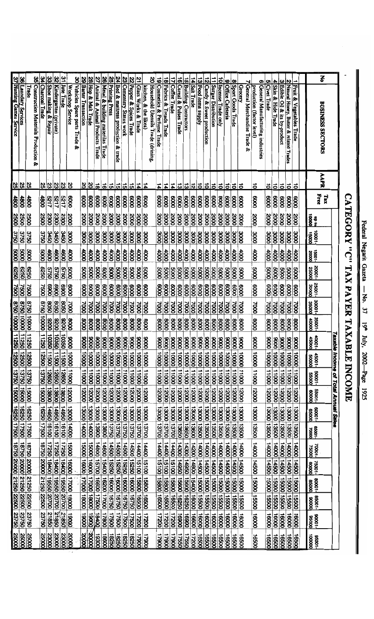$\overline{\phantom{a}}$ 

# CATEGORY "C" TAX PAYER TAXABLE INCOME

| Š                     | <b>BUSINESS SECTORS</b>                              | AAPR                                               | Free<br>Tax       | 00001<br>10000           | 10001-                           | 15001-                | 35001-                   | 35001-               | 30001-                          | 35001-<br><b>OOOOP</b> | Taxab<br>45001-                     | 100095                                 | 10009                       | le income of Total Annual Sales<br>55001-                                     | 80001-                         | -10058 | 10002<br>75000                                                   | 75001-<br>00008                                    | 80001-<br>85000 | 10006       | 10006                         | 100000<br>$-10096$ |
|-----------------------|------------------------------------------------------|----------------------------------------------------|-------------------|--------------------------|----------------------------------|-----------------------|--------------------------|----------------------|---------------------------------|------------------------|-------------------------------------|----------------------------------------|-----------------------------|-------------------------------------------------------------------------------|--------------------------------|--------|------------------------------------------------------------------|----------------------------------------------------|-----------------|-------------|-------------------------------|--------------------|
|                       |                                                      |                                                    |                   |                          |                                  |                       |                          |                      |                                 |                        |                                     |                                        |                             |                                                                               |                                |        |                                                                  |                                                    |                 |             |                               |                    |
|                       | Fruit & Vegetables Trade                             | ಕ                                                  | 8000              | 2000                     | 3000                             | 0000                  | 0009                     | 0009                 | <b>000Z</b>                     | 0008                   |                                     | 0000 10000 11000 12000                 |                             |                                                                               | 13000 13500                    |        | 005110001                                                        |                                                    | 00091           | 15500       | 00091                         | 16500              |
| lN                    | Natural Honey, Butter & related Trades               | $\vec{0}$                                          | 0009              | 8000                     |                                  | $\frac{1}{8}$         | 0009                     | 0009                 | 7000                            | 0008                   | 8                                   | 00001                                  | 11000                       | 12000                                                                         | 13006113500                    |        | 14000 14500                                                      |                                                    | 00091           | 15500       | 16000                         | 16500              |
| $\boldsymbol{\omega}$ | Edible Oil & its by-product                          | $\vec{0}$                                          | $\overline{8}$    | 2000                     | $\frac{8}{3}$                    | 4000                  | 8000                     | 0009                 | 7000                            | 0008                   | $\frac{8}{8}$                       | $\overline{100001}$                    | 00011                       | 12000                                                                         | 13000 13500                    |        | 14000                                                            | 0051 00051 0051                                    |                 |             | $\frac{16000}{16000}$         | 16500              |
|                       | $\overline{\bullet}$<br><b>Skin &amp; Hide Trade</b> | $\vec{0}$                                          | 0009              | 0002                     | 0006                             | $\frac{1}{1000}$      | 0009                     | 0009                 | 7000                            | 0008                   | 8000                                | 00001                                  | 11000 12000                 |                                                                               | 13000 13500                    |        |                                                                  | 14000 14500 15000 15500                            |                 |             | 00091                         | 16500              |
| S                     | <b>Civet Trade</b>                                   | ಠ                                                  | $\overline{8000}$ | $\overline{0000}$        | 3000                             | 4000                  | 0009                     | 0009                 | 7000                            | 0008                   |                                     |                                        |                             | 009610006110001120001120001200013                                             |                                |        | 14000 14500 15000 15500                                          |                                                    |                 |             | 16000                         | 16500              |
| თ                     | General Manufacturing industries                     |                                                    |                   |                          |                                  |                       |                          |                      |                                 |                        |                                     |                                        |                             |                                                                               |                                |        |                                                                  |                                                    |                 |             |                               |                    |
|                       | production (factor level)                            | $\vec{0}$                                          | 8000              | 2000                     | <b>Sooc</b>                      | $\frac{1}{8}$         | 0009                     | 0009                 | 7000                            | 0008                   |                                     | 00021 00011 00001 0006                 |                             |                                                                               | 13000 13500                    |        |                                                                  | 14000 14500 15000 15500                            |                 |             | 00091                         | 16500              |
| ↘                     | General Merchandise Trade<br>ھ                       |                                                    |                   |                          |                                  |                       |                          |                      |                                 |                        |                                     |                                        |                             |                                                                               |                                |        |                                                                  |                                                    |                 |             |                               |                    |
|                       | Grocery                                              | $\vec{0}$                                          | 0009              | 0002                     | 8                                | $\frac{1}{2}$         | 0009                     | 0009                 | 7000                            | 0008                   | 0006                                | 00001                                  | 11000                       | 00021                                                                         | 13000 13500                    |        | 14000 14500                                                      |                                                    | 15000 15500     |             | 00091                         | 16500              |
| $\infty$              | Sport Goods Trade                                    | $\vec{0}$                                          | 0009              | 2000                     | 0006                             | 0000                  | 0009                     | 0009                 | 7000                            | 0008                   | $\frac{8}{100}$                     | 10000                                  | $\overline{00011}$          | 00021                                                                         | 13000 13500                    |        | 14000 14500                                                      |                                                    | 00091           | 15500       | 00091                         | 16500              |
| $\bullet$             | <b>Office Cafeteria</b>                              | $\vec{0}$                                          | 0009              | 2000                     | 8                                | $\frac{1}{8}$         | 0009                     | 0009                 | 7000                            | 0008                   |                                     | 00001 0006                             | 11000112000                 |                                                                               | 13000 13500                    |        | 14000                                                            | 14500                                              | 00091           | 00991       | 00091                         | 16500              |
| $\vec{0}$             | Incense Trade only                                   | $\vec{0}$                                          | 8000              | 0002                     | <b>OOOC</b>                      | $\frac{1}{2}$         | 0009                     | 8000                 | 7000                            | $\overline{0008}$      | 8                                   | 00001                                  | 11000                       | 12000                                                                         | 13000 13500                    |        | 14000                                                            | 14500 15000                                        |                 | 00591       | 16000                         | 16500              |
| ⇉                     | Surgar Distribution                                  | $\vec{0}$                                          | 8000              | $\frac{2000}{2000}$      | 3000                             | <b>0000</b>           | 0009                     | 0009                 | <b>000Z</b>                     | 8000                   | 8000                                | 00001                                  | 11000 12000                 |                                                                               | 13000 13500                    |        |                                                                  | 0051 00051 0051 0007                               |                 |             | 00091                         | 16590              |
| ಸ                     | Candy & Sweet production                             | $\vec{0}$                                          | 8000              | 2000                     | $\frac{8}{2000}$                 | $\frac{1}{2}$         | 0009                     | 8000                 | 7000                            | 8000                   |                                     | 00001 0006                             | $\overline{1000}$           | 12000                                                                         | 13000 13500                    |        |                                                                  | 14000 14500 15000 15500                            |                 |             | 16000                         | 16500              |
| <u>ದ</u>              | Food items supply                                    | $\vec{0}$                                          | 0009              | 0002                     | 8                                | $\frac{1}{2}$         | 0005                     | 0009                 | <b>2000</b>                     | 8000                   | 8000                                | 00001                                  | 11000 12000                 |                                                                               | 13000 13500                    |        | 14000 14500 15000 15500                                          |                                                    |                 |             | 16000                         | 16500              |
| <b>41</b>             | Salt Trade                                           | ಸ                                                  | 8                 | 2000                     | $\frac{8}{3}$                    | $\frac{1}{2}$         | 0009                     | 0009                 | $\overline{\frac{80}{2}}$       | 0008                   |                                     | 00001 0006                             | 11000 12000                 |                                                                               | 13000   13600                  |        |                                                                  | 14200 14800 15400 16000                            |                 |             | 16600                         | 17200              |
| <u>ត្រ</u>            | <b>Building Contractors</b>                          | $\overline{3}$                                     | 8                 | $\frac{8}{20000}$        | 8                                | $\frac{1}{8}$         | $\overline{\text{2000}}$ | $\frac{8}{6}$        | 7000                            | 8                      |                                     | 000010006                              | 00011                       | $\overline{12000}$                                                            | 13000 13650                    |        | 14300 14950 15600 16250                                          |                                                    |                 |             | $\overline{\overline{00691}}$ | 17550              |
| ಹ                     | Cereal & Pulses Trade                                | ಪ                                                  | 8000              | $\overline{\text{2000}}$ | $\frac{8}{100}$                  | $\frac{1}{8}$         | 0009                     | 8000                 | <b>0002</b>                     | 0008                   |                                     | 00001 0006                             | 00011                       | 12000                                                                         | 13000   13650                  |        | 14300 14950                                                      |                                                    | 15600 16250     |             | 16900                         | 17550              |
| $\overline{1}$        | <b>Coffee Trade</b>                                  | $\overline{\bf 1}$                                 | 0009              | $\frac{8}{2000}$         | $\frac{8}{3}$                    | $\frac{1}{8}$         | $\overline{0005}$        | $\overline{8}$       | 0007                            | 8000                   |                                     | 00001 0006                             | 11000112000                 |                                                                               | 13000   13700                  |        | 14400 15100 15800 16500                                          |                                                    |                 |             | $\overline{17200}$            | 17900              |
| $\overline{8}$        | Fabrics & Treads Trade                               | $\overline{\bf 4}$                                 | $\overline{0009}$ | 8000                     | $\frac{1}{20000}$                | $\frac{1}{2}$         | 0009                     | 8000                 | $\overline{000}$                | 8000                   |                                     |                                        | 11000112000                 |                                                                               | 13000 13700                    |        | 14400 15100 15800 16500                                          |                                                    |                 |             | 17200                         | 17900              |
| $\vec{6}$             | Cosmetics & Perfume Trade                            | 14                                                 | 8000              | 2000                     | <b>0006</b>                      | 0000                  | <b>2000</b>              | 8000                 | <b>2000</b>                     | 0008                   |                                     | 00021 00011 00001 0006                 |                             |                                                                               | 13000 13700                    |        | 1440 15100 15800 16500                                           |                                                    |                 |             | 17200                         | 00621              |
| ೪                     | Household Utensils Trade (drining,                   |                                                    |                   |                          |                                  |                       |                          |                      |                                 |                        |                                     |                                        |                             |                                                                               |                                |        |                                                                  |                                                    |                 |             |                               |                    |
| <u>l2</u>             | Glass Works & Trade<br>kitchen, & the likes)         | 14<br>4                                            | 0009<br>0009      | 2000<br>8000             | $\frac{1}{20000}$<br><b>0006</b> | $\frac{1}{2}$<br>doop | 0009<br>0009             | 8000<br>8000         | 7000<br>$\overline{\text{200}}$ | 0008<br>0008           | 0006                                | 00021 00011 00001 0006<br>00001        | 00011                       | 00021                                                                         | 13000   13700<br>13000   13700 |        |                                                                  | 14400 15100 15800 16500<br>14400 15100 15800 16500 |                 |             | 17200<br>17200                | 17900<br>17900     |
| B                     | Pepper & Spices Trade                                | <u>ជា</u>                                          | 8000              | 8000                     |                                  | $\frac{1}{8}$         | 0009                     | 0009                 | <b>000Z</b>                     | 8000                   |                                     | 00001 0006                             | 00011                       | 00021                                                                         | 13000 13750                    |        | 14500 15250 16000 16750                                          |                                                    |                 |             | 17500                         | 18250              |
| $\frac{2}{3}$         | <b>Cementery Status work</b>                         | <u>ត</u>                                           | 0009              | 2000                     |                                  | doop                  | 0009                     | 0009                 | 7000                            | 0008                   |                                     | 00001 0006                             | 11000112000                 |                                                                               | 13000 13750                    |        | 14500 15250 16000 16750                                          |                                                    |                 |             | 17500                         | 18250              |
| 24                    | Bed & mattress production & trade                    | 51                                                 | 8                 | 0002                     | 8                                | $\frac{1}{8}$         | 8000                     | $\frac{8000}{20000}$ | $\overline{\frac{80}{2}}$       | $\frac{8}{100}$        |                                     |                                        | 00021 00011                 |                                                                               | 13000 13750                    |        | 14500 15250 16000 16750                                          |                                                    |                 |             | 17500                         | 18250              |
| ပ္တ                   | Printing Press                                       | <u>ត</u>                                           | $\frac{8}{8}$     | $\frac{8}{2000}$         | 8                                | $\frac{1}{8}$         | 8000                     | $\frac{8}{8}$        | $\overline{\frac{8}{2}}$        | 8000                   |                                     | 00001 0006<br>00001 0006<br>00001 0006 | $\frac{11000}{\frac{1}{2}}$ | 2000                                                                          | 13000   13750                  |        | 0091                                                             | 15250                                              | 05291 00091     |             | 17500                         | 18250              |
| 8                     | Metal & building materilas Trade                     | $\overline{\mathbf{5}}$                            | 8000              | 8000                     | $\frac{8}{100}$                  | $\frac{1}{2}$         | 0005                     | 8000                 | <b>2000</b>                     | 8000                   |                                     |                                        | $\frac{111000}{11}$         | 12000                                                                         | 13000 13800                    |        | 14600 15400                                                      |                                                    | 16200 17000     |             | 17880                         | 18600              |
| 27                    | Animal & Animal Products Trade                       | $\vec{a}$                                          | 8000              | 0002                     | 0006                             | $\frac{1}{8}$         | 0009                     | 0009                 | 7000                            | 0008                   |                                     | 00001 0006                             | $\overline{100011}$         | 12000                                                                         | 13006113900                    |        | 14800 15700 16600                                                |                                                    |                 | 17500 18400 |                               | 00661              |
| 82                    | Hop & Malt Trade                                     | ပြီ                                                | 0009              | 0002                     | $\overline{0006}$                | 0000                  | 0009                     | 0009                 | <b>2000</b>                     | 0008                   |                                     |                                        |                             | 11000112000                                                                   | 0000100081                     |        | 00061 00081 00021 00091 0009                                     |                                                    |                 |             |                               | 00006              |
| 8                     | <b>Barter Transaction</b>                            | 8                                                  | 8000              | 0002                     | $\frac{8}{8}$                    | $\frac{1}{1000}$      | 0009                     | 8000                 | 7000                            | 0008                   | $\overline{\overline{\text{0006}}}$ |                                        |                             | 10000 11000 12000 13000 14000                                                 |                                |        | 00061 00081 00021 00091 00091                                    |                                                    |                 |             |                               | 00002              |
| 8                     | Vehicles Spare parts<br>Trade &                      |                                                    |                   |                          |                                  |                       |                          |                      |                                 |                        |                                     |                                        |                             |                                                                               |                                |        |                                                                  |                                                    |                 |             |                               |                    |
|                       | <b>Workshop Service</b>                              |                                                    | 8000              | 0002                     | 3000                             | 4000                  | 10009                    | 0009                 | 7000                            | 0008                   |                                     |                                        |                             |                                                                               |                                |        | 00061 00061 00021 00091 00051 0000+100081 00021 00011 00001 0006 |                                                    |                 |             |                               | 20000              |
| 31                    | Jute Trade                                           |                                                    | 5217              | 0062                     | <b>OSTE</b>                      | $\frac{1}{1000}$      | 0929                     | 0069                 | 0908                            | 0026                   | 10350                               | 11500 12650 13800                      |                             |                                                                               | 14950 16100                    |        | 17250 18400 19550 20700 21850                                    |                                                    |                 |             |                               | 23000              |
| 8                     | Kindergarten (private)                               | ន $ \mathrm{g} $ ន $ \mathrm{g} $ ន $ \mathrm{g} $ | <b>1129</b>       | 2300                     | <b>OSTE</b>                      | 009                   | 0925                     | 0069                 | 8050                            | 0026                   | 10350                               | 11500 12650 13800                      |                             |                                                                               | 14950 16100                    |        | 17250 18400 19550 20700 21850                                    |                                                    |                 |             |                               | 23000              |
| <u>ಜ</u>              | Shoe making & Repair                                 |                                                    | <b>S217</b>       | 2300                     | 3450                             | $\frac{1}{8}$         | 5750                     | 0069                 | 8050                            | 0026                   |                                     | 0380 11500 12650                       |                             | $\frac{13800}{13800}$                                                         | 14950 16100                    |        | 17250 18400 19550 20700 21850<br>18750 20000 21250 22500 23750   |                                                    |                 |             |                               | 23000              |
| <u>第</u>              | <b>Charcoal Trade</b>                                |                                                    | $\frac{1}{6}$     | 2500                     | 3750                             | 8000                  | 0929                     | 7500                 | 8750                            | 00001                  | 11250                               | 12500 13750                            |                             | 00051                                                                         | 16250 17500                    |        |                                                                  |                                                    |                 |             |                               |                    |
| 8                     | Construction Materials Production<br>ھ               |                                                    |                   |                          |                                  |                       |                          |                      |                                 |                        |                                     |                                        |                             |                                                                               |                                |        |                                                                  |                                                    |                 |             |                               |                    |
|                       | Trade                                                | $\frac{28}{28}$                                    | <b>0081</b>       | 0092                     | 3750                             | 0009                  | 0929                     | <b>009Z</b>          | 00001 0228                      |                        | 11250                               | 12500 13750 15000                      |                             |                                                                               | 16250 17500                    |        | 18750 2000 21250 22500 23750<br>18750 2000 21250 22500 23750     |                                                    |                 |             |                               | 25000              |
|                       | 36 Laundary Services<br>37 Hunting Games Service     |                                                    | 0087              | 0092                     | 3750                             | 0009                  | 0529                     | 7500                 | 000010228                       |                        | 11250                               | 00921                                  | 13750 15000                 |                                                                               | 16250 17500                    |        |                                                                  |                                                    |                 |             |                               | 25000              |
|                       |                                                      |                                                    | 4800              | <b>0092</b>              | 3750                             | 10009                 | 0529                     | 7500                 |                                 |                        |                                     |                                        |                             | 8750 10000 11250 12500 13750 15000 16250 17500  18750 20000 21250 22500 23750 |                                |        |                                                                  |                                                    |                 |             |                               | 25000              |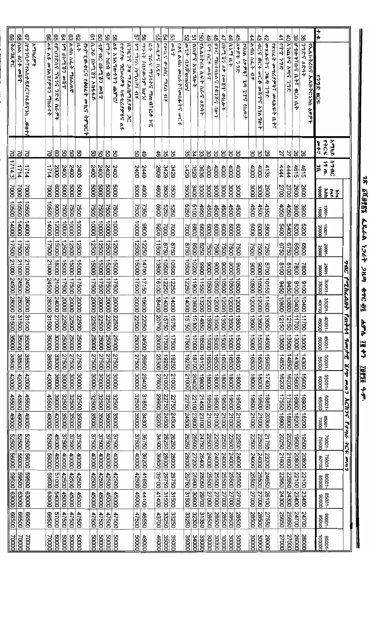| 29<br>ვ<br>ę4<br>සී<br>ౘ<br>8<br>$\overline{z}$              |       |               |                          |                       |                         |               |                                               | ō,                        | 8                   | 89            | 8                                                                   |                                    | 57                  | 'ဗ္တ                 |                           | g,                      |                             | ვე<br>小児の    |                          | S2                 | $\overline{a}$   | <u>gi</u>                      | $\frac{4}{9}$ | $\frac{4}{6}$                      |                                  | $\frac{4}{5}$ | $\frac{4}{5}$                                 | 44            | 43                                     | $\frac{4}{5}$           |                                          | 41           | $\ddot{\sigma}$          | $\frac{8}{6}$                | မ္ထ           |                               | 十六                  |                   |                 |  |
|--------------------------------------------------------------|-------|---------------|--------------------------|-----------------------|-------------------------|---------------|-----------------------------------------------|---------------------------|---------------------|---------------|---------------------------------------------------------------------|------------------------------------|---------------------|----------------------|---------------------------|-------------------------|-----------------------------|--------------|--------------------------|--------------------|------------------|--------------------------------|---------------|------------------------------------|----------------------------------|---------------|-----------------------------------------------|---------------|----------------------------------------|-------------------------|------------------------------------------|--------------|--------------------------|------------------------------|---------------|-------------------------------|---------------------|-------------------|-----------------|--|
| パワフロナミャ入れイタRCミャチタイフへ …のHt/                                   |       | <b>አማካሪዎች</b> | とん ひや<br>ም1A1.የዎችን ማከራየት | የምሀንድስና ፕላንና ንድፍ ስራዎች | ヤグロ になりかけ アク            | へうこ こんす つうへのや | የኮምፒወተርና የፅሀፈት<br>$5 \, \mathrm{M}$<br>79°057 | <b>AAAAA Sherin Antel</b> | 42 46 Wash 2017     | ent till AF   | <b>AR XIA 74-477 ጨምሮ/</b><br>የተያሦዙ ግሮሠሪዎች ከፍቴሪያዎችና<br>$\frac{5}{6}$ | <b>R7H279</b><br>ጋዝ ማደል/ከማደያው<br>ά | タッと したいしゅん いとちゃ ちゃく | ヘイプンプ /イロジロ・フタッ フライン | ፎቶ ግራፍ ማንሳትና ማጠብ፣ፎቶ<br>٦, | $4.8$ if $7.4$ , $1.40$ | $54$  rault? arill agri 117 |              | いから へれい ゆいんふうかんから<br>mC4 | on イナナ コポロ ension/ | ተግዮግ አገለግሎት      | <b>PAAh7ch AF7 h67</b><br>かんかん | ばら インファッド     | <b>DONE MATHING</b><br>しえんゆる<br>うき | $1.2023$ 69 $(2.2.2010)$<br>መኪሎች | ሲኒማ ቤት        | ふんい そうさつ<br>アリレム カタキミ<br>Ï<br>ومهامي والان ته | A 111 16.2 17 | <b>ACS OCT WCA</b><br>صلاباط<br>ドライブライ | መጽሐፍትና ጋዜጣ ንግድ          | <b>የአሀፈት መሣሪያዎች፣ መጻሕፍት</b><br>$\ddot{z}$ | ادىلىك ياھاق | <b>አንጨትና አ</b> ጣና<br>798 | U th 71704<br><b>4Ch ILT</b> | つつえら ひとうす     | <b>የኢሌክትሪክና ኢሌክትሮኒክስ ዕቃዎች</b> | ごづか まい              |                   |                 |  |
| 15                                                           |       |               | 5                        | 8                     | 8                       | 8             | පි                                            | 8                         | ვ                   | g             | පි                                                                  |                                    | ვ                   | 49                   |                           | $\frac{4}{5}$           | Gε                          | ပ္ပြ         |                          | ပ္ပ                | ξ                | ပ္ထ                            | မ္မ           | δS                                 | မိ                               | မွ            | ္ပြ                                           | မ္ထ           | မိ                                     | 29                      |                                          | 27           | 27                       | $\frac{26}{8}$               |               |                               | <b>43043</b><br>自中气 | አግካዶ              |                 |  |
|                                                              | 1714  |               | カレー                      | 2000                  | 2400                    | 2400          | 2400                                          |                           | $\frac{2400}{2400}$ | 2400          | 2400                                                                |                                    | 2400                | <b>S449</b>          |                           | 2609                    | 3429                        | <b>3429</b>  |                          | <b>S429</b>        | 3529             | 3636                           | 4000          | 4000                               | 4000                             | 4000          | 4000                                          | 4000          | 4000                                   | 4138                    |                                          | 4444         | 4444                     | 4615                         | 4615          |                               | 19 m.<br>Ju         | 11710             |                 |  |
| 7000                                                         | 7000  |               | 7000                     | 0009                  | 0009                    | 0009          | 0009                                          | 0009                      | 0009                | 0009          | 6009                                                                |                                    | 0009                | 4900                 |                           | 4600                    | 3500                        | 3500         |                          | 3500               | OOP <sub>E</sub> | 3300                           | OODE          | OOOE                               | OOOE                             | OOOE          | OOOE                                          | OOOE          | OOOE                                   | 2900                    |                                          | 2700         | 2700                     | 2600                         | 2600          |                               | 00001               | <b>ANA</b>        |                 |  |
| 10500                                                        | 00901 |               | 10500                    | 10006                 | <b>2500</b>             | 7500          | 7500                                          | <b>2500</b>               | 7500                | 7500          | <b>L500</b>                                                         |                                    | 7500                | 7350                 |                           | 0069                    | 0979                        | 0929         |                          | 0929               | 0019             | 098                            | 4500          | 4500                               | 4500                             | 4500          | 4500                                          | 4500          | 4500                                   | 4350                    |                                          | 4050         | 4050                     | 3900                         | 3900          |                               | 10001-              |                   |                 |  |
| 14000                                                        | 14000 |               | 14000                    | 12000                 | looool                  | looop         | 10000                                         | loooo                     | 00001               | 100001        | looop                                                               |                                    | 00001               | 0086                 |                           | 0026                    | 7000                        | 7000         |                          | 7000               | 0089             | 8800                           | 0009          | 0009                               | 0009                             | 0009          | 6000                                          | 6000          | 6000                                   | 0089                    |                                          | 00+9         | 5400                     | <b>5200</b>                  | 0079          |                               | 15001-              |                   |                 |  |
| 17500                                                        | 17500 |               | 17500                    | 12000                 | 12500                   | 12500         | 12500                                         | 12500                     | 12500               | 12500         | 12500                                                               |                                    | 12500               | 12250                |                           | 11500                   | 09750                       | 09750        |                          | 0948               | 10058            | 0528                           | 7500          | <b>1500</b>                        | 7500                             | 7500          | 7500                                          | 7500          | <b>2500</b>                            | <b>USSU</b>             |                                          | 09750        | 0929                     | 0059                         | 0099          |                               | 20001-              |                   |                 |  |
|                                                              |       |               | 21000 24500              | 18000 21000 24000     | 15000 17500 20000 22500 | 15000         | 15000                                         | 15000                     | <b>QOOSL</b>        | 15000         | 15000                                                               |                                    | 15000 17500 20000   | 14700                |                           | 13800                   | 100901                      | 10500        |                          | 10500              | 10200            | 0066                           | 0006          | 0006                               |                                  | 0006          | 0006                                          | 0006          | 10006                                  | 8700                    |                                          | 8100         | 8100                     | 7800                         | 7800          |                               | 25001-              |                   | $\frac{344}{1}$ |  |
|                                                              |       |               |                          |                       |                         | 17500 20000   | 17500 20000 22500                             | 17500                     | 17500               | 17500         | 17500                                                               |                                    |                     | 17150 1960 22050     |                           | 16100 18400 20700       | 12250                       | 12250        |                          | 12250              | 00611            | <b>USS11</b>                   | 10990         | 10500                              | 00961100212005110006             | 10500 12000   | 10900                                         | 00901         | 00901                                  | 10150                   |                                          | 09450        |                          | 9100                         | 9100          |                               | $-1000E$<br>35000   |                   | <b>PazhzAn</b>  |  |
|                                                              |       |               | 28000                    |                       |                         |               |                                               | 20000                     | 20000 22500         | 20000 22500   | 20000                                                               |                                    |                     |                      |                           |                         | 14000 15750                 | 05/51 000 11 |                          | 14000              | 13602 15300      | 13200                          | 12000         | 12000 13500                        |                                  |               | $\overline{12000}$                            | 12000         | 12000                                  |                         |                                          | 00801        | 09121 00801 0976         | $\frac{1}{2}$<br><u>ទី</u>   | 00            |                               | 40COD               | δõ<br>$rac{5}{1}$ | ÷l              |  |
|                                                              |       |               | 31500                    | 00022                 |                         | 22500         |                                               | 22500                     |                     |               | 22500                                                               |                                    | 22500               |                      |                           |                         |                             |              |                          | 09:91              |                  | 14850                          | 13500         |                                    |                                  | 13500         | 13500                                         | 13500         | 13500                                  | 11600 13050 14500       |                                          | 09121        |                          | 00211                        | 11700         |                               | 45000               | $40001 -$         | 977944          |  |
| 35000                                                        | 35000 |               | 35000                    | ooooc                 | 25000                   | 25000         | 25000                                         | 25000                     | <b>25000</b>        | 25000         | 25000                                                               |                                    | 25000               | 24500                |                           | 23000                   | 17500                       | 17500        |                          | 17500              | 100021           | 16500                          | 15000         | 15000                              | 15000                            | 15000         | 15000                                         | 15000         | 15000                                  |                         |                                          | 13500        | 13500                    | <b>OOOCL</b>                 | <b>OOOCL</b>  |                               | 45001-              |                   | grimf           |  |
| 38500                                                        | 38500 |               | 38500                    | 33000                 | 27500                   | 27500         | 37500                                         | <b>27500</b>              | 27500               | 27500         | 27500                                                               |                                    | 27500               | 09692                |                           | 25300                   | 19250                       | 19250        |                          | 19250              | 18700            | 18150                          | 16500         | 16500                              | 16500                            | 16500         | 00991                                         | 16500         | 16500                                  | 09991                   |                                          | 14850        | 14850                    | OOET <sub>L</sub>            | 14300         |                               | 00099               | $-10005$          | ダイル             |  |
| 42000                                                        | 42000 |               | 42000                    | 36000                 | OOOOE                   | OOOOE         | OOOOE                                         | 30000                     | $\overline{100006}$ | <b>TOOOCE</b> | loooc                                                               |                                    | OOOOE               | 29400                |                           | 27600                   | 21000                       | 21000        |                          | 21000              | 20400            | looset                         | 18000         | <b>OOO81</b>                       | 18000                            | 18000         | 18000                                         | 18000         | 18000                                  | 17400                   |                                          | 16200        | 16200                    | 15600                        | 15600         |                               | eoooo               | -10099            | 0017            |  |
|                                                              | 45500 |               | 45500                    |                       |                         |               |                                               |                           | 32500               |               |                                                                     |                                    |                     |                      |                           |                         |                             |              |                          | 22750              |                  | 21450                          |               |                                    |                                  | 19500         | 19500                                         | 19500         |                                        | 18850 20300             |                                          | 17550        |                          |                              | 16900   18200 |                               | 00099               | $-10009$          | <b>Ach75</b>    |  |
| 00061 00997                                                  | 00067 |               | 0006#                    | <b>COC2+ COO6E</b>    | 32500 35000             | 32500 35000   | 32500 35000                                   | 32500 35000               | 35000               | 32500 35000   | 32500 35000                                                         |                                    | 32500 35000         | 31850 34300          |                           | 29900 32200             | 22750 24500<br>22750 24500  |              |                          | 24500              | 22100 23800      | 23100                          | 19500 21000   | 19500 21000                        | 19500 21000                      | 21000         | 21000                                         | 21000         | 19500 21000                            |                         |                                          | 18900        | 17550 18900              | 16900 18200                  |               |                               | -10099<br>poooz     |                   | $F$ + $\eta$    |  |
|                                                              | 00929 |               | 00929                    |                       |                         | 37500         | 37500                                         | 37500                     | 37500               | 37500         |                                                                     |                                    |                     | 36750                |                           | 34500                   | 26250                       | 26250        |                          | 26250              | 25500            | 24750                          | 22500         | 22500                              | 22500                            | 22500         | 22500                                         | 22500         |                                        |                         |                                          | 20250        |                          | 19500                        | 19500         |                               | 75000               | $-10002$          | $rac{1}{2}$     |  |
| 52500 56000                                                  | 00099 |               | 00095                    | 45000 48000           | 37500 40000             | 0000t         | 00000                                         | 00000                     | $\overline{00000}$  | 00000         | 37500 40000                                                         |                                    | 37500 40000         | 39200                |                           | 36800                   | 28000                       | 28000        |                          | 28000              | 27200            | 26400                          | 24000         | 24000                              | 24000                            | 24000         | 24000                                         | 24000         | 22500 24000                            | 21750 23200 24650 26100 |                                          | 21600        | 20250 21600              | 20800                        | 20800         |                               | 800.00              | 75001-            | 2002            |  |
|                                                              | 00969 |               |                          | 21000                 | 42500                   | 42500         | 42500                                         | 42500                     | <b>QOSZ+</b>        | 42500         | 42500                                                               |                                    | 42500               | 41650                |                           | 139100                  | 29750                       | 29750        |                          | 29750              | 00632            | 28050                          | 25500         | 25500                              | 00992                            | 25500         | 25500                                         | <b>25500</b>  | 25500                                  |                         |                                          | 22950        | 09622                    | 22100                        | 22100         |                               | 00099               | $-10008$          |                 |  |
|                                                              | 00009 |               | <b>69500 63000</b>       | 00005                 | 45000                   | <b>45000</b>  | 45000                                         | 00097                     | 00097               | 45000         | 45000                                                               |                                    | 45000               | 44100                |                           | <b>001400</b>           | 31500                       | OOSIE        |                          | 31500              | 30600            | 29700                          | 27000         | 27000                              | 27000                            | 27000         | 27000                                         | 27000         | 00022                                  |                         |                                          | 24300        | OO6+2                    | 23400                        | 23400         |                               | 00006               | $-10098$          |                 |  |
| <b>22500 56000 59500 63000</b><br>00999 00089 00969<br>00599 | 00999 |               | 00999                    | 00025                 | 47500                   | 47500         | 47500                                         | 47500                     | 47500               | 47500         | 47500                                                               |                                    | 47500               | 16550                |                           | <b>13700</b>            | 33250                       | 33250        |                          | 33250              | 32300            | 31350                          | 28500         | 28500                              | 28500                            | 28500         | 28500                                         | 28500         | 28500                                  | 27550                   |                                          | 25650        | 25650                    | 24700                        | 24700         |                               | 00096               | $-10006$          |                 |  |
| <b>DOODL</b><br>70000                                        | 00002 |               | 70000                    | 00009                 | 00009                   | 50000         | 00009                                         | 00009                     | 00009               | 00009         | 00009                                                               |                                    | 00009               | 00067                |                           | 46000                   |                             | 35000        |                          | 35000              | <b>OOOPE</b>     | 33000                          | cooos         | <b>DOOOE</b>                       | OOOOE                            | COOOE         | <b>OOOOE</b>                                  | lagooc        | loooog                                 | 29000                   |                                          | 27000        | 27000                    | 26000                        | 26000         |                               | poooot              | 10096             |                 |  |

*ገጽ ፩ሺ፱፻፳፮ ፌዴራ*ል ነ*ጋሪት ጋዜጣ ቁጥር ፴*፯ *ሐምሌ* ፲፱፻፺ ዓ.ም.